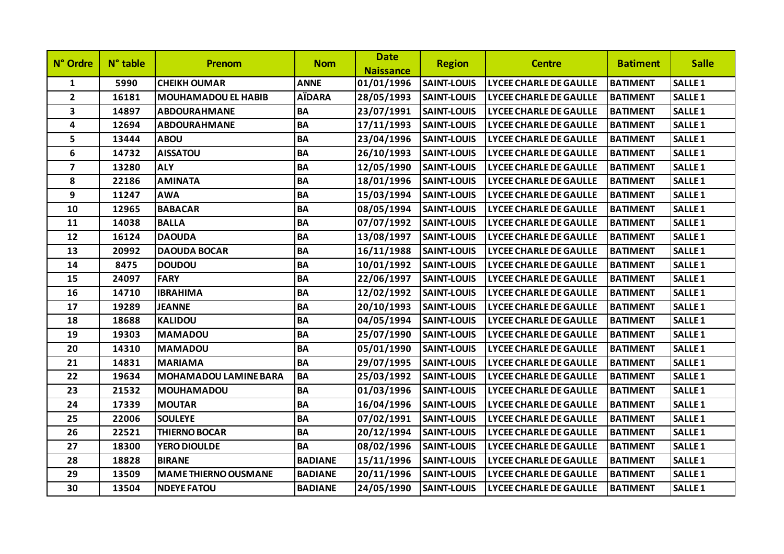| N° Ordre                | N° table | <b>Prenom</b>                | <b>Nom</b>     | <b>Date</b><br><b>Naissance</b> | <b>Region</b>      | <b>Centre</b>                 | <b>Batiment</b> | <b>Salle</b>       |
|-------------------------|----------|------------------------------|----------------|---------------------------------|--------------------|-------------------------------|-----------------|--------------------|
| $\mathbf{1}$            | 5990     | <b>CHEIKH OUMAR</b>          | <b>ANNE</b>    | 01/01/1996                      | <b>SAINT-LOUIS</b> | <b>LYCEE CHARLE DE GAULLE</b> | <b>BATIMENT</b> | <b>SALLE1</b>      |
| $2^{\circ}$             | 16181    | <b>MOUHAMADOU EL HABIB</b>   | <b>AÏDARA</b>  | 28/05/1993                      | <b>SAINT-LOUIS</b> | <b>LYCEE CHARLE DE GAULLE</b> | <b>BATIMENT</b> | <b>SALLE1</b>      |
| 3                       | 14897    | <b>ABDOURAHMANE</b>          | BA             | 23/07/1991                      | <b>SAINT-LOUIS</b> | <b>LYCEE CHARLE DE GAULLE</b> | <b>BATIMENT</b> | SALLE <sub>1</sub> |
| $\overline{\mathbf{4}}$ | 12694    | <b>ABDOURAHMANE</b>          | <b>BA</b>      | 17/11/1993                      | <b>SAINT-LOUIS</b> | <b>LYCEE CHARLE DE GAULLE</b> | <b>BATIMENT</b> | <b>SALLE1</b>      |
| 5                       | 13444    | <b>ABOU</b>                  | <b>BA</b>      | 23/04/1996                      | <b>SAINT-LOUIS</b> | <b>LYCEE CHARLE DE GAULLE</b> | <b>BATIMENT</b> | <b>SALLE1</b>      |
| 6                       | 14732    | <b>AISSATOU</b>              | BA             | 26/10/1993                      | <b>SAINT-LOUIS</b> | <b>LYCEE CHARLE DE GAULLE</b> | <b>BATIMENT</b> | SALLE <sub>1</sub> |
| $\overline{7}$          | 13280    | <b>ALY</b>                   | <b>BA</b>      | 12/05/1990                      | <b>SAINT-LOUIS</b> | <b>LYCEE CHARLE DE GAULLE</b> | <b>BATIMENT</b> | <b>SALLE1</b>      |
| 8                       | 22186    | <b>AMINATA</b>               | <b>BA</b>      | 18/01/1996                      | <b>SAINT-LOUIS</b> | <b>LYCEE CHARLE DE GAULLE</b> | <b>BATIMENT</b> | <b>SALLE1</b>      |
| 9                       | 11247    | <b>AWA</b>                   | <b>BA</b>      | 15/03/1994                      | <b>SAINT-LOUIS</b> | <b>LYCEE CHARLE DE GAULLE</b> | <b>BATIMENT</b> | SALLE <sub>1</sub> |
| 10                      | 12965    | <b>BABACAR</b>               | <b>BA</b>      | 08/05/1994                      | <b>SAINT-LOUIS</b> | <b>LYCEE CHARLE DE GAULLE</b> | <b>BATIMENT</b> | <b>SALLE1</b>      |
| 11                      | 14038    | <b>BALLA</b>                 | <b>BA</b>      | 07/07/1992                      | <b>SAINT-LOUIS</b> | <b>LYCEE CHARLE DE GAULLE</b> | <b>BATIMENT</b> | <b>SALLE1</b>      |
| 12                      | 16124    | <b>DAOUDA</b>                | BA             | 13/08/1997                      | <b>SAINT-LOUIS</b> | <b>LYCEE CHARLE DE GAULLE</b> | <b>BATIMENT</b> | SALLE <sub>1</sub> |
| 13                      | 20992    | <b>DAOUDA BOCAR</b>          | <b>BA</b>      | 16/11/1988                      | <b>SAINT-LOUIS</b> | <b>LYCEE CHARLE DE GAULLE</b> | <b>BATIMENT</b> | SALLE <sub>1</sub> |
| 14                      | 8475     | <b>DOUDOU</b>                | <b>BA</b>      | 10/01/1992                      | <b>SAINT-LOUIS</b> | <b>LYCEE CHARLE DE GAULLE</b> | <b>BATIMENT</b> | <b>SALLE1</b>      |
| 15                      | 24097    | <b>FARY</b>                  | <b>BA</b>      | 22/06/1997                      | <b>SAINT-LOUIS</b> | <b>LYCEE CHARLE DE GAULLE</b> | <b>BATIMENT</b> | SALLE <sub>1</sub> |
| 16                      | 14710    | <b>IBRAHIMA</b>              | <b>BA</b>      | 12/02/1992                      | <b>SAINT-LOUIS</b> | <b>LYCEE CHARLE DE GAULLE</b> | <b>BATIMENT</b> | <b>SALLE1</b>      |
| 17                      | 19289    | <b>JEANNE</b>                | BA             | 20/10/1993                      | <b>SAINT-LOUIS</b> | <b>LYCEE CHARLE DE GAULLE</b> | <b>BATIMENT</b> | <b>SALLE1</b>      |
| 18                      | 18688    | <b>KALIDOU</b>               | <b>BA</b>      | 04/05/1994                      | <b>SAINT-LOUIS</b> | <b>LYCEE CHARLE DE GAULLE</b> | <b>BATIMENT</b> | SALLE <sub>1</sub> |
| 19                      | 19303    | <b>MAMADOU</b>               | <b>BA</b>      | 25/07/1990                      | <b>SAINT-LOUIS</b> | <b>LYCEE CHARLE DE GAULLE</b> | <b>BATIMENT</b> | <b>SALLE1</b>      |
| 20                      | 14310    | <b>MAMADOU</b>               | BA             | 05/01/1990                      | <b>SAINT-LOUIS</b> | <b>LYCEE CHARLE DE GAULLE</b> | <b>BATIMENT</b> | <b>SALLE1</b>      |
| 21                      | 14831    | <b>MARIAMA</b>               | <b>BA</b>      | 29/07/1995                      | <b>SAINT-LOUIS</b> | <b>LYCEE CHARLE DE GAULLE</b> | <b>BATIMENT</b> | <b>SALLE1</b>      |
| 22                      | 19634    | <b>MOHAMADOU LAMINE BARA</b> | <b>BA</b>      | 25/03/1992                      | <b>SAINT-LOUIS</b> | <b>LYCEE CHARLE DE GAULLE</b> | <b>BATIMENT</b> | <b>SALLE1</b>      |
| 23                      | 21532    | <b>MOUHAMADOU</b>            | <b>BA</b>      | 01/03/1996                      | <b>SAINT-LOUIS</b> | <b>LYCEE CHARLE DE GAULLE</b> | <b>BATIMENT</b> | SALLE <sub>1</sub> |
| 24                      | 17339    | <b>MOUTAR</b>                | <b>BA</b>      | 16/04/1996                      | <b>SAINT-LOUIS</b> | <b>LYCEE CHARLE DE GAULLE</b> | <b>BATIMENT</b> | <b>SALLE1</b>      |
| 25                      | 22006    | <b>SOULEYE</b>               | <b>BA</b>      | 07/02/1991                      | <b>SAINT-LOUIS</b> | <b>LYCEE CHARLE DE GAULLE</b> | <b>BATIMENT</b> | <b>SALLE1</b>      |
| 26                      | 22521    | <b>THIERNO BOCAR</b>         | BA             | 20/12/1994                      | <b>SAINT-LOUIS</b> | LYCEE CHARLE DE GAULLE        | <b>BATIMENT</b> | SALLE <sub>1</sub> |
| 27                      | 18300    | YERO DIOULDE                 | <b>BA</b>      | 08/02/1996                      | <b>SAINT-LOUIS</b> | <b>LYCEE CHARLE DE GAULLE</b> | <b>BATIMENT</b> | <b>SALLE1</b>      |
| 28                      | 18828    | <b>BIRANE</b>                | <b>BADIANE</b> | 15/11/1996                      | <b>SAINT-LOUIS</b> | <b>LYCEE CHARLE DE GAULLE</b> | <b>BATIMENT</b> | <b>SALLE1</b>      |
| 29                      | 13509    | <b>MAME THIERNO OUSMANE</b>  | <b>BADIANE</b> | 20/11/1996                      | <b>SAINT-LOUIS</b> | <b>LYCEE CHARLE DE GAULLE</b> | <b>BATIMENT</b> | SALLE <sub>1</sub> |
| 30                      | 13504    | <b>NDEYE FATOU</b>           | <b>BADIANE</b> | 24/05/1990                      | <b>SAINT-LOUIS</b> | <b>LYCEE CHARLE DE GAULLE</b> | <b>BATIMENT</b> | <b>SALLE1</b>      |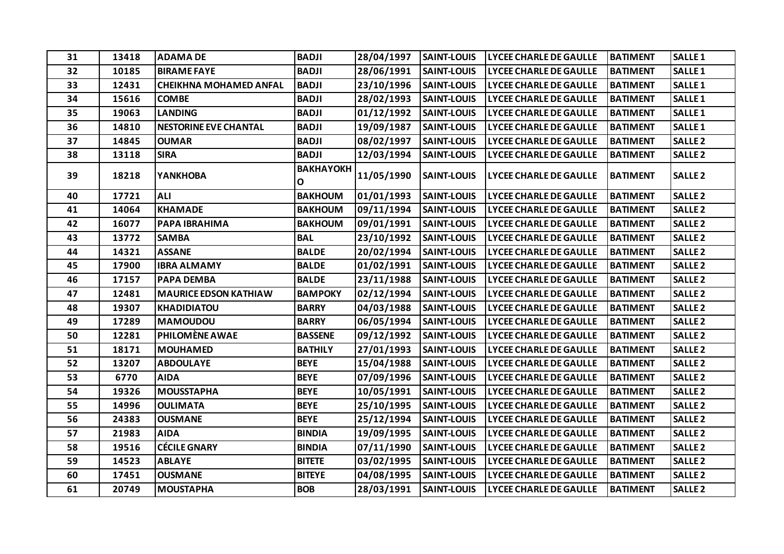| 31 | 13418 | <b>ADAMA DE</b>               | <b>BADJI</b>          | 28/04/1997 | <b>SAINT-LOUIS</b> | <b>LYCEE CHARLE DE GAULLE</b> | <b>BATIMENT</b> | <b>SALLE1</b>  |
|----|-------|-------------------------------|-----------------------|------------|--------------------|-------------------------------|-----------------|----------------|
| 32 | 10185 | <b>BIRAME FAYE</b>            | <b>BADJI</b>          | 28/06/1991 | <b>SAINT-LOUIS</b> | <b>LYCEE CHARLE DE GAULLE</b> | <b>BATIMENT</b> | <b>SALLE 1</b> |
| 33 | 12431 | <b>CHEIKHNA MOHAMED ANFAL</b> | <b>BADJI</b>          | 23/10/1996 | <b>SAINT-LOUIS</b> | <b>LYCEE CHARLE DE GAULLE</b> | <b>BATIMENT</b> | <b>SALLE1</b>  |
| 34 | 15616 | <b>COMBE</b>                  | <b>BADJI</b>          | 28/02/1993 | <b>SAINT-LOUIS</b> | <b>LYCEE CHARLE DE GAULLE</b> | <b>BATIMENT</b> | <b>SALLE1</b>  |
| 35 | 19063 | <b>LANDING</b>                | <b>BADJI</b>          | 01/12/1992 | <b>SAINT-LOUIS</b> | LYCEE CHARLE DE GAULLE        | <b>BATIMENT</b> | <b>SALLE1</b>  |
| 36 | 14810 | <b>NESTORINE EVE CHANTAL</b>  | <b>BADJI</b>          | 19/09/1987 | <b>SAINT-LOUIS</b> | <b>LYCEE CHARLE DE GAULLE</b> | <b>BATIMENT</b> | <b>SALLE1</b>  |
| 37 | 14845 | <b>OUMAR</b>                  | <b>BADJI</b>          | 08/02/1997 | <b>SAINT-LOUIS</b> | <b>LYCEE CHARLE DE GAULLE</b> | <b>BATIMENT</b> | <b>SALLE 2</b> |
| 38 | 13118 | <b>SIRA</b>                   | <b>BADJI</b>          | 12/03/1994 | <b>SAINT-LOUIS</b> | <b>LYCEE CHARLE DE GAULLE</b> | <b>BATIMENT</b> | <b>SALLE 2</b> |
| 39 | 18218 | <b>YANKHOBA</b>               | <b>ВАКНАҮОКН</b><br>0 | 11/05/1990 | <b>SAINT-LOUIS</b> | LYCEE CHARLE DE GAULLE        | <b>BATIMENT</b> | <b>SALLE 2</b> |
| 40 | 17721 | <b>ALI</b>                    | <b>BAKHOUM</b>        | 01/01/1993 | <b>SAINT-LOUIS</b> | <b>LYCEE CHARLE DE GAULLE</b> | <b>BATIMENT</b> | <b>SALLE 2</b> |
| 41 | 14064 | <b>KHAMADE</b>                | <b>BAKHOUM</b>        | 09/11/1994 | <b>SAINT-LOUIS</b> | <b>LYCEE CHARLE DE GAULLE</b> | <b>BATIMENT</b> | <b>SALLE 2</b> |
| 42 | 16077 | PAPA IBRAHIMA                 | <b>BAKHOUM</b>        | 09/01/1991 | <b>SAINT-LOUIS</b> | <b>LYCEE CHARLE DE GAULLE</b> | <b>BATIMENT</b> | <b>SALLE 2</b> |
| 43 | 13772 | <b>SAMBA</b>                  | <b>BAL</b>            | 23/10/1992 | <b>SAINT-LOUIS</b> | <b>LYCEE CHARLE DE GAULLE</b> | <b>BATIMENT</b> | <b>SALLE 2</b> |
| 44 | 14321 | <b>ASSANE</b>                 | <b>BALDE</b>          | 20/02/1994 | <b>SAINT-LOUIS</b> | <b>LYCEE CHARLE DE GAULLE</b> | <b>BATIMENT</b> | <b>SALLE 2</b> |
| 45 | 17900 | <b>IBRA ALMAMY</b>            | <b>BALDE</b>          | 01/02/1991 | <b>SAINT-LOUIS</b> | LYCEE CHARLE DE GAULLE        | <b>BATIMENT</b> | <b>SALLE 2</b> |
| 46 | 17157 | <b>PAPA DEMBA</b>             | <b>BALDE</b>          | 23/11/1988 | <b>SAINT-LOUIS</b> | <b>LYCEE CHARLE DE GAULLE</b> | <b>BATIMENT</b> | <b>SALLE 2</b> |
| 47 | 12481 | <b>MAURICE EDSON KATHIAW</b>  | <b>BAMPOKY</b>        | 02/12/1994 | <b>SAINT-LOUIS</b> | <b>LYCEE CHARLE DE GAULLE</b> | <b>BATIMENT</b> | <b>SALLE 2</b> |
| 48 | 19307 | <b>KHADIDIATOU</b>            | <b>BARRY</b>          | 04/03/1988 | <b>SAINT-LOUIS</b> | <b>LYCEE CHARLE DE GAULLE</b> | <b>BATIMENT</b> | <b>SALLE 2</b> |
| 49 | 17289 | <b>MAMOUDOU</b>               | <b>BARRY</b>          | 06/05/1994 | <b>SAINT-LOUIS</b> | <b>LYCEE CHARLE DE GAULLE</b> | <b>BATIMENT</b> | <b>SALLE 2</b> |
| 50 | 12281 | PHILOMÈNE AWAE                | <b>BASSENE</b>        | 09/12/1992 | <b>SAINT-LOUIS</b> | LYCEE CHARLE DE GAULLE        | <b>BATIMENT</b> | <b>SALLE 2</b> |
| 51 | 18171 | <b>MOUHAMED</b>               | <b>BATHILY</b>        | 27/01/1993 | <b>SAINT-LOUIS</b> | <b>LYCEE CHARLE DE GAULLE</b> | <b>BATIMENT</b> | <b>SALLE 2</b> |
| 52 | 13207 | <b>ABDOULAYE</b>              | <b>BEYE</b>           | 15/04/1988 | <b>SAINT-LOUIS</b> | <b>LYCEE CHARLE DE GAULLE</b> | <b>BATIMENT</b> | <b>SALLE 2</b> |
| 53 | 6770  | <b>AIDA</b>                   | <b>BEYE</b>           | 07/09/1996 | <b>SAINT-LOUIS</b> | <b>LYCEE CHARLE DE GAULLE</b> | <b>BATIMENT</b> | <b>SALLE 2</b> |
| 54 | 19326 | <b>MOUSSTAPHA</b>             | <b>BEYE</b>           | 10/05/1991 | <b>SAINT-LOUIS</b> | <b>LYCEE CHARLE DE GAULLE</b> | <b>BATIMENT</b> | <b>SALLE 2</b> |
| 55 | 14996 | <b>OULIMATA</b>               | <b>BEYE</b>           | 25/10/1995 | <b>SAINT-LOUIS</b> | <b>LYCEE CHARLE DE GAULLE</b> | <b>BATIMENT</b> | <b>SALLE 2</b> |
| 56 | 24383 | <b>OUSMANE</b>                | <b>BEYE</b>           | 25/12/1994 | <b>SAINT-LOUIS</b> | <b>LYCEE CHARLE DE GAULLE</b> | <b>BATIMENT</b> | <b>SALLE 2</b> |
| 57 | 21983 | <b>AIDA</b>                   | <b>BINDIA</b>         | 19/09/1995 | <b>SAINT-LOUIS</b> | <b>LYCEE CHARLE DE GAULLE</b> | <b>BATIMENT</b> | <b>SALLE 2</b> |
| 58 | 19516 | <b>CÉCILE GNARY</b>           | <b>BINDIA</b>         | 07/11/1990 | <b>SAINT-LOUIS</b> | <b>LYCEE CHARLE DE GAULLE</b> | <b>BATIMENT</b> | <b>SALLE 2</b> |
| 59 | 14523 | <b>ABLAYE</b>                 | <b>BITETE</b>         | 03/02/1995 | <b>SAINT-LOUIS</b> | <b>LYCEE CHARLE DE GAULLE</b> | <b>BATIMENT</b> | <b>SALLE 2</b> |
| 60 | 17451 | <b>OUSMANE</b>                | <b>BITEYE</b>         | 04/08/1995 | <b>SAINT-LOUIS</b> | <b>LYCEE CHARLE DE GAULLE</b> | <b>BATIMENT</b> | <b>SALLE 2</b> |
| 61 | 20749 | <b>MOUSTAPHA</b>              | <b>BOB</b>            | 28/03/1991 | <b>SAINT-LOUIS</b> | <b>LYCEE CHARLE DE GAULLE</b> | <b>BATIMENT</b> | <b>SALLE 2</b> |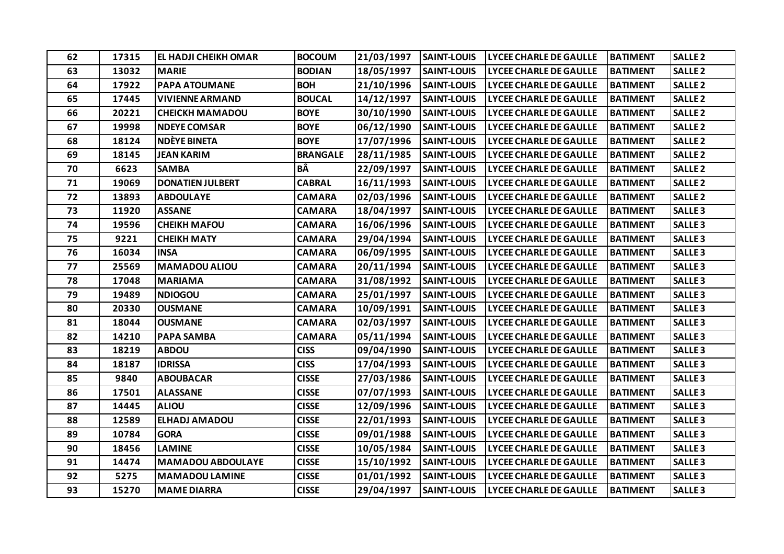| 62 | 17315 | <b>EL HADJI CHEIKH OMAR</b> | <b>BOCOUM</b>   | 21/03/1997 | <b>SAINT-LOUIS</b> | <b>LYCEE CHARLE DE GAULLE</b> | <b>BATIMENT</b> | <b>SALLE 2</b> |
|----|-------|-----------------------------|-----------------|------------|--------------------|-------------------------------|-----------------|----------------|
| 63 | 13032 | <b>MARIE</b>                | <b>BODIAN</b>   | 18/05/1997 | <b>SAINT-LOUIS</b> | <b>LYCEE CHARLE DE GAULLE</b> | <b>BATIMENT</b> | <b>SALLE 2</b> |
| 64 | 17922 | <b>PAPA ATOUMANE</b>        | <b>BOH</b>      | 21/10/1996 | <b>SAINT-LOUIS</b> | <b>LYCEE CHARLE DE GAULLE</b> | <b>BATIMENT</b> | <b>SALLE 2</b> |
| 65 | 17445 | <b>VIVIENNE ARMAND</b>      | <b>BOUCAL</b>   | 14/12/1997 | <b>SAINT-LOUIS</b> | <b>LYCEE CHARLE DE GAULLE</b> | <b>BATIMENT</b> | <b>SALLE 2</b> |
| 66 | 20221 | <b>CHEICKH MAMADOU</b>      | <b>BOYE</b>     | 30/10/1990 | <b>SAINT-LOUIS</b> | <b>LYCEE CHARLE DE GAULLE</b> | <b>BATIMENT</b> | <b>SALLE 2</b> |
| 67 | 19998 | <b>NDEYE COMSAR</b>         | <b>BOYE</b>     | 06/12/1990 | <b>SAINT-LOUIS</b> | <b>LYCEE CHARLE DE GAULLE</b> | <b>BATIMENT</b> | <b>SALLE 2</b> |
| 68 | 18124 | <b>NDÈYE BINETA</b>         | <b>BOYE</b>     | 17/07/1996 | <b>SAINT-LOUIS</b> | <b>LYCEE CHARLE DE GAULLE</b> | <b>BATIMENT</b> | <b>SALLE 2</b> |
| 69 | 18145 | <b>JEAN KARIM</b>           | <b>BRANGALE</b> | 28/11/1985 | <b>SAINT-LOUIS</b> | <b>LYCEE CHARLE DE GAULLE</b> | <b>BATIMENT</b> | <b>SALLE 2</b> |
| 70 | 6623  | <b>SAMBA</b>                | BÂ              | 22/09/1997 | <b>SAINT-LOUIS</b> | <b>LYCEE CHARLE DE GAULLE</b> | <b>BATIMENT</b> | <b>SALLE 2</b> |
| 71 | 19069 | <b>DONATIEN JULBERT</b>     | <b>CABRAL</b>   | 16/11/1993 | <b>SAINT-LOUIS</b> | LYCEE CHARLE DE GAULLE        | <b>BATIMENT</b> | <b>SALLE 2</b> |
| 72 | 13893 | <b>ABDOULAYE</b>            | <b>CAMARA</b>   | 02/03/1996 | <b>SAINT-LOUIS</b> | <b>LYCEE CHARLE DE GAULLE</b> | <b>BATIMENT</b> | <b>SALLE 2</b> |
| 73 | 11920 | <b>ASSANE</b>               | <b>CAMARA</b>   | 18/04/1997 | <b>SAINT-LOUIS</b> | <b>LYCEE CHARLE DE GAULLE</b> | <b>BATIMENT</b> | <b>SALLE 3</b> |
| 74 | 19596 | <b>CHEIKH MAFOU</b>         | <b>CAMARA</b>   | 16/06/1996 | <b>SAINT-LOUIS</b> | <b>LYCEE CHARLE DE GAULLE</b> | <b>BATIMENT</b> | <b>SALLE 3</b> |
| 75 | 9221  | <b>CHEIKH MATY</b>          | <b>CAMARA</b>   | 29/04/1994 | <b>SAINT-LOUIS</b> | <b>LYCEE CHARLE DE GAULLE</b> | <b>BATIMENT</b> | <b>SALLE 3</b> |
| 76 | 16034 | <b>INSA</b>                 | <b>CAMARA</b>   | 06/09/1995 | <b>SAINT-LOUIS</b> | <b>LYCEE CHARLE DE GAULLE</b> | <b>BATIMENT</b> | <b>SALLE 3</b> |
| 77 | 25569 | <b>MAMADOU ALIOU</b>        | <b>CAMARA</b>   | 20/11/1994 | <b>SAINT-LOUIS</b> | <b>LYCEE CHARLE DE GAULLE</b> | <b>BATIMENT</b> | <b>SALLE 3</b> |
| 78 | 17048 | <b>MARIAMA</b>              | <b>CAMARA</b>   | 31/08/1992 | <b>SAINT-LOUIS</b> | <b>LYCEE CHARLE DE GAULLE</b> | <b>BATIMENT</b> | <b>SALLE 3</b> |
| 79 | 19489 | <b>NDIOGOU</b>              | <b>CAMARA</b>   | 25/01/1997 | <b>SAINT-LOUIS</b> | <b>LYCEE CHARLE DE GAULLE</b> | <b>BATIMENT</b> | <b>SALLE 3</b> |
| 80 | 20330 | <b>OUSMANE</b>              | <b>CAMARA</b>   | 10/09/1991 | <b>SAINT-LOUIS</b> | <b>LYCEE CHARLE DE GAULLE</b> | <b>BATIMENT</b> | <b>SALLE3</b>  |
| 81 | 18044 | <b>OUSMANE</b>              | <b>CAMARA</b>   | 02/03/1997 | <b>SAINT-LOUIS</b> | <b>LYCEE CHARLE DE GAULLE</b> | <b>BATIMENT</b> | <b>SALLE 3</b> |
| 82 | 14210 | <b>PAPA SAMBA</b>           | <b>CAMARA</b>   | 05/11/1994 | <b>SAINT-LOUIS</b> | <b>LYCEE CHARLE DE GAULLE</b> | <b>BATIMENT</b> | <b>SALLE 3</b> |
| 83 | 18219 | <b>ABDOU</b>                | <b>CISS</b>     | 09/04/1990 | <b>SAINT-LOUIS</b> | <b>LYCEE CHARLE DE GAULLE</b> | <b>BATIMENT</b> | <b>SALLE 3</b> |
| 84 | 18187 | <b>IDRISSA</b>              | <b>CISS</b>     | 17/04/1993 | <b>SAINT-LOUIS</b> | <b>LYCEE CHARLE DE GAULLE</b> | <b>BATIMENT</b> | <b>SALLE 3</b> |
| 85 | 9840  | <b>ABOUBACAR</b>            | <b>CISSE</b>    | 27/03/1986 | <b>SAINT-LOUIS</b> | <b>LYCEE CHARLE DE GAULLE</b> | <b>BATIMENT</b> | <b>SALLE 3</b> |
| 86 | 17501 | <b>ALASSANE</b>             | <b>CISSE</b>    | 07/07/1993 | <b>SAINT-LOUIS</b> | <b>LYCEE CHARLE DE GAULLE</b> | <b>BATIMENT</b> | <b>SALLE 3</b> |
| 87 | 14445 | <b>ALIOU</b>                | <b>CISSE</b>    | 12/09/1996 | <b>SAINT-LOUIS</b> | <b>LYCEE CHARLE DE GAULLE</b> | <b>BATIMENT</b> | <b>SALLE3</b>  |
| 88 | 12589 | <b>ELHADJ AMADOU</b>        | <b>CISSE</b>    | 22/01/1993 | <b>SAINT-LOUIS</b> | <b>LYCEE CHARLE DE GAULLE</b> | <b>BATIMENT</b> | <b>SALLE 3</b> |
| 89 | 10784 | <b>GORA</b>                 | <b>CISSE</b>    | 09/01/1988 | <b>SAINT-LOUIS</b> | <b>LYCEE CHARLE DE GAULLE</b> | <b>BATIMENT</b> | <b>SALLE 3</b> |
| 90 | 18456 | <b>LAMINE</b>               | <b>CISSE</b>    | 10/05/1984 | <b>SAINT-LOUIS</b> | <b>LYCEE CHARLE DE GAULLE</b> | <b>BATIMENT</b> | <b>SALLE 3</b> |
| 91 | 14474 | <b>MAMADOU ABDOULAYE</b>    | <b>CISSE</b>    | 15/10/1992 | <b>SAINT-LOUIS</b> | <b>LYCEE CHARLE DE GAULLE</b> | <b>BATIMENT</b> | <b>SALLE 3</b> |
| 92 | 5275  | <b>MAMADOU LAMINE</b>       | <b>CISSE</b>    | 01/01/1992 | <b>SAINT-LOUIS</b> | <b>LYCEE CHARLE DE GAULLE</b> | <b>BATIMENT</b> | <b>SALLE 3</b> |
| 93 | 15270 | <b>MAME DIARRA</b>          | <b>CISSE</b>    | 29/04/1997 | <b>SAINT-LOUIS</b> | <b>LYCEE CHARLE DE GAULLE</b> | <b>BATIMENT</b> | <b>SALLE 3</b> |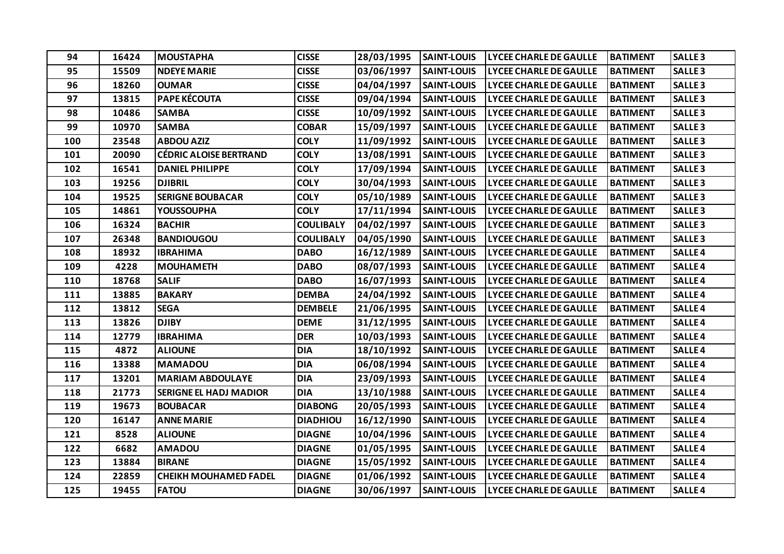| 94  | 16424 | <b>MOUSTAPHA</b>              | <b>CISSE</b>     | 28/03/1995 | <b>SAINT-LOUIS</b> | <b>LYCEE CHARLE DE GAULLE</b> | <b>BATIMENT</b> | <b>SALLE3</b>  |
|-----|-------|-------------------------------|------------------|------------|--------------------|-------------------------------|-----------------|----------------|
| 95  | 15509 | <b>NDEYE MARIE</b>            | <b>CISSE</b>     | 03/06/1997 | <b>SAINT-LOUIS</b> | <b>LYCEE CHARLE DE GAULLE</b> | <b>BATIMENT</b> | <b>SALLE 3</b> |
| 96  | 18260 | <b>OUMAR</b>                  | <b>CISSE</b>     | 04/04/1997 | <b>SAINT-LOUIS</b> | <b>LYCEE CHARLE DE GAULLE</b> | <b>BATIMENT</b> | <b>SALLE3</b>  |
| 97  | 13815 | PAPE KÉCOUTA                  | <b>CISSE</b>     | 09/04/1994 | <b>SAINT-LOUIS</b> | <b>LYCEE CHARLE DE GAULLE</b> | <b>BATIMENT</b> | <b>SALLE 3</b> |
| 98  | 10486 | <b>SAMBA</b>                  | <b>CISSE</b>     | 10/09/1992 | <b>SAINT-LOUIS</b> | <b>LYCEE CHARLE DE GAULLE</b> | <b>BATIMENT</b> | <b>SALLE 3</b> |
| 99  | 10970 | <b>SAMBA</b>                  | <b>COBAR</b>     | 15/09/1997 | <b>SAINT-LOUIS</b> | <b>LYCEE CHARLE DE GAULLE</b> | <b>BATIMENT</b> | <b>SALLE 3</b> |
| 100 | 23548 | <b>ABDOU AZIZ</b>             | <b>COLY</b>      | 11/09/1992 | <b>SAINT-LOUIS</b> | <b>LYCEE CHARLE DE GAULLE</b> | <b>BATIMENT</b> | <b>SALLE 3</b> |
| 101 | 20090 | <b>CÉDRIC ALOISE BERTRAND</b> | <b>COLY</b>      | 13/08/1991 | <b>SAINT-LOUIS</b> | <b>LYCEE CHARLE DE GAULLE</b> | <b>BATIMENT</b> | <b>SALLE 3</b> |
| 102 | 16541 | <b>DANIEL PHILIPPE</b>        | <b>COLY</b>      | 17/09/1994 | <b>SAINT-LOUIS</b> | <b>LYCEE CHARLE DE GAULLE</b> | <b>BATIMENT</b> | <b>SALLE3</b>  |
| 103 | 19256 | <b>DJIBRIL</b>                | <b>COLY</b>      | 30/04/1993 | <b>SAINT-LOUIS</b> | <b>LYCEE CHARLE DE GAULLE</b> | <b>BATIMENT</b> | <b>SALLE 3</b> |
| 104 | 19525 | <b>SERIGNE BOUBACAR</b>       | <b>COLY</b>      | 05/10/1989 | <b>SAINT-LOUIS</b> | <b>LYCEE CHARLE DE GAULLE</b> | <b>BATIMENT</b> | <b>SALLE 3</b> |
| 105 | 14861 | <b>YOUSSOUPHA</b>             | <b>COLY</b>      | 17/11/1994 | <b>SAINT-LOUIS</b> | <b>LYCEE CHARLE DE GAULLE</b> | <b>BATIMENT</b> | <b>SALLE 3</b> |
| 106 | 16324 | <b>BACHIR</b>                 | <b>COULIBALY</b> | 04/02/1997 | <b>SAINT-LOUIS</b> | <b>LYCEE CHARLE DE GAULLE</b> | <b>BATIMENT</b> | <b>SALLE 3</b> |
| 107 | 26348 | <b>BANDIOUGOU</b>             | <b>COULIBALY</b> | 04/05/1990 | <b>SAINT-LOUIS</b> | <b>LYCEE CHARLE DE GAULLE</b> | <b>BATIMENT</b> | <b>SALLE 3</b> |
| 108 | 18932 | <b>IBRAHIMA</b>               | <b>DABO</b>      | 16/12/1989 | <b>SAINT-LOUIS</b> | <b>LYCEE CHARLE DE GAULLE</b> | <b>BATIMENT</b> | <b>SALLE4</b>  |
| 109 | 4228  | <b>MOUHAMETH</b>              | <b>DABO</b>      | 08/07/1993 | <b>SAINT-LOUIS</b> | <b>LYCEE CHARLE DE GAULLE</b> | <b>BATIMENT</b> | <b>SALLE4</b>  |
| 110 | 18768 | <b>SALIF</b>                  | <b>DABO</b>      | 16/07/1993 | <b>SAINT-LOUIS</b> | <b>LYCEE CHARLE DE GAULLE</b> | <b>BATIMENT</b> | <b>SALLE4</b>  |
| 111 | 13885 | <b>BAKARY</b>                 | <b>DEMBA</b>     | 24/04/1992 | <b>SAINT-LOUIS</b> | <b>LYCEE CHARLE DE GAULLE</b> | <b>BATIMENT</b> | <b>SALLE4</b>  |
| 112 | 13812 | <b>SEGA</b>                   | <b>DEMBELE</b>   | 21/06/1995 | <b>SAINT-LOUIS</b> | <b>LYCEE CHARLE DE GAULLE</b> | <b>BATIMENT</b> | <b>SALLE4</b>  |
| 113 | 13826 | <b>DJIBY</b>                  | <b>DEME</b>      | 31/12/1995 | <b>SAINT-LOUIS</b> | <b>LYCEE CHARLE DE GAULLE</b> | <b>BATIMENT</b> | <b>SALLE4</b>  |
| 114 | 12779 | <b>IBRAHIMA</b>               | <b>DER</b>       | 10/03/1993 | <b>SAINT-LOUIS</b> | <b>LYCEE CHARLE DE GAULLE</b> | <b>BATIMENT</b> | <b>SALLE4</b>  |
| 115 | 4872  | <b>ALIOUNE</b>                | <b>DIA</b>       | 18/10/1992 | <b>SAINT-LOUIS</b> | <b>LYCEE CHARLE DE GAULLE</b> | <b>BATIMENT</b> | <b>SALLE4</b>  |
| 116 | 13388 | <b>MAMADOU</b>                | <b>DIA</b>       | 06/08/1994 | <b>SAINT-LOUIS</b> | <b>LYCEE CHARLE DE GAULLE</b> | <b>BATIMENT</b> | <b>SALLE4</b>  |
| 117 | 13201 | <b>MARIAM ABDOULAYE</b>       | <b>DIA</b>       | 23/09/1993 | <b>SAINT-LOUIS</b> | <b>LYCEE CHARLE DE GAULLE</b> | <b>BATIMENT</b> | <b>SALLE4</b>  |
| 118 | 21773 | <b>SERIGNE EL HADJ MADIOR</b> | <b>DIA</b>       | 13/10/1988 | <b>SAINT-LOUIS</b> | <b>LYCEE CHARLE DE GAULLE</b> | <b>BATIMENT</b> | <b>SALLE4</b>  |
| 119 | 19673 | <b>BOUBACAR</b>               | <b>DIABONG</b>   | 20/05/1993 | <b>SAINT-LOUIS</b> | <b>LYCEE CHARLE DE GAULLE</b> | <b>BATIMENT</b> | <b>SALLE4</b>  |
| 120 | 16147 | <b>ANNE MARIE</b>             | <b>DIADHIOU</b>  | 16/12/1990 | <b>SAINT-LOUIS</b> | <b>LYCEE CHARLE DE GAULLE</b> | <b>BATIMENT</b> | <b>SALLE4</b>  |
| 121 | 8528  | <b>ALIOUNE</b>                | <b>DIAGNE</b>    | 10/04/1996 | <b>SAINT-LOUIS</b> | <b>LYCEE CHARLE DE GAULLE</b> | <b>BATIMENT</b> | <b>SALLE4</b>  |
| 122 | 6682  | <b>AMADOU</b>                 | <b>DIAGNE</b>    | 01/05/1995 | <b>SAINT-LOUIS</b> | <b>LYCEE CHARLE DE GAULLE</b> | <b>BATIMENT</b> | <b>SALLE4</b>  |
| 123 | 13884 | <b>BIRANE</b>                 | <b>DIAGNE</b>    | 15/05/1992 | <b>SAINT-LOUIS</b> | <b>LYCEE CHARLE DE GAULLE</b> | <b>BATIMENT</b> | <b>SALLE4</b>  |
| 124 | 22859 | <b>CHEIKH MOUHAMED FADEL</b>  | <b>DIAGNE</b>    | 01/06/1992 | <b>SAINT-LOUIS</b> | <b>LYCEE CHARLE DE GAULLE</b> | <b>BATIMENT</b> | <b>SALLE4</b>  |
| 125 | 19455 | <b>FATOU</b>                  | <b>DIAGNE</b>    | 30/06/1997 | <b>SAINT-LOUIS</b> | <b>LYCEE CHARLE DE GAULLE</b> | <b>BATIMENT</b> | <b>SALLE4</b>  |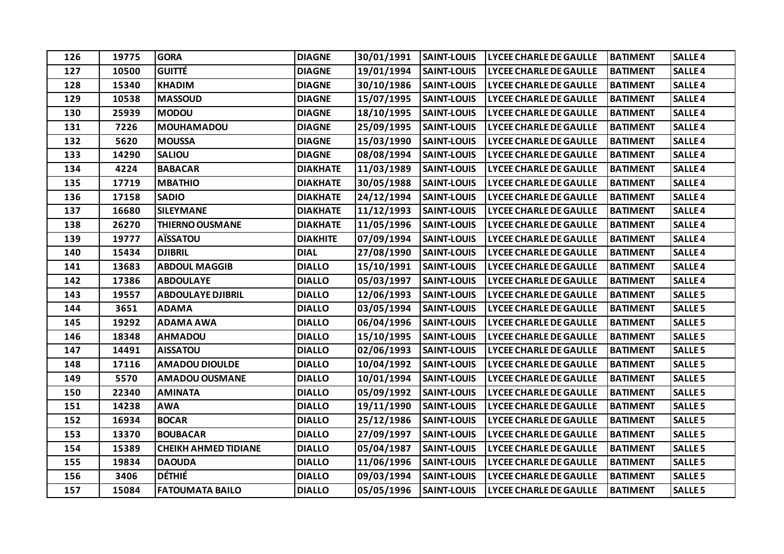| 126 | 19775 | <b>GORA</b>                 | <b>DIAGNE</b>   | 30/01/1991 | <b>SAINT-LOUIS</b> | <b>LYCEE CHARLE DE GAULLE</b> | <b>BATIMENT</b> | <b>SALLE4</b>  |
|-----|-------|-----------------------------|-----------------|------------|--------------------|-------------------------------|-----------------|----------------|
| 127 | 10500 | <b>GUITTÉ</b>               | <b>DIAGNE</b>   | 19/01/1994 | <b>SAINT-LOUIS</b> | <b>LYCEE CHARLE DE GAULLE</b> | <b>BATIMENT</b> | <b>SALLE4</b>  |
| 128 | 15340 | <b>KHADIM</b>               | <b>DIAGNE</b>   | 30/10/1986 | <b>SAINT-LOUIS</b> | <b>LYCEE CHARLE DE GAULLE</b> | <b>BATIMENT</b> | <b>SALLE4</b>  |
| 129 | 10538 | <b>MASSOUD</b>              | <b>DIAGNE</b>   | 15/07/1995 | <b>SAINT-LOUIS</b> | <b>LYCEE CHARLE DE GAULLE</b> | <b>BATIMENT</b> | <b>SALLE4</b>  |
| 130 | 25939 | <b>MODOU</b>                | <b>DIAGNE</b>   | 18/10/1995 | <b>SAINT-LOUIS</b> | <b>LYCEE CHARLE DE GAULLE</b> | <b>BATIMENT</b> | <b>SALLE4</b>  |
| 131 | 7226  | <b>MOUHAMADOU</b>           | <b>DIAGNE</b>   | 25/09/1995 | <b>SAINT-LOUIS</b> | <b>LYCEE CHARLE DE GAULLE</b> | <b>BATIMENT</b> | <b>SALLE4</b>  |
| 132 | 5620  | <b>MOUSSA</b>               | <b>DIAGNE</b>   | 15/03/1990 | <b>SAINT-LOUIS</b> | <b>LYCEE CHARLE DE GAULLE</b> | <b>BATIMENT</b> | <b>SALLE4</b>  |
| 133 | 14290 | <b>SALIOU</b>               | <b>DIAGNE</b>   | 08/08/1994 | <b>SAINT-LOUIS</b> | <b>LYCEE CHARLE DE GAULLE</b> | <b>BATIMENT</b> | <b>SALLE4</b>  |
| 134 | 4224  | <b>BABACAR</b>              | <b>DIAKHATE</b> | 11/03/1989 | <b>SAINT-LOUIS</b> | <b>LYCEE CHARLE DE GAULLE</b> | <b>BATIMENT</b> | <b>SALLE4</b>  |
| 135 | 17719 | <b>MBATHIO</b>              | <b>DIAKHATE</b> | 30/05/1988 | <b>SAINT-LOUIS</b> | <b>LYCEE CHARLE DE GAULLE</b> | <b>BATIMENT</b> | <b>SALLE4</b>  |
| 136 | 17158 | <b>SADIO</b>                | <b>DIAKHATE</b> | 24/12/1994 | <b>SAINT-LOUIS</b> | <b>LYCEE CHARLE DE GAULLE</b> | <b>BATIMENT</b> | <b>SALLE4</b>  |
| 137 | 16680 | <b>SILEYMANE</b>            | <b>DIAKHATE</b> | 11/12/1993 | <b>SAINT-LOUIS</b> | <b>LYCEE CHARLE DE GAULLE</b> | <b>BATIMENT</b> | <b>SALLE4</b>  |
| 138 | 26270 | <b>THIERNO OUSMANE</b>      | <b>DIAKHATE</b> | 11/05/1996 | <b>SAINT-LOUIS</b> | <b>LYCEE CHARLE DE GAULLE</b> | <b>BATIMENT</b> | <b>SALLE4</b>  |
| 139 | 19777 | <b>AÏSSATOU</b>             | <b>DIAKHITE</b> | 07/09/1994 | <b>SAINT-LOUIS</b> | LYCEE CHARLE DE GAULLE        | <b>BATIMENT</b> | <b>SALLE4</b>  |
| 140 | 15434 | <b>DJIBRIL</b>              | <b>DIAL</b>     | 27/08/1990 | <b>SAINT-LOUIS</b> | <b>LYCEE CHARLE DE GAULLE</b> | <b>BATIMENT</b> | <b>SALLE4</b>  |
| 141 | 13683 | <b>ABDOUL MAGGIB</b>        | <b>DIALLO</b>   | 15/10/1991 | <b>SAINT-LOUIS</b> | <b>LYCEE CHARLE DE GAULLE</b> | <b>BATIMENT</b> | <b>SALLE4</b>  |
| 142 | 17386 | <b>ABDOULAYE</b>            | <b>DIALLO</b>   | 05/03/1997 | <b>SAINT-LOUIS</b> | <b>LYCEE CHARLE DE GAULLE</b> | <b>BATIMENT</b> | <b>SALLE4</b>  |
| 143 | 19557 | <b>ABDOULAYE DJIBRIL</b>    | <b>DIALLO</b>   | 12/06/1993 | <b>SAINT-LOUIS</b> | <b>LYCEE CHARLE DE GAULLE</b> | <b>BATIMENT</b> | <b>SALLE 5</b> |
| 144 | 3651  | <b>ADAMA</b>                | <b>DIALLO</b>   | 03/05/1994 | <b>SAINT-LOUIS</b> | <b>LYCEE CHARLE DE GAULLE</b> | <b>BATIMENT</b> | <b>SALLE 5</b> |
| 145 | 19292 | <b>ADAMA AWA</b>            | <b>DIALLO</b>   | 06/04/1996 | <b>SAINT-LOUIS</b> | <b>LYCEE CHARLE DE GAULLE</b> | <b>BATIMENT</b> | <b>SALLE 5</b> |
| 146 | 18348 | <b>AHMADOU</b>              | <b>DIALLO</b>   | 15/10/1995 | <b>SAINT-LOUIS</b> | <b>LYCEE CHARLE DE GAULLE</b> | <b>BATIMENT</b> | <b>SALLE 5</b> |
| 147 | 14491 | <b>AISSATOU</b>             | <b>DIALLO</b>   | 02/06/1993 | <b>SAINT-LOUIS</b> | <b>LYCEE CHARLE DE GAULLE</b> | <b>BATIMENT</b> | <b>SALLE 5</b> |
| 148 | 17116 | <b>AMADOU DIOULDE</b>       | <b>DIALLO</b>   | 10/04/1992 | <b>SAINT-LOUIS</b> | <b>LYCEE CHARLE DE GAULLE</b> | <b>BATIMENT</b> | <b>SALLE 5</b> |
| 149 | 5570  | <b>AMADOU OUSMANE</b>       | <b>DIALLO</b>   | 10/01/1994 | <b>SAINT-LOUIS</b> | <b>LYCEE CHARLE DE GAULLE</b> | <b>BATIMENT</b> | <b>SALLE 5</b> |
| 150 | 22340 | <b>AMINATA</b>              | <b>DIALLO</b>   | 05/09/1992 | <b>SAINT-LOUIS</b> | <b>LYCEE CHARLE DE GAULLE</b> | <b>BATIMENT</b> | <b>SALLE 5</b> |
| 151 | 14238 | <b>AWA</b>                  | <b>DIALLO</b>   | 19/11/1990 | <b>SAINT-LOUIS</b> | <b>LYCEE CHARLE DE GAULLE</b> | <b>BATIMENT</b> | <b>SALLE 5</b> |
| 152 | 16934 | <b>BOCAR</b>                | <b>DIALLO</b>   | 25/12/1986 | <b>SAINT-LOUIS</b> | <b>LYCEE CHARLE DE GAULLE</b> | <b>BATIMENT</b> | <b>SALLE 5</b> |
| 153 | 13370 | <b>BOUBACAR</b>             | <b>DIALLO</b>   | 27/09/1997 | <b>SAINT-LOUIS</b> | <b>LYCEE CHARLE DE GAULLE</b> | <b>BATIMENT</b> | <b>SALLE 5</b> |
| 154 | 15389 | <b>CHEIKH AHMED TIDIANE</b> | <b>DIALLO</b>   | 05/04/1987 | <b>SAINT-LOUIS</b> | <b>LYCEE CHARLE DE GAULLE</b> | <b>BATIMENT</b> | <b>SALLE 5</b> |
| 155 | 19834 | <b>DAOUDA</b>               | <b>DIALLO</b>   | 11/06/1996 | <b>SAINT-LOUIS</b> | <b>LYCEE CHARLE DE GAULLE</b> | <b>BATIMENT</b> | <b>SALLE 5</b> |
| 156 | 3406  | <b>DÉTHIÉ</b>               | <b>DIALLO</b>   | 09/03/1994 | <b>SAINT-LOUIS</b> | <b>LYCEE CHARLE DE GAULLE</b> | <b>BATIMENT</b> | <b>SALLE 5</b> |
| 157 | 15084 | <b>FATOUMATA BAILO</b>      | <b>DIALLO</b>   | 05/05/1996 | <b>SAINT-LOUIS</b> | <b>LYCEE CHARLE DE GAULLE</b> | <b>BATIMENT</b> | <b>SALLE 5</b> |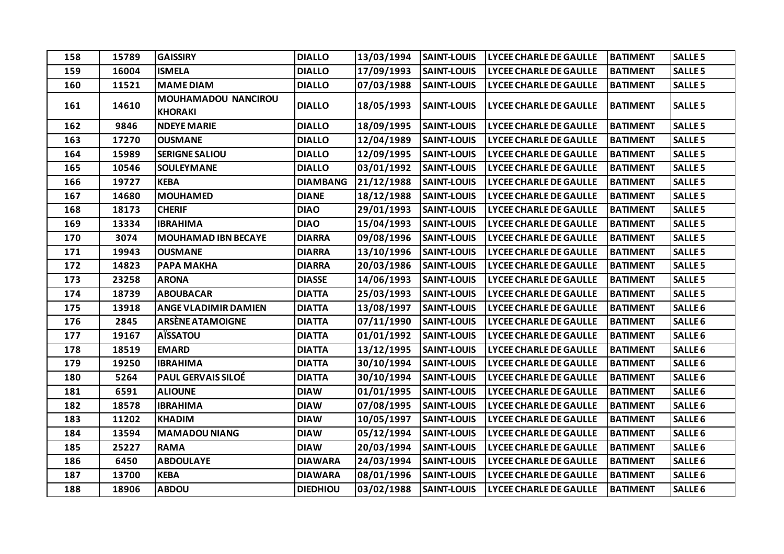| 158 | 15789 | <b>GAISSIRY</b>                              | <b>DIALLO</b>   | 13/03/1994 | <b>SAINT-LOUIS</b> | <b>LYCEE CHARLE DE GAULLE</b> | <b>BATIMENT</b> | <b>SALLE 5</b>     |
|-----|-------|----------------------------------------------|-----------------|------------|--------------------|-------------------------------|-----------------|--------------------|
| 159 | 16004 | <b>ISMELA</b>                                | <b>DIALLO</b>   | 17/09/1993 | <b>SAINT-LOUIS</b> | <b>LYCEE CHARLE DE GAULLE</b> | <b>BATIMENT</b> | <b>SALLE 5</b>     |
| 160 | 11521 | <b>MAME DIAM</b>                             | <b>DIALLO</b>   | 07/03/1988 | <b>SAINT-LOUIS</b> | LYCEE CHARLE DE GAULLE        | <b>BATIMENT</b> | <b>SALLE 5</b>     |
| 161 | 14610 | <b>MOUHAMADOU NANCIROU</b><br><b>KHORAKI</b> | <b>DIALLO</b>   | 18/05/1993 | <b>SAINT-LOUIS</b> | LYCEE CHARLE DE GAULLE        | <b>BATIMENT</b> | <b>SALLE 5</b>     |
| 162 | 9846  | <b>NDEYE MARIE</b>                           | <b>DIALLO</b>   | 18/09/1995 | <b>SAINT-LOUIS</b> | LYCEE CHARLE DE GAULLE        | <b>BATIMENT</b> | <b>SALLE 5</b>     |
| 163 | 17270 | <b>OUSMANE</b>                               | <b>DIALLO</b>   | 12/04/1989 | <b>SAINT-LOUIS</b> | <b>LYCEE CHARLE DE GAULLE</b> | <b>BATIMENT</b> | <b>SALLE 5</b>     |
| 164 | 15989 | <b>SERIGNE SALIOU</b>                        | <b>DIALLO</b>   | 12/09/1995 | <b>SAINT-LOUIS</b> | <b>LYCEE CHARLE DE GAULLE</b> | <b>BATIMENT</b> | <b>SALLE 5</b>     |
| 165 | 10546 | <b>SOULEYMANE</b>                            | <b>DIALLO</b>   | 03/01/1992 | <b>SAINT-LOUIS</b> | <b>LYCEE CHARLE DE GAULLE</b> | <b>BATIMENT</b> | <b>SALLE 5</b>     |
| 166 | 19727 | <b>KEBA</b>                                  | <b>DIAMBANG</b> | 21/12/1988 | <b>SAINT-LOUIS</b> | LYCEE CHARLE DE GAULLE        | <b>BATIMENT</b> | <b>SALLE 5</b>     |
| 167 | 14680 | <b>MOUHAMED</b>                              | <b>DIANE</b>    | 18/12/1988 | <b>SAINT-LOUIS</b> | LYCEE CHARLE DE GAULLE        | <b>BATIMENT</b> | <b>SALLE 5</b>     |
| 168 | 18173 | <b>CHERIF</b>                                | <b>DIAO</b>     | 29/01/1993 | <b>SAINT-LOUIS</b> | <b>LYCEE CHARLE DE GAULLE</b> | <b>BATIMENT</b> | <b>SALLE 5</b>     |
| 169 | 13334 | <b>IBRAHIMA</b>                              | <b>DIAO</b>     | 15/04/1993 | <b>SAINT-LOUIS</b> | LYCEE CHARLE DE GAULLE        | <b>BATIMENT</b> | <b>SALLE 5</b>     |
| 170 | 3074  | <b>MOUHAMAD IBN BECAYE</b>                   | <b>DIARRA</b>   | 09/08/1996 | <b>SAINT-LOUIS</b> | <b>LYCEE CHARLE DE GAULLE</b> | <b>BATIMENT</b> | <b>SALLE 5</b>     |
| 171 | 19943 | <b>OUSMANE</b>                               | <b>DIARRA</b>   | 13/10/1996 | <b>SAINT-LOUIS</b> | <b>LYCEE CHARLE DE GAULLE</b> | <b>BATIMENT</b> | <b>SALLE 5</b>     |
| 172 | 14823 | <b>PAPA MAKHA</b>                            | <b>DIARRA</b>   | 20/03/1986 | <b>SAINT-LOUIS</b> | LYCEE CHARLE DE GAULLE        | <b>BATIMENT</b> | <b>SALLE 5</b>     |
| 173 | 23258 | <b>ARONA</b>                                 | <b>DIASSE</b>   | 14/06/1993 | <b>SAINT-LOUIS</b> | LYCEE CHARLE DE GAULLE        | <b>BATIMENT</b> | <b>SALLE 5</b>     |
| 174 | 18739 | <b>ABOUBACAR</b>                             | <b>DIATTA</b>   | 25/03/1993 | <b>SAINT-LOUIS</b> | LYCEE CHARLE DE GAULLE        | <b>BATIMENT</b> | <b>SALLE 5</b>     |
| 175 | 13918 | <b>ANGE VLADIMIR DAMIEN</b>                  | <b>DIATTA</b>   | 13/08/1997 | <b>SAINT-LOUIS</b> | LYCEE CHARLE DE GAULLE        | <b>BATIMENT</b> | <b>SALLE 6</b>     |
| 176 | 2845  | <b>ARSÈNE ATAMOIGNE</b>                      | <b>DIATTA</b>   | 07/11/1990 | <b>SAINT-LOUIS</b> | LYCEE CHARLE DE GAULLE        | <b>BATIMENT</b> | SALLE <sub>6</sub> |
| 177 | 19167 | <b>AÏSSATOU</b>                              | <b>DIATTA</b>   | 01/01/1992 | <b>SAINT-LOUIS</b> | <b>LYCEE CHARLE DE GAULLE</b> | <b>BATIMENT</b> | <b>SALLE 6</b>     |
| 178 | 18519 | <b>EMARD</b>                                 | <b>DIATTA</b>   | 13/12/1995 | <b>SAINT-LOUIS</b> | LYCEE CHARLE DE GAULLE        | <b>BATIMENT</b> | SALLE <sub>6</sub> |
| 179 | 19250 | <b>IBRAHIMA</b>                              | <b>DIATTA</b>   | 30/10/1994 | <b>SAINT-LOUIS</b> | LYCEE CHARLE DE GAULLE        | <b>BATIMENT</b> | <b>SALLE 6</b>     |
| 180 | 5264  | <b>PAUL GERVAIS SILOÉ</b>                    | <b>DIATTA</b>   | 30/10/1994 | <b>SAINT-LOUIS</b> | <b>LYCEE CHARLE DE GAULLE</b> | <b>BATIMENT</b> | <b>SALLE 6</b>     |
| 181 | 6591  | <b>ALIOUNE</b>                               | <b>DIAW</b>     | 01/01/1995 | <b>SAINT-LOUIS</b> | <b>LYCEE CHARLE DE GAULLE</b> | <b>BATIMENT</b> | <b>SALLE 6</b>     |
| 182 | 18578 | <b>IBRAHIMA</b>                              | <b>DIAW</b>     | 07/08/1995 | <b>SAINT-LOUIS</b> | LYCEE CHARLE DE GAULLE        | <b>BATIMENT</b> | SALLE <sub>6</sub> |
| 183 | 11202 | <b>KHADIM</b>                                | <b>DIAW</b>     | 10/05/1997 | <b>SAINT-LOUIS</b> | LYCEE CHARLE DE GAULLE        | <b>BATIMENT</b> | <b>SALLE 6</b>     |
| 184 | 13594 | <b>MAMADOU NIANG</b>                         | <b>DIAW</b>     | 05/12/1994 | <b>SAINT-LOUIS</b> | LYCEE CHARLE DE GAULLE        | <b>BATIMENT</b> | <b>SALLE 6</b>     |
| 185 | 25227 | <b>RAMA</b>                                  | <b>DIAW</b>     | 20/03/1994 | <b>SAINT-LOUIS</b> | LYCEE CHARLE DE GAULLE        | <b>BATIMENT</b> | SALLE <sub>6</sub> |
| 186 | 6450  | <b>ABDOULAYE</b>                             | <b>DIAWARA</b>  | 24/03/1994 | <b>SAINT-LOUIS</b> | <b>LYCEE CHARLE DE GAULLE</b> | <b>BATIMENT</b> | SALLE <sub>6</sub> |
| 187 | 13700 | <b>KEBA</b>                                  | <b>DIAWARA</b>  | 08/01/1996 | <b>SAINT-LOUIS</b> | LYCEE CHARLE DE GAULLE        | <b>BATIMENT</b> | <b>SALLE 6</b>     |
| 188 | 18906 | <b>ABDOU</b>                                 | <b>DIEDHIOU</b> | 03/02/1988 | <b>SAINT-LOUIS</b> | LYCEE CHARLE DE GAULLE        | <b>BATIMENT</b> | <b>SALLE 6</b>     |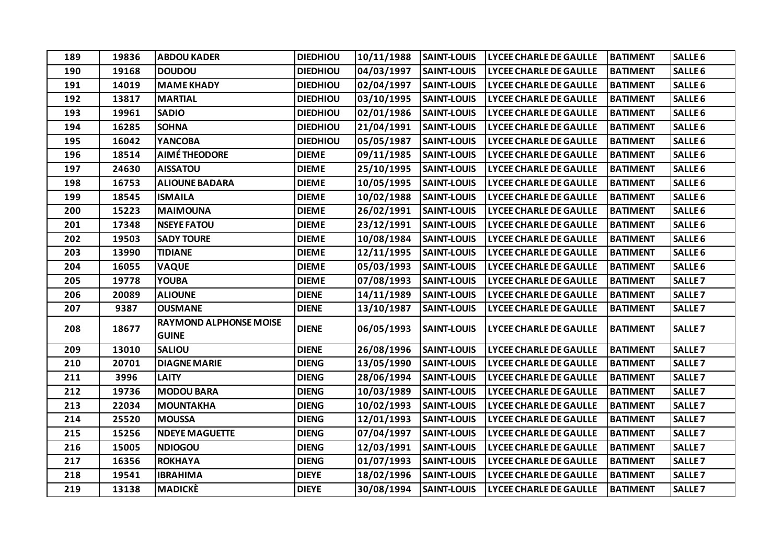| 189 | 19836 | <b>ABDOU KADER</b>                            | <b>DIEDHIOU</b> | 10/11/1988 | <b>SAINT-LOUIS</b> | <b>LYCEE CHARLE DE GAULLE</b> | <b>BATIMENT</b> | <b>SALLE 6</b>     |
|-----|-------|-----------------------------------------------|-----------------|------------|--------------------|-------------------------------|-----------------|--------------------|
| 190 | 19168 | <b>DOUDOU</b>                                 | <b>DIEDHIOU</b> | 04/03/1997 | <b>SAINT-LOUIS</b> | <b>LYCEE CHARLE DE GAULLE</b> | <b>BATIMENT</b> | <b>SALLE 6</b>     |
| 191 | 14019 | <b>MAME KHADY</b>                             | <b>DIEDHIOU</b> | 02/04/1997 | <b>SAINT-LOUIS</b> | <b>LYCEE CHARLE DE GAULLE</b> | <b>BATIMENT</b> | <b>SALLE 6</b>     |
| 192 | 13817 | <b>MARTIAL</b>                                | <b>DIEDHIOU</b> | 03/10/1995 | <b>SAINT-LOUIS</b> | <b>LYCEE CHARLE DE GAULLE</b> | <b>BATIMENT</b> | <b>SALLE 6</b>     |
| 193 | 19961 | <b>SADIO</b>                                  | <b>DIEDHIOU</b> | 02/01/1986 | <b>SAINT-LOUIS</b> | <b>LYCEE CHARLE DE GAULLE</b> | <b>BATIMENT</b> | SALLE <sub>6</sub> |
| 194 | 16285 | <b>SOHNA</b>                                  | <b>DIEDHIOU</b> | 21/04/1991 | <b>SAINT-LOUIS</b> | <b>LYCEE CHARLE DE GAULLE</b> | <b>BATIMENT</b> | <b>SALLE 6</b>     |
| 195 | 16042 | <b>YANCOBA</b>                                | <b>DIEDHIOU</b> | 05/05/1987 | <b>SAINT-LOUIS</b> | <b>LYCEE CHARLE DE GAULLE</b> | <b>BATIMENT</b> | SALLE <sub>6</sub> |
| 196 | 18514 | <b>AIMÉ THEODORE</b>                          | <b>DIEME</b>    | 09/11/1985 | <b>SAINT-LOUIS</b> | <b>LYCEE CHARLE DE GAULLE</b> | <b>BATIMENT</b> | SALLE <sub>6</sub> |
| 197 | 24630 | <b>AISSATOU</b>                               | <b>DIEME</b>    | 25/10/1995 | <b>SAINT-LOUIS</b> | <b>LYCEE CHARLE DE GAULLE</b> | <b>BATIMENT</b> | <b>SALLE 6</b>     |
| 198 | 16753 | <b>ALIOUNE BADARA</b>                         | <b>DIEME</b>    | 10/05/1995 | <b>SAINT-LOUIS</b> | <b>LYCEE CHARLE DE GAULLE</b> | <b>BATIMENT</b> | <b>SALLE 6</b>     |
| 199 | 18545 | <b>ISMAILA</b>                                | <b>DIEME</b>    | 10/02/1988 | <b>SAINT-LOUIS</b> | <b>LYCEE CHARLE DE GAULLE</b> | <b>BATIMENT</b> | <b>SALLE 6</b>     |
| 200 | 15223 | <b>MAIMOUNA</b>                               | <b>DIEME</b>    | 26/02/1991 | <b>SAINT-LOUIS</b> | <b>LYCEE CHARLE DE GAULLE</b> | <b>BATIMENT</b> | <b>SALLE 6</b>     |
| 201 | 17348 | <b>NSEYE FATOU</b>                            | <b>DIEME</b>    | 23/12/1991 | <b>SAINT-LOUIS</b> | <b>LYCEE CHARLE DE GAULLE</b> | <b>BATIMENT</b> | SALLE <sub>6</sub> |
| 202 | 19503 | <b>SADY TOURE</b>                             | <b>DIEME</b>    | 10/08/1984 | <b>SAINT-LOUIS</b> | <b>LYCEE CHARLE DE GAULLE</b> | <b>BATIMENT</b> | SALLE <sub>6</sub> |
| 203 | 13990 | <b>TIDIANE</b>                                | <b>DIEME</b>    | 12/11/1995 | <b>SAINT-LOUIS</b> | <b>LYCEE CHARLE DE GAULLE</b> | <b>BATIMENT</b> | <b>SALLE 6</b>     |
| 204 | 16055 | <b>VAQUE</b>                                  | <b>DIEME</b>    | 05/03/1993 | <b>SAINT-LOUIS</b> | <b>LYCEE CHARLE DE GAULLE</b> | <b>BATIMENT</b> | SALLE <sub>6</sub> |
| 205 | 19778 | <b>YOUBA</b>                                  | <b>DIEME</b>    | 07/08/1993 | <b>SAINT-LOUIS</b> | <b>LYCEE CHARLE DE GAULLE</b> | <b>BATIMENT</b> | <b>SALLE 7</b>     |
| 206 | 20089 | <b>ALIOUNE</b>                                | <b>DIENE</b>    | 14/11/1989 | <b>SAINT-LOUIS</b> | <b>LYCEE CHARLE DE GAULLE</b> | <b>BATIMENT</b> | <b>SALLE 7</b>     |
| 207 | 9387  | <b>OUSMANE</b>                                | <b>DIENE</b>    | 13/10/1987 | <b>SAINT-LOUIS</b> | <b>LYCEE CHARLE DE GAULLE</b> | <b>BATIMENT</b> | <b>SALLE 7</b>     |
| 208 | 18677 | <b>RAYMOND ALPHONSE MOISE</b><br><b>GUINE</b> | <b>DIENE</b>    | 06/05/1993 | <b>SAINT-LOUIS</b> | <b>LYCEE CHARLE DE GAULLE</b> | <b>BATIMENT</b> | <b>SALLE 7</b>     |
| 209 | 13010 | <b>SALIOU</b>                                 | <b>DIENE</b>    | 26/08/1996 | <b>SAINT-LOUIS</b> | <b>LYCEE CHARLE DE GAULLE</b> | <b>BATIMENT</b> | SALLE <sub>7</sub> |
| 210 | 20701 | <b>DIAGNE MARIE</b>                           | <b>DIENG</b>    | 13/05/1990 | <b>SAINT-LOUIS</b> | <b>LYCEE CHARLE DE GAULLE</b> | <b>BATIMENT</b> | <b>SALLE 7</b>     |
| 211 | 3996  | <b>LAITY</b>                                  | <b>DIENG</b>    | 28/06/1994 | <b>SAINT-LOUIS</b> | <b>LYCEE CHARLE DE GAULLE</b> | <b>BATIMENT</b> | <b>SALLE 7</b>     |
| 212 | 19736 | <b>MODOU BARA</b>                             | <b>DIENG</b>    | 10/03/1989 | <b>SAINT-LOUIS</b> | <b>LYCEE CHARLE DE GAULLE</b> | <b>BATIMENT</b> | <b>SALLE 7</b>     |
| 213 | 22034 | <b>MOUNTAKHA</b>                              | <b>DIENG</b>    | 10/02/1993 | <b>SAINT-LOUIS</b> | LYCEE CHARLE DE GAULLE        | <b>BATIMENT</b> | <b>SALLE 7</b>     |
| 214 | 25520 | <b>MOUSSA</b>                                 | <b>DIENG</b>    | 12/01/1993 | <b>SAINT-LOUIS</b> | <b>LYCEE CHARLE DE GAULLE</b> | <b>BATIMENT</b> | <b>SALLE 7</b>     |
| 215 | 15256 | <b>NDEYE MAGUETTE</b>                         | <b>DIENG</b>    | 07/04/1997 | <b>SAINT-LOUIS</b> | <b>LYCEE CHARLE DE GAULLE</b> | <b>BATIMENT</b> | <b>SALLE 7</b>     |
| 216 | 15005 | <b>NDIOGOU</b>                                | <b>DIENG</b>    | 12/03/1991 | <b>SAINT-LOUIS</b> | <b>LYCEE CHARLE DE GAULLE</b> | <b>BATIMENT</b> | <b>SALLE 7</b>     |
| 217 | 16356 | <b>ROKHAYA</b>                                | <b>DIENG</b>    | 01/07/1993 | <b>SAINT-LOUIS</b> | <b>LYCEE CHARLE DE GAULLE</b> | <b>BATIMENT</b> | <b>SALLE 7</b>     |
| 218 | 19541 | <b>IBRAHIMA</b>                               | <b>DIEYE</b>    | 18/02/1996 | <b>SAINT-LOUIS</b> | <b>LYCEE CHARLE DE GAULLE</b> | <b>BATIMENT</b> | SALLE <sub>7</sub> |
| 219 | 13138 | <b>MADICKE</b>                                | <b>DIEYE</b>    | 30/08/1994 | <b>SAINT-LOUIS</b> | <b>LYCEE CHARLE DE GAULLE</b> | <b>BATIMENT</b> | <b>SALLE 7</b>     |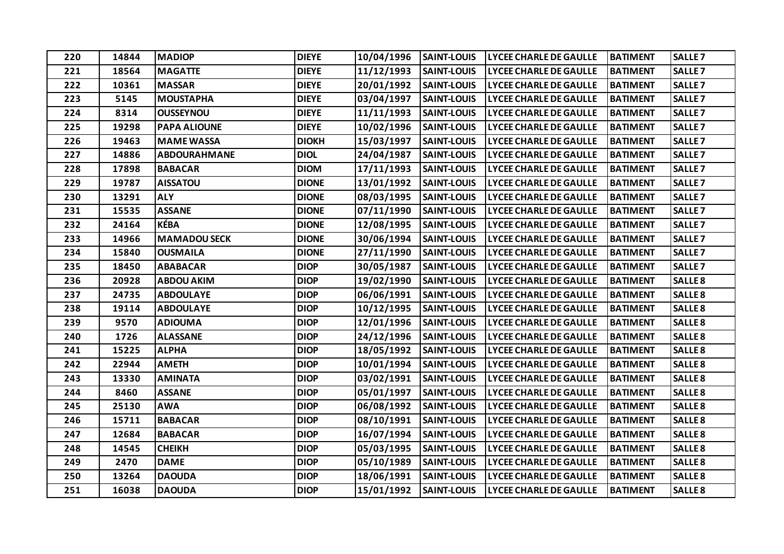| 220 | 14844 | <b>MADIOP</b>       | <b>DIEYE</b> | 10/04/1996 | <b>SAINT-LOUIS</b> | <b>LYCEE CHARLE DE GAULLE</b> | <b>BATIMENT</b> | <b>SALLE 7</b>     |
|-----|-------|---------------------|--------------|------------|--------------------|-------------------------------|-----------------|--------------------|
| 221 | 18564 | <b>MAGATTE</b>      | <b>DIEYE</b> | 11/12/1993 | <b>SAINT-LOUIS</b> | <b>LYCEE CHARLE DE GAULLE</b> | <b>BATIMENT</b> | <b>SALLE 7</b>     |
| 222 | 10361 | <b>MASSAR</b>       | <b>DIEYE</b> | 20/01/1992 | <b>SAINT-LOUIS</b> | <b>LYCEE CHARLE DE GAULLE</b> | <b>BATIMENT</b> | <b>SALLE 7</b>     |
| 223 | 5145  | <b>MOUSTAPHA</b>    | <b>DIEYE</b> | 03/04/1997 | <b>SAINT-LOUIS</b> | <b>LYCEE CHARLE DE GAULLE</b> | <b>BATIMENT</b> | <b>SALLE 7</b>     |
| 224 | 8314  | <b>OUSSEYNOU</b>    | <b>DIEYE</b> | 11/11/1993 | <b>SAINT-LOUIS</b> | <b>LYCEE CHARLE DE GAULLE</b> | <b>BATIMENT</b> | <b>SALLE 7</b>     |
| 225 | 19298 | <b>PAPA ALIOUNE</b> | <b>DIEYE</b> | 10/02/1996 | <b>SAINT-LOUIS</b> | <b>LYCEE CHARLE DE GAULLE</b> | <b>BATIMENT</b> | <b>SALLE 7</b>     |
| 226 | 19463 | <b>MAME WASSA</b>   | <b>DIOKH</b> | 15/03/1997 | <b>SAINT-LOUIS</b> | <b>LYCEE CHARLE DE GAULLE</b> | <b>BATIMENT</b> | <b>SALLE 7</b>     |
| 227 | 14886 | <b>ABDOURAHMANE</b> | <b>DIOL</b>  | 24/04/1987 | <b>SAINT-LOUIS</b> | <b>LYCEE CHARLE DE GAULLE</b> | <b>BATIMENT</b> | <b>SALLE 7</b>     |
| 228 | 17898 | <b>BABACAR</b>      | <b>DIOM</b>  | 17/11/1993 | <b>SAINT-LOUIS</b> | <b>LYCEE CHARLE DE GAULLE</b> | <b>BATIMENT</b> | <b>SALLE 7</b>     |
| 229 | 19787 | <b>AISSATOU</b>     | <b>DIONE</b> | 13/01/1992 | <b>SAINT-LOUIS</b> | <b>LYCEE CHARLE DE GAULLE</b> | <b>BATIMENT</b> | <b>SALLE 7</b>     |
| 230 | 13291 | <b>ALY</b>          | <b>DIONE</b> | 08/03/1995 | <b>SAINT-LOUIS</b> | <b>LYCEE CHARLE DE GAULLE</b> | <b>BATIMENT</b> | <b>SALLE 7</b>     |
| 231 | 15535 | <b>ASSANE</b>       | <b>DIONE</b> | 07/11/1990 | <b>SAINT-LOUIS</b> | <b>LYCEE CHARLE DE GAULLE</b> | <b>BATIMENT</b> | <b>SALLE 7</b>     |
| 232 | 24164 | <b>KÉBA</b>         | <b>DIONE</b> | 12/08/1995 | <b>SAINT-LOUIS</b> | <b>LYCEE CHARLE DE GAULLE</b> | <b>BATIMENT</b> | <b>SALLE 7</b>     |
| 233 | 14966 | <b>MAMADOU SECK</b> | <b>DIONE</b> | 30/06/1994 | <b>SAINT-LOUIS</b> | <b>LYCEE CHARLE DE GAULLE</b> | <b>BATIMENT</b> | <b>SALLE 7</b>     |
| 234 | 15840 | <b>OUSMAILA</b>     | <b>DIONE</b> | 27/11/1990 | <b>SAINT-LOUIS</b> | <b>LYCEE CHARLE DE GAULLE</b> | <b>BATIMENT</b> | <b>SALLE 7</b>     |
| 235 | 18450 | <b>ABABACAR</b>     | <b>DIOP</b>  | 30/05/1987 | <b>SAINT-LOUIS</b> | <b>LYCEE CHARLE DE GAULLE</b> | <b>BATIMENT</b> | <b>SALLE 7</b>     |
| 236 | 20928 | <b>ABDOU AKIM</b>   | <b>DIOP</b>  | 19/02/1990 | <b>SAINT-LOUIS</b> | <b>LYCEE CHARLE DE GAULLE</b> | <b>BATIMENT</b> | <b>SALLE 8</b>     |
| 237 | 24735 | <b>ABDOULAYE</b>    | <b>DIOP</b>  | 06/06/1991 | <b>SAINT-LOUIS</b> | <b>LYCEE CHARLE DE GAULLE</b> | <b>BATIMENT</b> | <b>SALLE 8</b>     |
| 238 | 19114 | <b>ABDOULAYE</b>    | <b>DIOP</b>  | 10/12/1995 | <b>SAINT-LOUIS</b> | <b>LYCEE CHARLE DE GAULLE</b> | <b>BATIMENT</b> | <b>SALLE 8</b>     |
| 239 | 9570  | <b>ADIOUMA</b>      | <b>DIOP</b>  | 12/01/1996 | <b>SAINT-LOUIS</b> | <b>LYCEE CHARLE DE GAULLE</b> | <b>BATIMENT</b> | <b>SALLE 8</b>     |
| 240 | 1726  | <b>ALASSANE</b>     | <b>DIOP</b>  | 24/12/1996 | <b>SAINT-LOUIS</b> | <b>LYCEE CHARLE DE GAULLE</b> | <b>BATIMENT</b> | <b>SALLE 8</b>     |
| 241 | 15225 | <b>ALPHA</b>        | <b>DIOP</b>  | 18/05/1992 | <b>SAINT-LOUIS</b> | <b>LYCEE CHARLE DE GAULLE</b> | <b>BATIMENT</b> | <b>SALLE 8</b>     |
| 242 | 22944 | <b>AMETH</b>        | <b>DIOP</b>  | 10/01/1994 | <b>SAINT-LOUIS</b> | <b>LYCEE CHARLE DE GAULLE</b> | <b>BATIMENT</b> | <b>SALLE 8</b>     |
| 243 | 13330 | <b>AMINATA</b>      | <b>DIOP</b>  | 03/02/1991 | <b>SAINT-LOUIS</b> | <b>LYCEE CHARLE DE GAULLE</b> | <b>BATIMENT</b> | <b>SALLE 8</b>     |
| 244 | 8460  | <b>ASSANE</b>       | <b>DIOP</b>  | 05/01/1997 | <b>SAINT-LOUIS</b> | <b>LYCEE CHARLE DE GAULLE</b> | <b>BATIMENT</b> | <b>SALLE 8</b>     |
| 245 | 25130 | <b>AWA</b>          | <b>DIOP</b>  | 06/08/1992 | <b>SAINT-LOUIS</b> | <b>LYCEE CHARLE DE GAULLE</b> | <b>BATIMENT</b> | <b>SALLE 8</b>     |
| 246 | 15711 | <b>BABACAR</b>      | <b>DIOP</b>  | 08/10/1991 | <b>SAINT-LOUIS</b> | <b>LYCEE CHARLE DE GAULLE</b> | <b>BATIMENT</b> | <b>SALLE 8</b>     |
| 247 | 12684 | <b>BABACAR</b>      | <b>DIOP</b>  | 16/07/1994 | <b>SAINT-LOUIS</b> | <b>LYCEE CHARLE DE GAULLE</b> | <b>BATIMENT</b> | <b>SALLE 8</b>     |
| 248 | 14545 | <b>CHEIKH</b>       | <b>DIOP</b>  | 05/03/1995 | <b>SAINT-LOUIS</b> | <b>LYCEE CHARLE DE GAULLE</b> | <b>BATIMENT</b> | <b>SALLE 8</b>     |
| 249 | 2470  | <b>DAME</b>         | <b>DIOP</b>  | 05/10/1989 | <b>SAINT-LOUIS</b> | <b>LYCEE CHARLE DE GAULLE</b> | <b>BATIMENT</b> | <b>SALLE 8</b>     |
| 250 | 13264 | <b>DAOUDA</b>       | <b>DIOP</b>  | 18/06/1991 | <b>SAINT-LOUIS</b> | <b>LYCEE CHARLE DE GAULLE</b> | <b>BATIMENT</b> | <b>SALLE 8</b>     |
| 251 | 16038 | <b>DAOUDA</b>       | <b>DIOP</b>  | 15/01/1992 | <b>SAINT-LOUIS</b> | <b>LYCEE CHARLE DE GAULLE</b> | <b>BATIMENT</b> | SALLE <sub>8</sub> |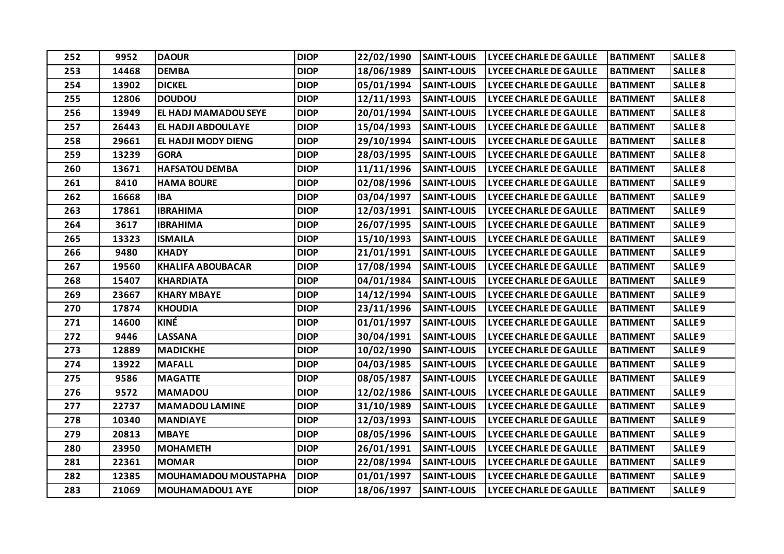| 252 | 9952  | <b>DAOUR</b>                | <b>DIOP</b> | 22/02/1990 | <b>SAINT-LOUIS</b> | <b>LYCEE CHARLE DE GAULLE</b> | <b>BATIMENT</b> | <b>SALLE 8</b>     |
|-----|-------|-----------------------------|-------------|------------|--------------------|-------------------------------|-----------------|--------------------|
| 253 | 14468 | <b>DEMBA</b>                | <b>DIOP</b> | 18/06/1989 | <b>SAINT-LOUIS</b> | <b>LYCEE CHARLE DE GAULLE</b> | <b>BATIMENT</b> | <b>SALLE 8</b>     |
| 254 | 13902 | <b>DICKEL</b>               | <b>DIOP</b> | 05/01/1994 | <b>SAINT-LOUIS</b> | <b>LYCEE CHARLE DE GAULLE</b> | <b>BATIMENT</b> | <b>SALLE 8</b>     |
| 255 | 12806 | <b>DOUDOU</b>               | <b>DIOP</b> | 12/11/1993 | <b>SAINT-LOUIS</b> | <b>LYCEE CHARLE DE GAULLE</b> | <b>BATIMENT</b> | <b>SALLE 8</b>     |
| 256 | 13949 | <b>EL HADJ MAMADOU SEYE</b> | <b>DIOP</b> | 20/01/1994 | <b>SAINT-LOUIS</b> | <b>LYCEE CHARLE DE GAULLE</b> | <b>BATIMENT</b> | <b>SALLE 8</b>     |
| 257 | 26443 | <b>EL HADJI ABDOULAYE</b>   | <b>DIOP</b> | 15/04/1993 | <b>SAINT-LOUIS</b> | <b>LYCEE CHARLE DE GAULLE</b> | <b>BATIMENT</b> | <b>SALLE 8</b>     |
| 258 | 29661 | EL HADJI MODY DIENG         | <b>DIOP</b> | 29/10/1994 | <b>SAINT-LOUIS</b> | <b>LYCEE CHARLE DE GAULLE</b> | <b>BATIMENT</b> | <b>SALLE 8</b>     |
| 259 | 13239 | <b>GORA</b>                 | <b>DIOP</b> | 28/03/1995 | <b>SAINT-LOUIS</b> | <b>LYCEE CHARLE DE GAULLE</b> | <b>BATIMENT</b> | <b>SALLE 8</b>     |
| 260 | 13671 | <b>HAFSATOU DEMBA</b>       | <b>DIOP</b> | 11/11/1996 | <b>SAINT-LOUIS</b> | <b>LYCEE CHARLE DE GAULLE</b> | <b>BATIMENT</b> | <b>SALLE 8</b>     |
| 261 | 8410  | <b>HAMA BOURE</b>           | <b>DIOP</b> | 02/08/1996 | <b>SAINT-LOUIS</b> | <b>LYCEE CHARLE DE GAULLE</b> | <b>BATIMENT</b> | <b>SALLE 9</b>     |
| 262 | 16668 | <b>IBA</b>                  | <b>DIOP</b> | 03/04/1997 | <b>SAINT-LOUIS</b> | <b>LYCEE CHARLE DE GAULLE</b> | <b>BATIMENT</b> | <b>SALLE 9</b>     |
| 263 | 17861 | <b>IBRAHIMA</b>             | <b>DIOP</b> | 12/03/1991 | <b>SAINT-LOUIS</b> | <b>LYCEE CHARLE DE GAULLE</b> | <b>BATIMENT</b> | <b>SALLE 9</b>     |
| 264 | 3617  | <b>IBRAHIMA</b>             | <b>DIOP</b> | 26/07/1995 | <b>SAINT-LOUIS</b> | <b>LYCEE CHARLE DE GAULLE</b> | <b>BATIMENT</b> | <b>SALLE 9</b>     |
| 265 | 13323 | <b>ISMAILA</b>              | <b>DIOP</b> | 15/10/1993 | <b>SAINT-LOUIS</b> | <b>LYCEE CHARLE DE GAULLE</b> | <b>BATIMENT</b> | <b>SALLE 9</b>     |
| 266 | 9480  | <b>KHADY</b>                | <b>DIOP</b> | 21/01/1991 | <b>SAINT-LOUIS</b> | <b>LYCEE CHARLE DE GAULLE</b> | <b>BATIMENT</b> | <b>SALLE 9</b>     |
| 267 | 19560 | <b>KHALIFA ABOUBACAR</b>    | <b>DIOP</b> | 17/08/1994 | <b>SAINT-LOUIS</b> | <b>LYCEE CHARLE DE GAULLE</b> | <b>BATIMENT</b> | <b>SALLE 9</b>     |
| 268 | 15407 | <b>KHARDIATA</b>            | <b>DIOP</b> | 04/01/1984 | <b>SAINT-LOUIS</b> | <b>LYCEE CHARLE DE GAULLE</b> | <b>BATIMENT</b> | <b>SALLE 9</b>     |
| 269 | 23667 | <b>KHARY MBAYE</b>          | <b>DIOP</b> | 14/12/1994 | <b>SAINT-LOUIS</b> | <b>LYCEE CHARLE DE GAULLE</b> | <b>BATIMENT</b> | <b>SALLE 9</b>     |
| 270 | 17874 | <b>KHOUDIA</b>              | <b>DIOP</b> | 23/11/1996 | <b>SAINT-LOUIS</b> | <b>LYCEE CHARLE DE GAULLE</b> | <b>BATIMENT</b> | <b>SALLE 9</b>     |
| 271 | 14600 | KINÉ                        | <b>DIOP</b> | 01/01/1997 | <b>SAINT-LOUIS</b> | <b>LYCEE CHARLE DE GAULLE</b> | <b>BATIMENT</b> | <b>SALLE 9</b>     |
| 272 | 9446  | <b>LASSANA</b>              | <b>DIOP</b> | 30/04/1991 | <b>SAINT-LOUIS</b> | <b>LYCEE CHARLE DE GAULLE</b> | <b>BATIMENT</b> | <b>SALLE 9</b>     |
| 273 | 12889 | <b>MADICKHE</b>             | <b>DIOP</b> | 10/02/1990 | <b>SAINT-LOUIS</b> | <b>LYCEE CHARLE DE GAULLE</b> | <b>BATIMENT</b> | <b>SALLE 9</b>     |
| 274 | 13922 | <b>MAFALL</b>               | <b>DIOP</b> | 04/03/1985 | <b>SAINT-LOUIS</b> | <b>LYCEE CHARLE DE GAULLE</b> | <b>BATIMENT</b> | <b>SALLE 9</b>     |
| 275 | 9586  | <b>MAGATTE</b>              | <b>DIOP</b> | 08/05/1987 | <b>SAINT-LOUIS</b> | <b>LYCEE CHARLE DE GAULLE</b> | <b>BATIMENT</b> | <b>SALLE 9</b>     |
| 276 | 9572  | <b>MAMADOU</b>              | <b>DIOP</b> | 12/02/1986 | <b>SAINT-LOUIS</b> | <b>LYCEE CHARLE DE GAULLE</b> | <b>BATIMENT</b> | <b>SALLE 9</b>     |
| 277 | 22737 | <b>MAMADOU LAMINE</b>       | <b>DIOP</b> | 31/10/1989 | <b>SAINT-LOUIS</b> | <b>LYCEE CHARLE DE GAULLE</b> | <b>BATIMENT</b> | SALLE <sub>9</sub> |
| 278 | 10340 | <b>MANDIAYE</b>             | <b>DIOP</b> | 12/03/1993 | <b>SAINT-LOUIS</b> | <b>LYCEE CHARLE DE GAULLE</b> | <b>BATIMENT</b> | <b>SALLE 9</b>     |
| 279 | 20813 | <b>MBAYE</b>                | <b>DIOP</b> | 08/05/1996 | <b>SAINT-LOUIS</b> | <b>LYCEE CHARLE DE GAULLE</b> | <b>BATIMENT</b> | <b>SALLE 9</b>     |
| 280 | 23950 | <b>MOHAMETH</b>             | <b>DIOP</b> | 26/01/1991 | <b>SAINT-LOUIS</b> | <b>LYCEE CHARLE DE GAULLE</b> | <b>BATIMENT</b> | SALLE <sub>9</sub> |
| 281 | 22361 | <b>MOMAR</b>                | <b>DIOP</b> | 22/08/1994 | <b>SAINT-LOUIS</b> | <b>LYCEE CHARLE DE GAULLE</b> | <b>BATIMENT</b> | <b>SALLE 9</b>     |
| 282 | 12385 | MOUHAMADOU MOUSTAPHA        | <b>DIOP</b> | 01/01/1997 | <b>SAINT-LOUIS</b> | <b>LYCEE CHARLE DE GAULLE</b> | <b>BATIMENT</b> | <b>SALLE 9</b>     |
| 283 | 21069 | <b>MOUHAMADOU1 AYE</b>      | <b>DIOP</b> | 18/06/1997 | <b>SAINT-LOUIS</b> | <b>LYCEE CHARLE DE GAULLE</b> | <b>BATIMENT</b> | <b>SALLE 9</b>     |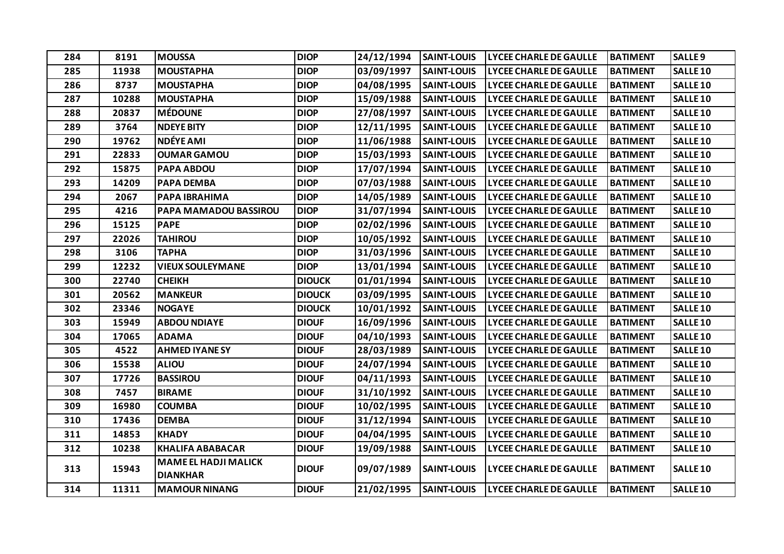| 284 | 8191  | <b>MOUSSA</b>                                  | <b>DIOP</b>   | 24/12/1994 | <b>SAINT-LOUIS</b> | <b>LYCEE CHARLE DE GAULLE</b> | <b>BATIMENT</b> | <b>SALLE 9</b>  |
|-----|-------|------------------------------------------------|---------------|------------|--------------------|-------------------------------|-----------------|-----------------|
| 285 | 11938 | <b>MOUSTAPHA</b>                               | <b>DIOP</b>   | 03/09/1997 | <b>SAINT-LOUIS</b> | <b>LYCEE CHARLE DE GAULLE</b> | <b>BATIMENT</b> | <b>SALLE 10</b> |
| 286 | 8737  | <b>MOUSTAPHA</b>                               | <b>DIOP</b>   | 04/08/1995 | <b>SAINT-LOUIS</b> | <b>LYCEE CHARLE DE GAULLE</b> | <b>BATIMENT</b> | <b>SALLE 10</b> |
| 287 | 10288 | <b>MOUSTAPHA</b>                               | <b>DIOP</b>   | 15/09/1988 | <b>SAINT-LOUIS</b> | <b>LYCEE CHARLE DE GAULLE</b> | <b>BATIMENT</b> | <b>SALLE 10</b> |
| 288 | 20837 | <b>MÉDOUNE</b>                                 | <b>DIOP</b>   | 27/08/1997 | <b>SAINT-LOUIS</b> | <b>LYCEE CHARLE DE GAULLE</b> | <b>BATIMENT</b> | <b>SALLE 10</b> |
| 289 | 3764  | <b>NDEYE BITY</b>                              | <b>DIOP</b>   | 12/11/1995 | <b>SAINT-LOUIS</b> | <b>LYCEE CHARLE DE GAULLE</b> | <b>BATIMENT</b> | <b>SALLE 10</b> |
| 290 | 19762 | <b>NDÉYE AMI</b>                               | <b>DIOP</b>   | 11/06/1988 | <b>SAINT-LOUIS</b> | <b>LYCEE CHARLE DE GAULLE</b> | <b>BATIMENT</b> | <b>SALLE 10</b> |
| 291 | 22833 | <b>OUMAR GAMOU</b>                             | <b>DIOP</b>   | 15/03/1993 | <b>SAINT-LOUIS</b> | <b>LYCEE CHARLE DE GAULLE</b> | <b>BATIMENT</b> | <b>SALLE 10</b> |
| 292 | 15875 | <b>PAPA ABDOU</b>                              | <b>DIOP</b>   | 17/07/1994 | <b>SAINT-LOUIS</b> | <b>LYCEE CHARLE DE GAULLE</b> | <b>BATIMENT</b> | <b>SALLE 10</b> |
| 293 | 14209 | <b>PAPA DEMBA</b>                              | <b>DIOP</b>   | 07/03/1988 | <b>SAINT-LOUIS</b> | <b>LYCEE CHARLE DE GAULLE</b> | <b>BATIMENT</b> | <b>SALLE 10</b> |
| 294 | 2067  | PAPA IBRAHIMA                                  | <b>DIOP</b>   | 14/05/1989 | <b>SAINT-LOUIS</b> | <b>LYCEE CHARLE DE GAULLE</b> | <b>BATIMENT</b> | <b>SALLE 10</b> |
| 295 | 4216  | PAPA MAMADOU BASSIROU                          | <b>DIOP</b>   | 31/07/1994 | <b>SAINT-LOUIS</b> | <b>LYCEE CHARLE DE GAULLE</b> | <b>BATIMENT</b> | <b>SALLE 10</b> |
| 296 | 15125 | <b>PAPE</b>                                    | <b>DIOP</b>   | 02/02/1996 | <b>SAINT-LOUIS</b> | <b>LYCEE CHARLE DE GAULLE</b> | <b>BATIMENT</b> | <b>SALLE 10</b> |
| 297 | 22026 | <b>TAHIROU</b>                                 | <b>DIOP</b>   | 10/05/1992 | <b>SAINT-LOUIS</b> | <b>LYCEE CHARLE DE GAULLE</b> | <b>BATIMENT</b> | <b>SALLE 10</b> |
| 298 | 3106  | <b>TAPHA</b>                                   | <b>DIOP</b>   | 31/03/1996 | <b>SAINT-LOUIS</b> | <b>LYCEE CHARLE DE GAULLE</b> | <b>BATIMENT</b> | <b>SALLE 10</b> |
| 299 | 12232 | <b>VIEUX SOULEYMANE</b>                        | <b>DIOP</b>   | 13/01/1994 | <b>SAINT-LOUIS</b> | <b>LYCEE CHARLE DE GAULLE</b> | <b>BATIMENT</b> | <b>SALLE 10</b> |
| 300 | 22740 | <b>CHEIKH</b>                                  | <b>DIOUCK</b> | 01/01/1994 | <b>SAINT-LOUIS</b> | <b>LYCEE CHARLE DE GAULLE</b> | <b>BATIMENT</b> | <b>SALLE 10</b> |
| 301 | 20562 | <b>MANKEUR</b>                                 | <b>DIOUCK</b> | 03/09/1995 | <b>SAINT-LOUIS</b> | <b>LYCEE CHARLE DE GAULLE</b> | <b>BATIMENT</b> | <b>SALLE 10</b> |
| 302 | 23346 | <b>NOGAYE</b>                                  | <b>DIOUCK</b> | 10/01/1992 | <b>SAINT-LOUIS</b> | <b>LYCEE CHARLE DE GAULLE</b> | <b>BATIMENT</b> | <b>SALLE 10</b> |
| 303 | 15949 | <b>ABDOU NDIAYE</b>                            | <b>DIOUF</b>  | 16/09/1996 | <b>SAINT-LOUIS</b> | <b>LYCEE CHARLE DE GAULLE</b> | <b>BATIMENT</b> | <b>SALLE 10</b> |
| 304 | 17065 | <b>ADAMA</b>                                   | <b>DIOUF</b>  | 04/10/1993 | <b>SAINT-LOUIS</b> | <b>LYCEE CHARLE DE GAULLE</b> | <b>BATIMENT</b> | <b>SALLE 10</b> |
| 305 | 4522  | <b>AHMED IYANE SY</b>                          | <b>DIOUF</b>  | 28/03/1989 | <b>SAINT-LOUIS</b> | <b>LYCEE CHARLE DE GAULLE</b> | <b>BATIMENT</b> | <b>SALLE 10</b> |
| 306 | 15538 | <b>ALIOU</b>                                   | <b>DIOUF</b>  | 24/07/1994 | <b>SAINT-LOUIS</b> | <b>LYCEE CHARLE DE GAULLE</b> | <b>BATIMENT</b> | <b>SALLE 10</b> |
| 307 | 17726 | <b>BASSIROU</b>                                | <b>DIOUF</b>  | 04/11/1993 | <b>SAINT-LOUIS</b> | <b>LYCEE CHARLE DE GAULLE</b> | <b>BATIMENT</b> | <b>SALLE 10</b> |
| 308 | 7457  | <b>BIRAME</b>                                  | <b>DIOUF</b>  | 31/10/1992 | <b>SAINT-LOUIS</b> | <b>LYCEE CHARLE DE GAULLE</b> | <b>BATIMENT</b> | <b>SALLE 10</b> |
| 309 | 16980 | <b>COUMBA</b>                                  | <b>DIOUF</b>  | 10/02/1995 | <b>SAINT-LOUIS</b> | <b>LYCEE CHARLE DE GAULLE</b> | <b>BATIMENT</b> | <b>SALLE 10</b> |
| 310 | 17436 | <b>DEMBA</b>                                   | <b>DIOUF</b>  | 31/12/1994 | <b>SAINT-LOUIS</b> | <b>LYCEE CHARLE DE GAULLE</b> | <b>BATIMENT</b> | <b>SALLE 10</b> |
| 311 | 14853 | <b>KHADY</b>                                   | <b>DIOUF</b>  | 04/04/1995 | <b>SAINT-LOUIS</b> | <b>LYCEE CHARLE DE GAULLE</b> | <b>BATIMENT</b> | <b>SALLE 10</b> |
| 312 | 10238 | <b>KHALIFA ABABACAR</b>                        | <b>DIOUF</b>  | 19/09/1988 | <b>SAINT-LOUIS</b> | <b>LYCEE CHARLE DE GAULLE</b> | <b>BATIMENT</b> | <b>SALLE 10</b> |
| 313 | 15943 | <b>MAME EL HADJI MALICK</b><br><b>DIANKHAR</b> | <b>DIOUF</b>  | 09/07/1989 | <b>SAINT-LOUIS</b> | <b>LYCEE CHARLE DE GAULLE</b> | <b>BATIMENT</b> | <b>SALLE 10</b> |
| 314 | 11311 | <b>MAMOUR NINANG</b>                           | <b>DIOUF</b>  | 21/02/1995 | <b>SAINT-LOUIS</b> | <b>LYCEE CHARLE DE GAULLE</b> | <b>BATIMENT</b> | <b>SALLE 10</b> |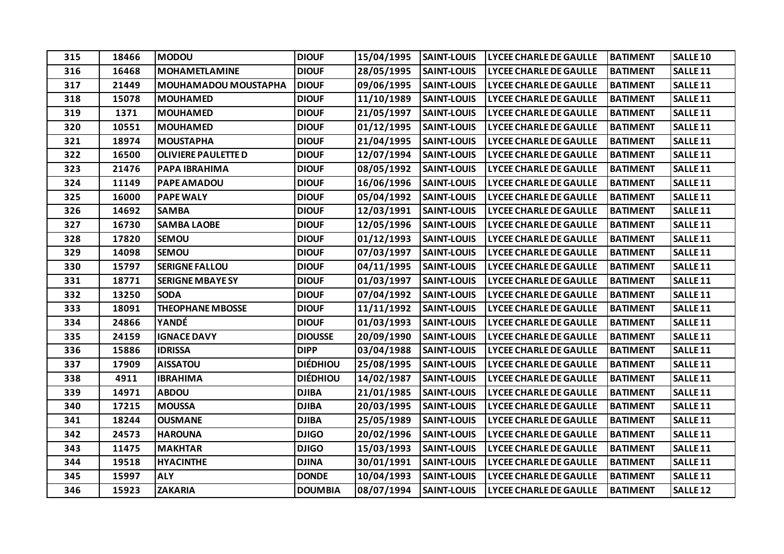| 315 | 18466 | <b>MODOU</b>                | <b>DIOUF</b>    | 15/04/1995 | <b>SAINT-LOUIS</b> | <b>LYCEE CHARLE DE GAULLE</b> | <b>BATIMENT</b> | <b>SALLE 10</b>     |
|-----|-------|-----------------------------|-----------------|------------|--------------------|-------------------------------|-----------------|---------------------|
| 316 | 16468 | <b>MOHAMETLAMINE</b>        | <b>DIOUF</b>    | 28/05/1995 | <b>SAINT-LOUIS</b> | <b>LYCEE CHARLE DE GAULLE</b> | <b>BATIMENT</b> | SALLE <sub>11</sub> |
| 317 | 21449 | <b>MOUHAMADOU MOUSTAPHA</b> | <b>DIOUF</b>    | 09/06/1995 | <b>SAINT-LOUIS</b> | <b>LYCEE CHARLE DE GAULLE</b> | <b>BATIMENT</b> | SALLE <sub>11</sub> |
| 318 | 15078 | <b>MOUHAMED</b>             | <b>DIOUF</b>    | 11/10/1989 | <b>SAINT-LOUIS</b> | <b>LYCEE CHARLE DE GAULLE</b> | <b>BATIMENT</b> | SALLE <sub>11</sub> |
| 319 | 1371  | <b>MOUHAMED</b>             | <b>DIOUF</b>    | 21/05/1997 | <b>SAINT-LOUIS</b> | <b>LYCEE CHARLE DE GAULLE</b> | <b>BATIMENT</b> | SALLE <sub>11</sub> |
| 320 | 10551 | <b>MOUHAMED</b>             | <b>DIOUF</b>    | 01/12/1995 | <b>SAINT-LOUIS</b> | <b>LYCEE CHARLE DE GAULLE</b> | <b>BATIMENT</b> | SALLE <sub>11</sub> |
| 321 | 18974 | <b>MOUSTAPHA</b>            | <b>DIOUF</b>    | 21/04/1995 | <b>SAINT-LOUIS</b> | <b>LYCEE CHARLE DE GAULLE</b> | <b>BATIMENT</b> | SALLE <sub>11</sub> |
| 322 | 16500 | <b>OLIVIERE PAULETTE D</b>  | <b>DIOUF</b>    | 12/07/1994 | <b>SAINT-LOUIS</b> | <b>LYCEE CHARLE DE GAULLE</b> | <b>BATIMENT</b> | SALLE <sub>11</sub> |
| 323 | 21476 | PAPA IBRAHIMA               | <b>DIOUF</b>    | 08/05/1992 | <b>SAINT-LOUIS</b> | <b>LYCEE CHARLE DE GAULLE</b> | <b>BATIMENT</b> | SALLE <sub>11</sub> |
| 324 | 11149 | PAPE AMADOU                 | <b>DIOUF</b>    | 16/06/1996 | <b>SAINT-LOUIS</b> | <b>LYCEE CHARLE DE GAULLE</b> | <b>BATIMENT</b> | SALLE <sub>11</sub> |
| 325 | 16000 | <b>PAPE WALY</b>            | <b>DIOUF</b>    | 05/04/1992 | <b>SAINT-LOUIS</b> | <b>LYCEE CHARLE DE GAULLE</b> | <b>BATIMENT</b> | SALLE <sub>11</sub> |
| 326 | 14692 | <b>SAMBA</b>                | <b>DIOUF</b>    | 12/03/1991 | <b>SAINT-LOUIS</b> | <b>LYCEE CHARLE DE GAULLE</b> | <b>BATIMENT</b> | <b>SALLE 11</b>     |
| 327 | 16730 | <b>SAMBA LAOBE</b>          | <b>DIOUF</b>    | 12/05/1996 | <b>SAINT-LOUIS</b> | <b>LYCEE CHARLE DE GAULLE</b> | <b>BATIMENT</b> | SALLE <sub>11</sub> |
| 328 | 17820 | <b>SEMOU</b>                | <b>DIOUF</b>    | 01/12/1993 | <b>SAINT-LOUIS</b> | <b>LYCEE CHARLE DE GAULLE</b> | <b>BATIMENT</b> | SALLE <sub>11</sub> |
| 329 | 14098 | <b>SEMOU</b>                | <b>DIOUF</b>    | 07/03/1997 | <b>SAINT-LOUIS</b> | <b>LYCEE CHARLE DE GAULLE</b> | <b>BATIMENT</b> | SALLE <sub>11</sub> |
| 330 | 15797 | <b>SERIGNE FALLOU</b>       | <b>DIOUF</b>    | 04/11/1995 | <b>SAINT-LOUIS</b> | <b>LYCEE CHARLE DE GAULLE</b> | <b>BATIMENT</b> | SALLE <sub>11</sub> |
| 331 | 18771 | <b>SERIGNE MBAYE SY</b>     | <b>DIOUF</b>    | 01/03/1997 | <b>SAINT-LOUIS</b> | <b>LYCEE CHARLE DE GAULLE</b> | <b>BATIMENT</b> | SALLE <sub>11</sub> |
| 332 | 13250 | <b>SODA</b>                 | <b>DIOUF</b>    | 07/04/1992 | <b>SAINT-LOUIS</b> | <b>LYCEE CHARLE DE GAULLE</b> | <b>BATIMENT</b> | SALLE <sub>11</sub> |
| 333 | 18091 | <b>THEOPHANE MBOSSE</b>     | <b>DIOUF</b>    | 11/11/1992 | <b>SAINT-LOUIS</b> | <b>LYCEE CHARLE DE GAULLE</b> | <b>BATIMENT</b> | SALLE <sub>11</sub> |
| 334 | 24866 | YANDÉ                       | <b>DIOUF</b>    | 01/03/1993 | <b>SAINT-LOUIS</b> | <b>LYCEE CHARLE DE GAULLE</b> | <b>BATIMENT</b> | SALLE <sub>11</sub> |
| 335 | 24159 | <b>IGNACE DAVY</b>          | <b>DIOUSSE</b>  | 20/09/1990 | <b>SAINT-LOUIS</b> | <b>LYCEE CHARLE DE GAULLE</b> | <b>BATIMENT</b> | SALLE <sub>11</sub> |
| 336 | 15886 | <b>IDRISSA</b>              | <b>DIPP</b>     | 03/04/1988 | <b>SAINT-LOUIS</b> | <b>LYCEE CHARLE DE GAULLE</b> | <b>BATIMENT</b> | SALLE <sub>11</sub> |
| 337 | 17909 | <b>AISSATOU</b>             | <b>DIÉDHIOU</b> | 25/08/1995 | <b>SAINT-LOUIS</b> | <b>LYCEE CHARLE DE GAULLE</b> | <b>BATIMENT</b> | SALLE <sub>11</sub> |
| 338 | 4911  | <b>IBRAHIMA</b>             | <b>DIÉDHIOU</b> | 14/02/1987 | <b>SAINT-LOUIS</b> | <b>LYCEE CHARLE DE GAULLE</b> | <b>BATIMENT</b> | SALLE <sub>11</sub> |
| 339 | 14971 | <b>ABDOU</b>                | <b>DJIBA</b>    | 21/01/1985 | <b>SAINT-LOUIS</b> | <b>LYCEE CHARLE DE GAULLE</b> | <b>BATIMENT</b> | SALLE <sub>11</sub> |
| 340 | 17215 | <b>MOUSSA</b>               | <b>DJIBA</b>    | 20/03/1995 | <b>SAINT-LOUIS</b> | <b>LYCEE CHARLE DE GAULLE</b> | <b>BATIMENT</b> | SALLE <sub>11</sub> |
| 341 | 18244 | <b>OUSMANE</b>              | <b>DJIBA</b>    | 25/05/1989 | <b>SAINT-LOUIS</b> | <b>LYCEE CHARLE DE GAULLE</b> | <b>BATIMENT</b> | SALLE <sub>11</sub> |
| 342 | 24573 | <b>HAROUNA</b>              | <b>DJIGO</b>    | 20/02/1996 | <b>SAINT-LOUIS</b> | <b>LYCEE CHARLE DE GAULLE</b> | <b>BATIMENT</b> | SALLE <sub>11</sub> |
| 343 | 11475 | <b>MAKHTAR</b>              | <b>DJIGO</b>    | 15/03/1993 | <b>SAINT-LOUIS</b> | <b>LYCEE CHARLE DE GAULLE</b> | <b>BATIMENT</b> | SALLE <sub>11</sub> |
| 344 | 19518 | <b>HYACINTHE</b>            | <b>DJINA</b>    | 30/01/1991 | <b>SAINT-LOUIS</b> | <b>LYCEE CHARLE DE GAULLE</b> | <b>BATIMENT</b> | SALLE <sub>11</sub> |
| 345 | 15997 | <b>ALY</b>                  | <b>DONDE</b>    | 10/04/1993 | <b>SAINT-LOUIS</b> | <b>LYCEE CHARLE DE GAULLE</b> | <b>BATIMENT</b> | SALLE <sub>11</sub> |
| 346 | 15923 | <b>ZAKARIA</b>              | <b>DOUMBIA</b>  | 08/07/1994 | <b>SAINT-LOUIS</b> | <b>LYCEE CHARLE DE GAULLE</b> | <b>BATIMENT</b> | <b>SALLE 12</b>     |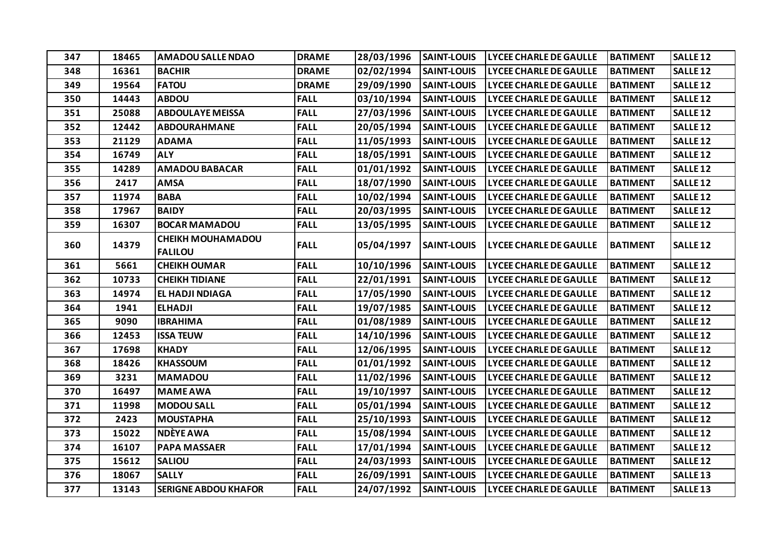| 347 | 18465 | <b>AMADOU SALLE NDAO</b>                   | <b>DRAME</b> | 28/03/1996 | <b>SAINT-LOUIS</b> | <b>LYCEE CHARLE DE GAULLE</b> | <b>BATIMENT</b> | SALLE <sub>12</sub> |
|-----|-------|--------------------------------------------|--------------|------------|--------------------|-------------------------------|-----------------|---------------------|
| 348 | 16361 | <b>BACHIR</b>                              | <b>DRAME</b> | 02/02/1994 | <b>SAINT-LOUIS</b> | <b>LYCEE CHARLE DE GAULLE</b> | <b>BATIMENT</b> | <b>SALLE 12</b>     |
| 349 | 19564 | <b>FATOU</b>                               | <b>DRAME</b> | 29/09/1990 | <b>SAINT-LOUIS</b> | <b>LYCEE CHARLE DE GAULLE</b> | <b>BATIMENT</b> | <b>SALLE 12</b>     |
| 350 | 14443 | <b>ABDOU</b>                               | <b>FALL</b>  | 03/10/1994 | <b>SAINT-LOUIS</b> | <b>LYCEE CHARLE DE GAULLE</b> | <b>BATIMENT</b> | <b>SALLE 12</b>     |
| 351 | 25088 | <b>ABDOULAYE MEISSA</b>                    | <b>FALL</b>  | 27/03/1996 | <b>SAINT-LOUIS</b> | <b>LYCEE CHARLE DE GAULLE</b> | <b>BATIMENT</b> | <b>SALLE 12</b>     |
| 352 | 12442 | <b>ABDOURAHMANE</b>                        | <b>FALL</b>  | 20/05/1994 | <b>SAINT-LOUIS</b> | <b>LYCEE CHARLE DE GAULLE</b> | <b>BATIMENT</b> | <b>SALLE 12</b>     |
| 353 | 21129 | <b>ADAMA</b>                               | <b>FALL</b>  | 11/05/1993 | <b>SAINT-LOUIS</b> | <b>LYCEE CHARLE DE GAULLE</b> | <b>BATIMENT</b> | <b>SALLE 12</b>     |
| 354 | 16749 | <b>ALY</b>                                 | <b>FALL</b>  | 18/05/1991 | <b>SAINT-LOUIS</b> | <b>LYCEE CHARLE DE GAULLE</b> | <b>BATIMENT</b> | <b>SALLE 12</b>     |
| 355 | 14289 | <b>AMADOU BABACAR</b>                      | <b>FALL</b>  | 01/01/1992 | <b>SAINT-LOUIS</b> | <b>LYCEE CHARLE DE GAULLE</b> | <b>BATIMENT</b> | <b>SALLE 12</b>     |
| 356 | 2417  | <b>AMSA</b>                                | <b>FALL</b>  | 18/07/1990 | <b>SAINT-LOUIS</b> | <b>LYCEE CHARLE DE GAULLE</b> | <b>BATIMENT</b> | <b>SALLE 12</b>     |
| 357 | 11974 | <b>BABA</b>                                | <b>FALL</b>  | 10/02/1994 | <b>SAINT-LOUIS</b> | <b>LYCEE CHARLE DE GAULLE</b> | <b>BATIMENT</b> | <b>SALLE 12</b>     |
| 358 | 17967 | <b>BAIDY</b>                               | <b>FALL</b>  | 20/03/1995 | <b>SAINT-LOUIS</b> | <b>LYCEE CHARLE DE GAULLE</b> | <b>BATIMENT</b> | <b>SALLE 12</b>     |
| 359 | 16307 | <b>BOCAR MAMADOU</b>                       | <b>FALL</b>  | 13/05/1995 | <b>SAINT-LOUIS</b> | <b>LYCEE CHARLE DE GAULLE</b> | <b>BATIMENT</b> | <b>SALLE 12</b>     |
| 360 | 14379 | <b>CHEIKH MOUHAMADOU</b><br><b>FALILOU</b> | <b>FALL</b>  | 05/04/1997 | <b>SAINT-LOUIS</b> | <b>LYCEE CHARLE DE GAULLE</b> | <b>BATIMENT</b> | <b>SALLE 12</b>     |
| 361 | 5661  | <b>CHEIKH OUMAR</b>                        | <b>FALL</b>  | 10/10/1996 | <b>SAINT-LOUIS</b> | <b>LYCEE CHARLE DE GAULLE</b> | <b>BATIMENT</b> | <b>SALLE 12</b>     |
| 362 | 10733 | <b>CHEIKH TIDIANE</b>                      | <b>FALL</b>  | 22/01/1991 | <b>SAINT-LOUIS</b> | <b>LYCEE CHARLE DE GAULLE</b> | <b>BATIMENT</b> | <b>SALLE 12</b>     |
| 363 | 14974 | EL HADJI NDIAGA                            | <b>FALL</b>  | 17/05/1990 | <b>SAINT-LOUIS</b> | <b>LYCEE CHARLE DE GAULLE</b> | <b>BATIMENT</b> | <b>SALLE 12</b>     |
| 364 | 1941  | <b>ELHADJI</b>                             | <b>FALL</b>  | 19/07/1985 | <b>SAINT-LOUIS</b> | <b>LYCEE CHARLE DE GAULLE</b> | <b>BATIMENT</b> | <b>SALLE 12</b>     |
| 365 | 9090  | <b>IBRAHIMA</b>                            | <b>FALL</b>  | 01/08/1989 | <b>SAINT-LOUIS</b> | LYCEE CHARLE DE GAULLE        | <b>BATIMENT</b> | <b>SALLE 12</b>     |
| 366 | 12453 | <b>ISSA TEUW</b>                           | <b>FALL</b>  | 14/10/1996 | <b>SAINT-LOUIS</b> | <b>LYCEE CHARLE DE GAULLE</b> | <b>BATIMENT</b> | <b>SALLE 12</b>     |
| 367 | 17698 | <b>KHADY</b>                               | <b>FALL</b>  | 12/06/1995 | <b>SAINT-LOUIS</b> | <b>LYCEE CHARLE DE GAULLE</b> | <b>BATIMENT</b> | <b>SALLE 12</b>     |
| 368 | 18426 | <b>KHASSOUM</b>                            | <b>FALL</b>  | 01/01/1992 | <b>SAINT-LOUIS</b> | <b>LYCEE CHARLE DE GAULLE</b> | <b>BATIMENT</b> | <b>SALLE 12</b>     |
| 369 | 3231  | <b>MAMADOU</b>                             | <b>FALL</b>  | 11/02/1996 | <b>SAINT-LOUIS</b> | <b>LYCEE CHARLE DE GAULLE</b> | <b>BATIMENT</b> | <b>SALLE 12</b>     |
| 370 | 16497 | <b>MAME AWA</b>                            | <b>FALL</b>  | 19/10/1997 | <b>SAINT-LOUIS</b> | <b>LYCEE CHARLE DE GAULLE</b> | <b>BATIMENT</b> | <b>SALLE 12</b>     |
| 371 | 11998 | <b>MODOU SALL</b>                          | <b>FALL</b>  | 05/01/1994 | <b>SAINT-LOUIS</b> | <b>LYCEE CHARLE DE GAULLE</b> | <b>BATIMENT</b> | <b>SALLE 12</b>     |
| 372 | 2423  | <b>MOUSTAPHA</b>                           | <b>FALL</b>  | 25/10/1993 | <b>SAINT-LOUIS</b> | <b>LYCEE CHARLE DE GAULLE</b> | <b>BATIMENT</b> | <b>SALLE 12</b>     |
| 373 | 15022 | NDÈYE AWA                                  | <b>FALL</b>  | 15/08/1994 | <b>SAINT-LOUIS</b> | <b>LYCEE CHARLE DE GAULLE</b> | <b>BATIMENT</b> | <b>SALLE 12</b>     |
| 374 | 16107 | <b>PAPA MASSAER</b>                        | <b>FALL</b>  | 17/01/1994 | <b>SAINT-LOUIS</b> | <b>LYCEE CHARLE DE GAULLE</b> | <b>BATIMENT</b> | <b>SALLE 12</b>     |
| 375 | 15612 | <b>SALIOU</b>                              | <b>FALL</b>  | 24/03/1993 | <b>SAINT-LOUIS</b> | <b>LYCEE CHARLE DE GAULLE</b> | <b>BATIMENT</b> | <b>SALLE 12</b>     |
| 376 | 18067 | <b>SALLY</b>                               | <b>FALL</b>  | 26/09/1991 | <b>SAINT-LOUIS</b> | <b>LYCEE CHARLE DE GAULLE</b> | <b>BATIMENT</b> | <b>SALLE 13</b>     |
| 377 | 13143 | <b>SERIGNE ABDOU KHAFOR</b>                | <b>FALL</b>  | 24/07/1992 | <b>SAINT-LOUIS</b> | <b>LYCEE CHARLE DE GAULLE</b> | <b>BATIMENT</b> | <b>SALLE 13</b>     |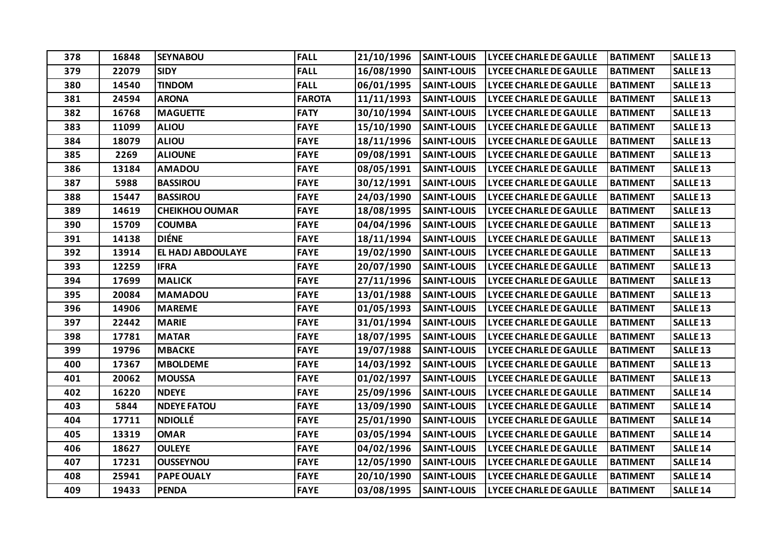| 378 | 16848 | <b>SEYNABOU</b>       | <b>FALL</b>   | 21/10/1996 | <b>SAINT-LOUIS</b> | <b>LYCEE CHARLE DE GAULLE</b> | <b>BATIMENT</b> | <b>SALLE<sub>13</sub></b> |
|-----|-------|-----------------------|---------------|------------|--------------------|-------------------------------|-----------------|---------------------------|
| 379 | 22079 | <b>SIDY</b>           | <b>FALL</b>   | 16/08/1990 | <b>SAINT-LOUIS</b> | <b>LYCEE CHARLE DE GAULLE</b> | <b>BATIMENT</b> | <b>SALLE 13</b>           |
| 380 | 14540 | <b>TINDOM</b>         | <b>FALL</b>   | 06/01/1995 | <b>SAINT-LOUIS</b> | <b>LYCEE CHARLE DE GAULLE</b> | <b>BATIMENT</b> | <b>SALLE 13</b>           |
| 381 | 24594 | <b>ARONA</b>          | <b>FAROTA</b> | 11/11/1993 | <b>SAINT-LOUIS</b> | <b>LYCEE CHARLE DE GAULLE</b> | <b>BATIMENT</b> | <b>SALLE 13</b>           |
| 382 | 16768 | <b>MAGUETTE</b>       | <b>FATY</b>   | 30/10/1994 | <b>SAINT-LOUIS</b> | <b>LYCEE CHARLE DE GAULLE</b> | <b>BATIMENT</b> | <b>SALLE 13</b>           |
| 383 | 11099 | <b>ALIOU</b>          | <b>FAYE</b>   | 15/10/1990 | <b>SAINT-LOUIS</b> | <b>LYCEE CHARLE DE GAULLE</b> | <b>BATIMENT</b> | <b>SALLE 13</b>           |
| 384 | 18079 | <b>ALIOU</b>          | <b>FAYE</b>   | 18/11/1996 | <b>SAINT-LOUIS</b> | <b>LYCEE CHARLE DE GAULLE</b> | <b>BATIMENT</b> | <b>SALLE 13</b>           |
| 385 | 2269  | <b>ALIOUNE</b>        | <b>FAYE</b>   | 09/08/1991 | <b>SAINT-LOUIS</b> | <b>LYCEE CHARLE DE GAULLE</b> | <b>BATIMENT</b> | <b>SALLE 13</b>           |
| 386 | 13184 | <b>AMADOU</b>         | <b>FAYE</b>   | 08/05/1991 | <b>SAINT-LOUIS</b> | <b>LYCEE CHARLE DE GAULLE</b> | <b>BATIMENT</b> | <b>SALLE 13</b>           |
| 387 | 5988  | <b>BASSIROU</b>       | <b>FAYE</b>   | 30/12/1991 | <b>SAINT-LOUIS</b> | <b>LYCEE CHARLE DE GAULLE</b> | <b>BATIMENT</b> | SALLE <sub>13</sub>       |
| 388 | 15447 | <b>BASSIROU</b>       | <b>FAYE</b>   | 24/03/1990 | <b>SAINT-LOUIS</b> | <b>LYCEE CHARLE DE GAULLE</b> | <b>BATIMENT</b> | <b>SALLE 13</b>           |
| 389 | 14619 | <b>CHEIKHOU OUMAR</b> | <b>FAYE</b>   | 18/08/1995 | <b>SAINT-LOUIS</b> | <b>LYCEE CHARLE DE GAULLE</b> | <b>BATIMENT</b> | <b>SALLE 13</b>           |
| 390 | 15709 | <b>COUMBA</b>         | <b>FAYE</b>   | 04/04/1996 | <b>SAINT-LOUIS</b> | <b>LYCEE CHARLE DE GAULLE</b> | <b>BATIMENT</b> | <b>SALLE 13</b>           |
| 391 | 14138 | <b>DIÉNE</b>          | <b>FAYE</b>   | 18/11/1994 | <b>SAINT-LOUIS</b> | <b>LYCEE CHARLE DE GAULLE</b> | <b>BATIMENT</b> | <b>SALLE<sub>13</sub></b> |
| 392 | 13914 | EL HADJ ABDOULAYE     | <b>FAYE</b>   | 19/02/1990 | <b>SAINT-LOUIS</b> | <b>LYCEE CHARLE DE GAULLE</b> | <b>BATIMENT</b> | <b>SALLE 13</b>           |
| 393 | 12259 | <b>IFRA</b>           | <b>FAYE</b>   | 20/07/1990 | <b>SAINT-LOUIS</b> | <b>LYCEE CHARLE DE GAULLE</b> | <b>BATIMENT</b> | SALLE <sub>13</sub>       |
| 394 | 17699 | <b>MALICK</b>         | <b>FAYE</b>   | 27/11/1996 | <b>SAINT-LOUIS</b> | <b>LYCEE CHARLE DE GAULLE</b> | <b>BATIMENT</b> | <b>SALLE<sub>13</sub></b> |
| 395 | 20084 | <b>MAMADOU</b>        | <b>FAYE</b>   | 13/01/1988 | <b>SAINT-LOUIS</b> | <b>LYCEE CHARLE DE GAULLE</b> | <b>BATIMENT</b> | SALLE <sub>13</sub>       |
| 396 | 14906 | <b>MAREME</b>         | <b>FAYE</b>   | 01/05/1993 | <b>SAINT-LOUIS</b> | <b>LYCEE CHARLE DE GAULLE</b> | <b>BATIMENT</b> | <b>SALLE<sub>13</sub></b> |
| 397 | 22442 | <b>MARIE</b>          | <b>FAYE</b>   | 31/01/1994 | <b>SAINT-LOUIS</b> | <b>LYCEE CHARLE DE GAULLE</b> | <b>BATIMENT</b> | <b>SALLE 13</b>           |
| 398 | 17781 | <b>MATAR</b>          | <b>FAYE</b>   | 18/07/1995 | <b>SAINT-LOUIS</b> | <b>LYCEE CHARLE DE GAULLE</b> | <b>BATIMENT</b> | SALLE <sub>13</sub>       |
| 399 | 19796 | <b>MBACKE</b>         | <b>FAYE</b>   | 19/07/1988 | <b>SAINT-LOUIS</b> | <b>LYCEE CHARLE DE GAULLE</b> | <b>BATIMENT</b> | <b>SALLE 13</b>           |
| 400 | 17367 | <b>MBOLDEME</b>       | <b>FAYE</b>   | 14/03/1992 | <b>SAINT-LOUIS</b> | <b>LYCEE CHARLE DE GAULLE</b> | <b>BATIMENT</b> | <b>SALLE<sub>13</sub></b> |
| 401 | 20062 | <b>MOUSSA</b>         | <b>FAYE</b>   | 01/02/1997 | <b>SAINT-LOUIS</b> | <b>LYCEE CHARLE DE GAULLE</b> | <b>BATIMENT</b> | <b>SALLE<sub>13</sub></b> |
| 402 | 16220 | <b>NDEYE</b>          | <b>FAYE</b>   | 25/09/1996 | <b>SAINT-LOUIS</b> | <b>LYCEE CHARLE DE GAULLE</b> | <b>BATIMENT</b> | <b>SALLE 14</b>           |
| 403 | 5844  | <b>NDEYE FATOU</b>    | <b>FAYE</b>   | 13/09/1990 | <b>SAINT-LOUIS</b> | <b>LYCEE CHARLE DE GAULLE</b> | <b>BATIMENT</b> | <b>SALLE 14</b>           |
| 404 | 17711 | <b>NDIOLLÉ</b>        | <b>FAYE</b>   | 25/01/1990 | <b>SAINT-LOUIS</b> | <b>LYCEE CHARLE DE GAULLE</b> | <b>BATIMENT</b> | <b>SALLE 14</b>           |
| 405 | 13319 | <b>OMAR</b>           | <b>FAYE</b>   | 03/05/1994 | <b>SAINT-LOUIS</b> | <b>LYCEE CHARLE DE GAULLE</b> | <b>BATIMENT</b> | <b>SALLE 14</b>           |
| 406 | 18627 | <b>OULEYE</b>         | <b>FAYE</b>   | 04/02/1996 | <b>SAINT-LOUIS</b> | <b>LYCEE CHARLE DE GAULLE</b> | <b>BATIMENT</b> | <b>SALLE 14</b>           |
| 407 | 17231 | <b>OUSSEYNOU</b>      | <b>FAYE</b>   | 12/05/1990 | <b>SAINT-LOUIS</b> | <b>LYCEE CHARLE DE GAULLE</b> | <b>BATIMENT</b> | <b>SALLE 14</b>           |
| 408 | 25941 | <b>PAPE OUALY</b>     | <b>FAYE</b>   | 20/10/1990 | <b>SAINT-LOUIS</b> | <b>LYCEE CHARLE DE GAULLE</b> | <b>BATIMENT</b> | <b>SALLE 14</b>           |
| 409 | 19433 | <b>PENDA</b>          | <b>FAYE</b>   | 03/08/1995 | <b>SAINT-LOUIS</b> | <b>LYCEE CHARLE DE GAULLE</b> | <b>BATIMENT</b> | <b>SALLE 14</b>           |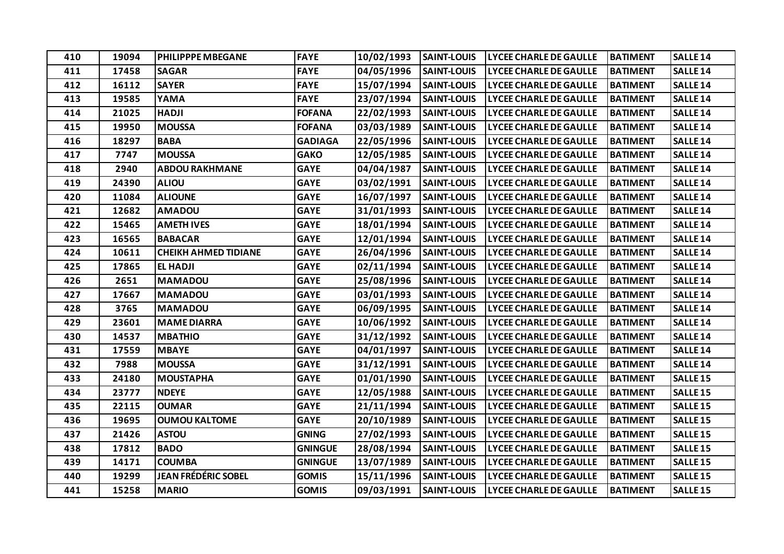| 410 | 19094 | PHILIPPPE MBEGANE           | <b>FAYE</b>    | 10/02/1993 | <b>SAINT-LOUIS</b> | <b>LYCEE CHARLE DE GAULLE</b> | <b>BATIMENT</b> | SALLE <sub>14</sub>       |
|-----|-------|-----------------------------|----------------|------------|--------------------|-------------------------------|-----------------|---------------------------|
| 411 | 17458 | <b>SAGAR</b>                | <b>FAYE</b>    | 04/05/1996 | <b>SAINT-LOUIS</b> | <b>LYCEE CHARLE DE GAULLE</b> | <b>BATIMENT</b> | <b>SALLE 14</b>           |
| 412 | 16112 | <b>SAYER</b>                | <b>FAYE</b>    | 15/07/1994 | <b>SAINT-LOUIS</b> | <b>LYCEE CHARLE DE GAULLE</b> | <b>BATIMENT</b> | <b>SALLE 14</b>           |
| 413 | 19585 | YAMA                        | <b>FAYE</b>    | 23/07/1994 | <b>SAINT-LOUIS</b> | <b>LYCEE CHARLE DE GAULLE</b> | <b>BATIMENT</b> | <b>SALLE 14</b>           |
| 414 | 21025 | <b>HADJI</b>                | <b>FOFANA</b>  | 22/02/1993 | <b>SAINT-LOUIS</b> | <b>LYCEE CHARLE DE GAULLE</b> | <b>BATIMENT</b> | SALLE <sub>14</sub>       |
| 415 | 19950 | <b>MOUSSA</b>               | <b>FOFANA</b>  | 03/03/1989 | <b>SAINT-LOUIS</b> | <b>LYCEE CHARLE DE GAULLE</b> | <b>BATIMENT</b> | <b>SALLE 14</b>           |
| 416 | 18297 | <b>BABA</b>                 | <b>GADIAGA</b> | 22/05/1996 | <b>SAINT-LOUIS</b> | <b>LYCEE CHARLE DE GAULLE</b> | <b>BATIMENT</b> | <b>SALLE 14</b>           |
| 417 | 7747  | <b>MOUSSA</b>               | <b>GAKO</b>    | 12/05/1985 | <b>SAINT-LOUIS</b> | <b>LYCEE CHARLE DE GAULLE</b> | <b>BATIMENT</b> | <b>SALLE 14</b>           |
| 418 | 2940  | <b>ABDOU RAKHMANE</b>       | <b>GAYE</b>    | 04/04/1987 | <b>SAINT-LOUIS</b> | <b>LYCEE CHARLE DE GAULLE</b> | <b>BATIMENT</b> | <b>SALLE 14</b>           |
| 419 | 24390 | <b>ALIOU</b>                | <b>GAYE</b>    | 03/02/1991 | <b>SAINT-LOUIS</b> | <b>LYCEE CHARLE DE GAULLE</b> | <b>BATIMENT</b> | <b>SALLE 14</b>           |
| 420 | 11084 | <b>ALIOUNE</b>              | <b>GAYE</b>    | 16/07/1997 | <b>SAINT-LOUIS</b> | <b>LYCEE CHARLE DE GAULLE</b> | <b>BATIMENT</b> | SALLE <sub>14</sub>       |
| 421 | 12682 | <b>AMADOU</b>               | <b>GAYE</b>    | 31/01/1993 | <b>SAINT-LOUIS</b> | <b>LYCEE CHARLE DE GAULLE</b> | <b>BATIMENT</b> | <b>SALLE 14</b>           |
| 422 | 15465 | <b>AMETHIVES</b>            | <b>GAYE</b>    | 18/01/1994 | <b>SAINT-LOUIS</b> | <b>LYCEE CHARLE DE GAULLE</b> | <b>BATIMENT</b> | <b>SALLE 14</b>           |
| 423 | 16565 | <b>BABACAR</b>              | <b>GAYE</b>    | 12/01/1994 | <b>SAINT-LOUIS</b> | <b>LYCEE CHARLE DE GAULLE</b> | <b>BATIMENT</b> | <b>SALLE 14</b>           |
| 424 | 10611 | <b>CHEIKH AHMED TIDIANE</b> | <b>GAYE</b>    | 26/04/1996 | <b>SAINT-LOUIS</b> | <b>LYCEE CHARLE DE GAULLE</b> | <b>BATIMENT</b> | <b>SALLE 14</b>           |
| 425 | 17865 | <b>EL HADJI</b>             | <b>GAYE</b>    | 02/11/1994 | <b>SAINT-LOUIS</b> | <b>LYCEE CHARLE DE GAULLE</b> | <b>BATIMENT</b> | <b>SALLE 14</b>           |
| 426 | 2651  | <b>MAMADOU</b>              | <b>GAYE</b>    | 25/08/1996 | <b>SAINT-LOUIS</b> | <b>LYCEE CHARLE DE GAULLE</b> | <b>BATIMENT</b> | <b>SALLE 14</b>           |
| 427 | 17667 | <b>MAMADOU</b>              | <b>GAYE</b>    | 03/01/1993 | <b>SAINT-LOUIS</b> | <b>LYCEE CHARLE DE GAULLE</b> | <b>BATIMENT</b> | SALLE <sub>14</sub>       |
| 428 | 3765  | <b>MAMADOU</b>              | <b>GAYE</b>    | 06/09/1995 | <b>SAINT-LOUIS</b> | <b>LYCEE CHARLE DE GAULLE</b> | <b>BATIMENT</b> | <b>SALLE 14</b>           |
| 429 | 23601 | <b>MAME DIARRA</b>          | <b>GAYE</b>    | 10/06/1992 | <b>SAINT-LOUIS</b> | <b>LYCEE CHARLE DE GAULLE</b> | <b>BATIMENT</b> | <b>SALLE 14</b>           |
| 430 | 14537 | <b>MBATHIO</b>              | <b>GAYE</b>    | 31/12/1992 | <b>SAINT-LOUIS</b> | <b>LYCEE CHARLE DE GAULLE</b> | <b>BATIMENT</b> | SALLE <sub>14</sub>       |
| 431 | 17559 | <b>MBAYE</b>                | <b>GAYE</b>    | 04/01/1997 | <b>SAINT-LOUIS</b> | <b>LYCEE CHARLE DE GAULLE</b> | <b>BATIMENT</b> | <b>SALLE 14</b>           |
| 432 | 7988  | <b>MOUSSA</b>               | <b>GAYE</b>    | 31/12/1991 | <b>SAINT-LOUIS</b> | <b>LYCEE CHARLE DE GAULLE</b> | <b>BATIMENT</b> | <b>SALLE 14</b>           |
| 433 | 24180 | <b>MOUSTAPHA</b>            | <b>GAYE</b>    | 01/01/1990 | <b>SAINT-LOUIS</b> | <b>LYCEE CHARLE DE GAULLE</b> | <b>BATIMENT</b> | SALLE <sub>15</sub>       |
| 434 | 23777 | <b>NDEYE</b>                | <b>GAYE</b>    | 12/05/1988 | <b>SAINT-LOUIS</b> | <b>LYCEE CHARLE DE GAULLE</b> | <b>BATIMENT</b> | <b>SALLE 15</b>           |
| 435 | 22115 | <b>OUMAR</b>                | <b>GAYE</b>    | 21/11/1994 | <b>SAINT-LOUIS</b> | <b>LYCEE CHARLE DE GAULLE</b> | <b>BATIMENT</b> | SALLE <sub>15</sub>       |
| 436 | 19695 | <b>OUMOU KALTOME</b>        | <b>GAYE</b>    | 20/10/1989 | <b>SAINT-LOUIS</b> | <b>LYCEE CHARLE DE GAULLE</b> | <b>BATIMENT</b> | SALLE <sub>15</sub>       |
| 437 | 21426 | <b>ASTOU</b>                | <b>GNING</b>   | 27/02/1993 | <b>SAINT-LOUIS</b> | <b>LYCEE CHARLE DE GAULLE</b> | <b>BATIMENT</b> | SALLE <sub>15</sub>       |
| 438 | 17812 | <b>BADO</b>                 | <b>GNINGUE</b> | 28/08/1994 | <b>SAINT-LOUIS</b> | <b>LYCEE CHARLE DE GAULLE</b> | <b>BATIMENT</b> | SALLE <sub>15</sub>       |
| 439 | 14171 | <b>COUMBA</b>               | <b>GNINGUE</b> | 13/07/1989 | <b>SAINT-LOUIS</b> | <b>LYCEE CHARLE DE GAULLE</b> | <b>BATIMENT</b> | SALLE <sub>15</sub>       |
| 440 | 19299 | <b>JEAN FRÉDÉRIC SOBEL</b>  | <b>GOMIS</b>   | 15/11/1996 | <b>SAINT-LOUIS</b> | <b>LYCEE CHARLE DE GAULLE</b> | <b>BATIMENT</b> | SALLE <sub>15</sub>       |
| 441 | 15258 | <b>MARIO</b>                | <b>GOMIS</b>   | 09/03/1991 | <b>SAINT-LOUIS</b> | <b>LYCEE CHARLE DE GAULLE</b> | <b>BATIMENT</b> | <b>SALLE<sub>15</sub></b> |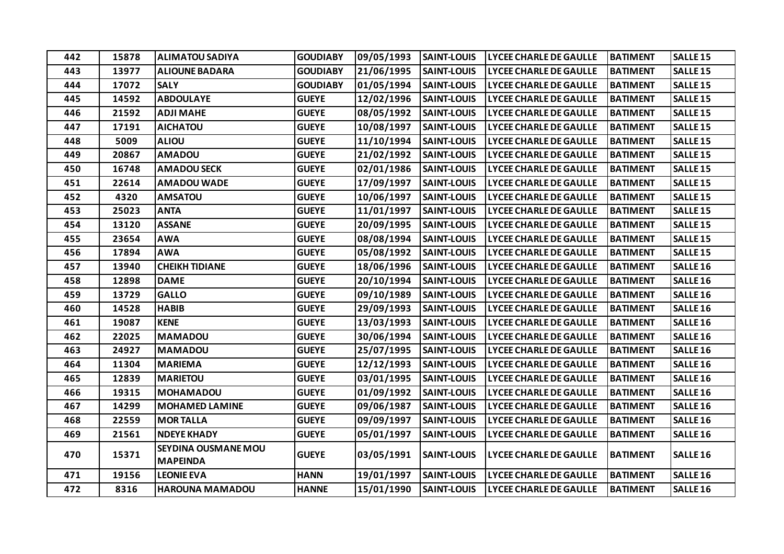| 442 | 15878 | <b>ALIMATOU SADIYA</b>     | <b>GOUDIABY</b> | 09/05/1993 | <b>SAINT-LOUIS</b> | <b>LYCEE CHARLE DE GAULLE</b> | <b>BATIMENT</b> | <b>SALLE 15</b>     |
|-----|-------|----------------------------|-----------------|------------|--------------------|-------------------------------|-----------------|---------------------|
| 443 | 13977 | <b>ALIOUNE BADARA</b>      | <b>GOUDIABY</b> | 21/06/1995 | <b>SAINT-LOUIS</b> | <b>LYCEE CHARLE DE GAULLE</b> | <b>BATIMENT</b> | <b>SALLE 15</b>     |
| 444 | 17072 | <b>SALY</b>                | <b>GOUDIABY</b> | 01/05/1994 | <b>SAINT-LOUIS</b> | <b>LYCEE CHARLE DE GAULLE</b> | <b>BATIMENT</b> | <b>SALLE 15</b>     |
| 445 | 14592 | <b>ABDOULAYE</b>           | <b>GUEYE</b>    | 12/02/1996 | <b>SAINT-LOUIS</b> | <b>LYCEE CHARLE DE GAULLE</b> | <b>BATIMENT</b> | <b>SALLE 15</b>     |
| 446 | 21592 | <b>ADJI MAHE</b>           | <b>GUEYE</b>    | 08/05/1992 | <b>SAINT-LOUIS</b> | <b>LYCEE CHARLE DE GAULLE</b> | <b>BATIMENT</b> | <b>SALLE 15</b>     |
| 447 | 17191 | <b>AICHATOU</b>            | <b>GUEYE</b>    | 10/08/1997 | <b>SAINT-LOUIS</b> | <b>LYCEE CHARLE DE GAULLE</b> | <b>BATIMENT</b> | <b>SALLE 15</b>     |
| 448 | 5009  | <b>ALIOU</b>               | <b>GUEYE</b>    | 11/10/1994 | <b>SAINT-LOUIS</b> | <b>LYCEE CHARLE DE GAULLE</b> | <b>BATIMENT</b> | <b>SALLE 15</b>     |
| 449 | 20867 | <b>AMADOU</b>              | <b>GUEYE</b>    | 21/02/1992 | <b>SAINT-LOUIS</b> | <b>LYCEE CHARLE DE GAULLE</b> | <b>BATIMENT</b> | <b>SALLE 15</b>     |
| 450 | 16748 | <b>AMADOU SECK</b>         | <b>GUEYE</b>    | 02/01/1986 | <b>SAINT-LOUIS</b> | <b>LYCEE CHARLE DE GAULLE</b> | <b>BATIMENT</b> | <b>SALLE 15</b>     |
| 451 | 22614 | <b>AMADOU WADE</b>         | <b>GUEYE</b>    | 17/09/1997 | <b>SAINT-LOUIS</b> | <b>LYCEE CHARLE DE GAULLE</b> | <b>BATIMENT</b> | <b>SALLE 15</b>     |
| 452 | 4320  | <b>AMSATOU</b>             | <b>GUEYE</b>    | 10/06/1997 | <b>SAINT-LOUIS</b> | <b>LYCEE CHARLE DE GAULLE</b> | <b>BATIMENT</b> | <b>SALLE 15</b>     |
| 453 | 25023 | <b>ANTA</b>                | <b>GUEYE</b>    | 11/01/1997 | <b>SAINT-LOUIS</b> | <b>LYCEE CHARLE DE GAULLE</b> | <b>BATIMENT</b> | <b>SALLE 15</b>     |
| 454 | 13120 | <b>ASSANE</b>              | <b>GUEYE</b>    | 20/09/1995 | <b>SAINT-LOUIS</b> | <b>LYCEE CHARLE DE GAULLE</b> | <b>BATIMENT</b> | <b>SALLE 15</b>     |
| 455 | 23654 | <b>AWA</b>                 | <b>GUEYE</b>    | 08/08/1994 | <b>SAINT-LOUIS</b> | <b>LYCEE CHARLE DE GAULLE</b> | <b>BATIMENT</b> | <b>SALLE 15</b>     |
| 456 | 17894 | <b>AWA</b>                 | <b>GUEYE</b>    | 05/08/1992 | <b>SAINT-LOUIS</b> | <b>LYCEE CHARLE DE GAULLE</b> | <b>BATIMENT</b> | <b>SALLE 15</b>     |
| 457 | 13940 | <b>CHEIKH TIDIANE</b>      | <b>GUEYE</b>    | 18/06/1996 | <b>SAINT-LOUIS</b> | <b>LYCEE CHARLE DE GAULLE</b> | <b>BATIMENT</b> | SALLE <sub>16</sub> |
| 458 | 12898 | <b>DAME</b>                | <b>GUEYE</b>    | 20/10/1994 | <b>SAINT-LOUIS</b> | <b>LYCEE CHARLE DE GAULLE</b> | <b>BATIMENT</b> | SALLE <sub>16</sub> |
| 459 | 13729 | <b>GALLO</b>               | <b>GUEYE</b>    | 09/10/1989 | <b>SAINT-LOUIS</b> | <b>LYCEE CHARLE DE GAULLE</b> | <b>BATIMENT</b> | SALLE <sub>16</sub> |
| 460 | 14528 | <b>HABIB</b>               | <b>GUEYE</b>    | 29/09/1993 | <b>SAINT-LOUIS</b> | <b>LYCEE CHARLE DE GAULLE</b> | <b>BATIMENT</b> | SALLE <sub>16</sub> |
| 461 | 19087 | <b>KENE</b>                | <b>GUEYE</b>    | 13/03/1993 | <b>SAINT-LOUIS</b> | <b>LYCEE CHARLE DE GAULLE</b> | <b>BATIMENT</b> | SALLE <sub>16</sub> |
| 462 | 22025 | <b>MAMADOU</b>             | <b>GUEYE</b>    | 30/06/1994 | <b>SAINT-LOUIS</b> | <b>LYCEE CHARLE DE GAULLE</b> | <b>BATIMENT</b> | SALLE <sub>16</sub> |
| 463 | 24927 | <b>MAMADOU</b>             | <b>GUEYE</b>    | 25/07/1995 | <b>SAINT-LOUIS</b> | <b>LYCEE CHARLE DE GAULLE</b> | <b>BATIMENT</b> | SALLE <sub>16</sub> |
| 464 | 11304 | <b>MARIEMA</b>             | <b>GUEYE</b>    | 12/12/1993 | <b>SAINT-LOUIS</b> | <b>LYCEE CHARLE DE GAULLE</b> | <b>BATIMENT</b> | SALLE <sub>16</sub> |
| 465 | 12839 | <b>MARIETOU</b>            | <b>GUEYE</b>    | 03/01/1995 | <b>SAINT-LOUIS</b> | LYCEE CHARLE DE GAULLE        | <b>BATIMENT</b> | SALLE <sub>16</sub> |
| 466 | 19315 | <b>MOHAMADOU</b>           | <b>GUEYE</b>    | 01/09/1992 | <b>SAINT-LOUIS</b> | <b>LYCEE CHARLE DE GAULLE</b> | <b>BATIMENT</b> | SALLE <sub>16</sub> |
| 467 | 14299 | <b>MOHAMED LAMINE</b>      | <b>GUEYE</b>    | 09/06/1987 | <b>SAINT-LOUIS</b> | <b>LYCEE CHARLE DE GAULLE</b> | <b>BATIMENT</b> | SALLE <sub>16</sub> |
| 468 | 22559 | <b>MORTALLA</b>            | <b>GUEYE</b>    | 09/09/1997 | <b>SAINT-LOUIS</b> | <b>LYCEE CHARLE DE GAULLE</b> | <b>BATIMENT</b> | SALLE <sub>16</sub> |
| 469 | 21561 | <b>NDEYE KHADY</b>         | <b>GUEYE</b>    | 05/01/1997 | <b>SAINT-LOUIS</b> | LYCEE CHARLE DE GAULLE        | <b>BATIMENT</b> | SALLE <sub>16</sub> |
| 470 | 15371 | <b>SEYDINA OUSMANE MOU</b> | <b>GUEYE</b>    | 03/05/1991 | <b>SAINT-LOUIS</b> | <b>LYCEE CHARLE DE GAULLE</b> | <b>BATIMENT</b> | SALLE <sub>16</sub> |
|     |       | <b>MAPEINDA</b>            |                 |            |                    |                               |                 |                     |
| 471 | 19156 | <b>LEONIE EVA</b>          | <b>HANN</b>     | 19/01/1997 | <b>SAINT-LOUIS</b> | <b>LYCEE CHARLE DE GAULLE</b> | <b>BATIMENT</b> | SALLE <sub>16</sub> |
| 472 | 8316  | <b>HAROUNA MAMADOU</b>     | <b>HANNE</b>    | 15/01/1990 | <b>SAINT-LOUIS</b> | <b>LYCEE CHARLE DE GAULLE</b> | <b>BATIMENT</b> | SALLE <sub>16</sub> |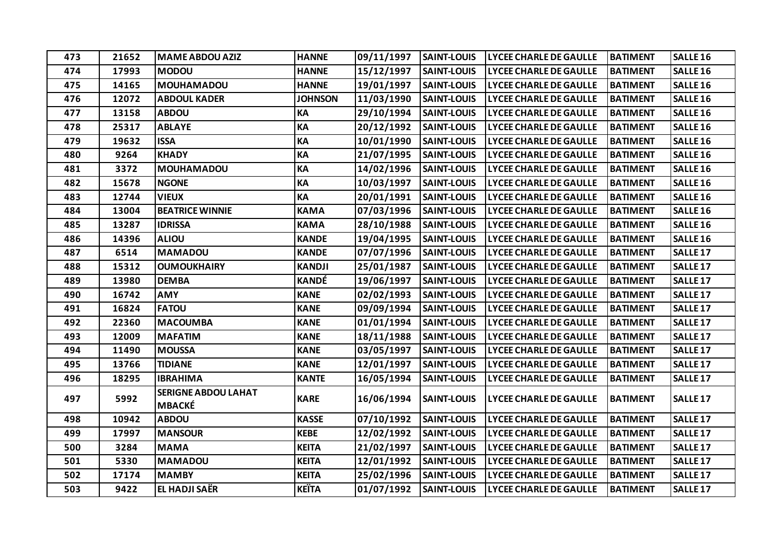| 473 | 21652 | <b>MAME ABDOU AZIZ</b>                      | <b>HANNE</b>   | 09/11/1997 | <b>SAINT-LOUIS</b> | <b>LYCEE CHARLE DE GAULLE</b> | <b>BATIMENT</b> | SALLE <sub>16</sub> |
|-----|-------|---------------------------------------------|----------------|------------|--------------------|-------------------------------|-----------------|---------------------|
| 474 | 17993 | <b>MODOU</b>                                | <b>HANNE</b>   | 15/12/1997 | <b>SAINT-LOUIS</b> | <b>LYCEE CHARLE DE GAULLE</b> | <b>BATIMENT</b> | SALLE <sub>16</sub> |
| 475 | 14165 | <b>MOUHAMADOU</b>                           | <b>HANNE</b>   | 19/01/1997 | <b>SAINT-LOUIS</b> | <b>LYCEE CHARLE DE GAULLE</b> | <b>BATIMENT</b> | SALLE <sub>16</sub> |
| 476 | 12072 | <b>ABDOUL KADER</b>                         | <b>JOHNSON</b> | 11/03/1990 | <b>SAINT-LOUIS</b> | <b>LYCEE CHARLE DE GAULLE</b> | <b>BATIMENT</b> | SALLE <sub>16</sub> |
| 477 | 13158 | <b>ABDOU</b>                                | KA             | 29/10/1994 | <b>SAINT-LOUIS</b> | <b>LYCEE CHARLE DE GAULLE</b> | <b>BATIMENT</b> | <b>SALLE 16</b>     |
| 478 | 25317 | <b>ABLAYE</b>                               | KA             | 20/12/1992 | <b>SAINT-LOUIS</b> | <b>LYCEE CHARLE DE GAULLE</b> | <b>BATIMENT</b> | <b>SALLE 16</b>     |
| 479 | 19632 | <b>ISSA</b>                                 | KA             | 10/01/1990 | <b>SAINT-LOUIS</b> | <b>LYCEE CHARLE DE GAULLE</b> | <b>BATIMENT</b> | SALLE <sub>16</sub> |
| 480 | 9264  | <b>KHADY</b>                                | KA             | 21/07/1995 | <b>SAINT-LOUIS</b> | LYCEE CHARLE DE GAULLE        | <b>BATIMENT</b> | SALLE <sub>16</sub> |
| 481 | 3372  | <b>MOUHAMADOU</b>                           | KA             | 14/02/1996 | <b>SAINT-LOUIS</b> | <b>LYCEE CHARLE DE GAULLE</b> | <b>BATIMENT</b> | <b>SALLE 16</b>     |
| 482 | 15678 | <b>NGONE</b>                                | KA             | 10/03/1997 | <b>SAINT-LOUIS</b> | <b>LYCEE CHARLE DE GAULLE</b> | <b>BATIMENT</b> | SALLE <sub>16</sub> |
| 483 | 12744 | <b>VIEUX</b>                                | KA             | 20/01/1991 | <b>SAINT-LOUIS</b> | <b>LYCEE CHARLE DE GAULLE</b> | <b>BATIMENT</b> | SALLE <sub>16</sub> |
| 484 | 13004 | <b>BEATRICE WINNIE</b>                      | <b>KAMA</b>    | 07/03/1996 | <b>SAINT-LOUIS</b> | <b>LYCEE CHARLE DE GAULLE</b> | <b>BATIMENT</b> | SALLE <sub>16</sub> |
| 485 | 13287 | <b>IDRISSA</b>                              | <b>KAMA</b>    | 28/10/1988 | <b>SAINT-LOUIS</b> | <b>LYCEE CHARLE DE GAULLE</b> | <b>BATIMENT</b> | SALLE <sub>16</sub> |
| 486 | 14396 | <b>ALIOU</b>                                | <b>KANDE</b>   | 19/04/1995 | <b>SAINT-LOUIS</b> | <b>LYCEE CHARLE DE GAULLE</b> | <b>BATIMENT</b> | SALLE <sub>16</sub> |
| 487 | 6514  | <b>MAMADOU</b>                              | <b>KANDE</b>   | 07/07/1996 | <b>SAINT-LOUIS</b> | <b>LYCEE CHARLE DE GAULLE</b> | <b>BATIMENT</b> | <b>SALLE 17</b>     |
| 488 | 15312 | <b>OUMOUKHAIRY</b>                          | <b>KANDJI</b>  | 25/01/1987 | <b>SAINT-LOUIS</b> | <b>LYCEE CHARLE DE GAULLE</b> | <b>BATIMENT</b> | <b>SALLE 17</b>     |
| 489 | 13980 | <b>DEMBA</b>                                | KANDÉ          | 19/06/1997 | <b>SAINT-LOUIS</b> | <b>LYCEE CHARLE DE GAULLE</b> | <b>BATIMENT</b> | <b>SALLE 17</b>     |
| 490 | 16742 | <b>AMY</b>                                  | <b>KANE</b>    | 02/02/1993 | <b>SAINT-LOUIS</b> | <b>LYCEE CHARLE DE GAULLE</b> | <b>BATIMENT</b> | <b>SALLE 17</b>     |
| 491 | 16824 | <b>FATOU</b>                                | <b>KANE</b>    | 09/09/1994 | <b>SAINT-LOUIS</b> | <b>LYCEE CHARLE DE GAULLE</b> | <b>BATIMENT</b> | <b>SALLE 17</b>     |
| 492 | 22360 | <b>MACOUMBA</b>                             | <b>KANE</b>    | 01/01/1994 | <b>SAINT-LOUIS</b> | <b>LYCEE CHARLE DE GAULLE</b> | <b>BATIMENT</b> | SALLE <sub>17</sub> |
| 493 | 12009 | <b>MAFATIM</b>                              | <b>KANE</b>    | 18/11/1988 | <b>SAINT-LOUIS</b> | <b>LYCEE CHARLE DE GAULLE</b> | <b>BATIMENT</b> | SALLE <sub>17</sub> |
| 494 | 11490 | <b>MOUSSA</b>                               | <b>KANE</b>    | 03/05/1997 | <b>SAINT-LOUIS</b> | <b>LYCEE CHARLE DE GAULLE</b> | <b>BATIMENT</b> | <b>SALLE 17</b>     |
| 495 | 13766 | <b>TIDIANE</b>                              | <b>KANE</b>    | 12/01/1997 | <b>SAINT-LOUIS</b> | <b>LYCEE CHARLE DE GAULLE</b> | <b>BATIMENT</b> | <b>SALLE 17</b>     |
| 496 | 18295 | <b>IBRAHIMA</b>                             | <b>KANTE</b>   | 16/05/1994 | <b>SAINT-LOUIS</b> | LYCEE CHARLE DE GAULLE        | <b>BATIMENT</b> | SALLE <sub>17</sub> |
| 497 | 5992  | <b>SERIGNE ABDOU LAHAT</b><br><b>MBACKÉ</b> | <b>KARE</b>    | 16/06/1994 | <b>SAINT-LOUIS</b> | <b>LYCEE CHARLE DE GAULLE</b> | <b>BATIMENT</b> | <b>SALLE 17</b>     |
| 498 | 10942 | <b>ABDOU</b>                                | <b>KASSE</b>   | 07/10/1992 | <b>SAINT-LOUIS</b> | <b>LYCEE CHARLE DE GAULLE</b> | <b>BATIMENT</b> | <b>SALLE 17</b>     |
| 499 | 17997 | <b>MANSOUR</b>                              | <b>KEBE</b>    | 12/02/1992 | <b>SAINT-LOUIS</b> | <b>LYCEE CHARLE DE GAULLE</b> | <b>BATIMENT</b> | <b>SALLE 17</b>     |
| 500 | 3284  | <b>MAMA</b>                                 | <b>KEITA</b>   | 21/02/1997 | <b>SAINT-LOUIS</b> | <b>LYCEE CHARLE DE GAULLE</b> | <b>BATIMENT</b> | <b>SALLE 17</b>     |
| 501 | 5330  | <b>MAMADOU</b>                              | <b>KEITA</b>   | 12/01/1992 | <b>SAINT-LOUIS</b> | <b>LYCEE CHARLE DE GAULLE</b> | <b>BATIMENT</b> | <b>SALLE 17</b>     |
| 502 | 17174 | <b>MAMBY</b>                                | <b>KEITA</b>   | 25/02/1996 | <b>SAINT-LOUIS</b> | <b>LYCEE CHARLE DE GAULLE</b> | <b>BATIMENT</b> | SALLE <sub>17</sub> |
| 503 | 9422  | <b>EL HADJI SAËR</b>                        | <b>KEITA</b>   | 01/07/1992 | <b>SAINT-LOUIS</b> | <b>LYCEE CHARLE DE GAULLE</b> | <b>BATIMENT</b> | <b>SALLE 17</b>     |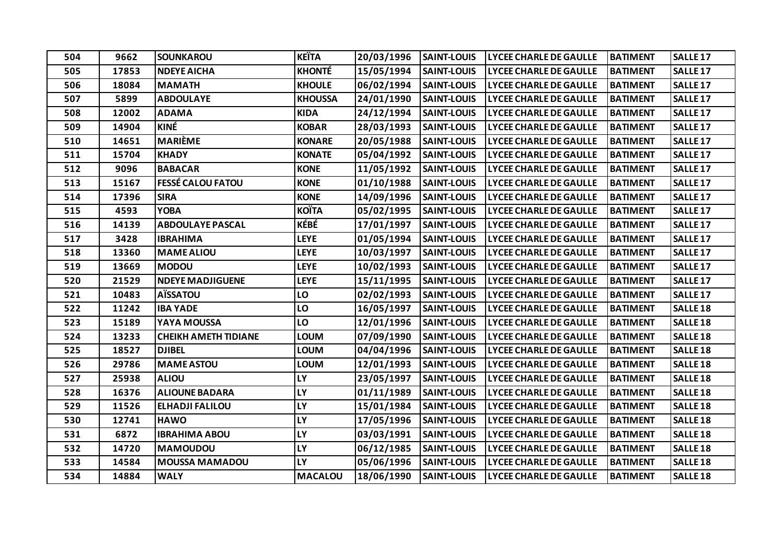| 504 | 9662  | <b>SOUNKAROU</b>            | <b>KEÏTA</b>   | 20/03/1996 | <b>SAINT-LOUIS</b> | <b>LYCEE CHARLE DE GAULLE</b> | <b>BATIMENT</b> | SALLE <sub>17</sub> |
|-----|-------|-----------------------------|----------------|------------|--------------------|-------------------------------|-----------------|---------------------|
| 505 | 17853 | <b>NDEYE AICHA</b>          | <b>KHONTÉ</b>  | 15/05/1994 | <b>SAINT-LOUIS</b> | <b>LYCEE CHARLE DE GAULLE</b> | <b>BATIMENT</b> | <b>SALLE 17</b>     |
| 506 | 18084 | <b>MAMATH</b>               | <b>KHOULE</b>  | 06/02/1994 | <b>SAINT-LOUIS</b> | <b>LYCEE CHARLE DE GAULLE</b> | <b>BATIMENT</b> | <b>SALLE 17</b>     |
| 507 | 5899  | <b>ABDOULAYE</b>            | <b>KHOUSSA</b> | 24/01/1990 | <b>SAINT-LOUIS</b> | <b>LYCEE CHARLE DE GAULLE</b> | <b>BATIMENT</b> | <b>SALLE 17</b>     |
| 508 | 12002 | <b>ADAMA</b>                | <b>KIDA</b>    | 24/12/1994 | <b>SAINT-LOUIS</b> | <b>LYCEE CHARLE DE GAULLE</b> | <b>BATIMENT</b> | <b>SALLE 17</b>     |
| 509 | 14904 | KINÉ                        | <b>KOBAR</b>   | 28/03/1993 | <b>SAINT-LOUIS</b> | <b>LYCEE CHARLE DE GAULLE</b> | <b>BATIMENT</b> | <b>SALLE 17</b>     |
| 510 | 14651 | <b>MARIÈME</b>              | <b>KONARE</b>  | 20/05/1988 | <b>SAINT-LOUIS</b> | <b>LYCEE CHARLE DE GAULLE</b> | <b>BATIMENT</b> | <b>SALLE 17</b>     |
| 511 | 15704 | <b>KHADY</b>                | <b>KONATE</b>  | 05/04/1992 | <b>SAINT-LOUIS</b> | <b>LYCEE CHARLE DE GAULLE</b> | <b>BATIMENT</b> | <b>SALLE 17</b>     |
| 512 | 9096  | <b>BABACAR</b>              | <b>KONE</b>    | 11/05/1992 | <b>SAINT-LOUIS</b> | <b>LYCEE CHARLE DE GAULLE</b> | <b>BATIMENT</b> | <b>SALLE 17</b>     |
| 513 | 15167 | <b>FESSÉ CALOU FATOU</b>    | <b>KONE</b>    | 01/10/1988 | <b>SAINT-LOUIS</b> | <b>LYCEE CHARLE DE GAULLE</b> | <b>BATIMENT</b> | <b>SALLE 17</b>     |
| 514 | 17396 | <b>SIRA</b>                 | <b>KONE</b>    | 14/09/1996 | <b>SAINT-LOUIS</b> | <b>LYCEE CHARLE DE GAULLE</b> | <b>BATIMENT</b> | <b>SALLE 17</b>     |
| 515 | 4593  | <b>YOBA</b>                 | <b>KOÏTA</b>   | 05/02/1995 | <b>SAINT-LOUIS</b> | <b>LYCEE CHARLE DE GAULLE</b> | <b>BATIMENT</b> | SALLE <sub>17</sub> |
| 516 | 14139 | <b>ABDOULAYE PASCAL</b>     | KÉBÉ           | 17/01/1997 | <b>SAINT-LOUIS</b> | <b>LYCEE CHARLE DE GAULLE</b> | <b>BATIMENT</b> | <b>SALLE 17</b>     |
| 517 | 3428  | <b>IBRAHIMA</b>             | <b>LEYE</b>    | 01/05/1994 | <b>SAINT-LOUIS</b> | <b>LYCEE CHARLE DE GAULLE</b> | <b>BATIMENT</b> | <b>SALLE 17</b>     |
| 518 | 13360 | <b>MAME ALIOU</b>           | <b>LEYE</b>    | 10/03/1997 | <b>SAINT-LOUIS</b> | <b>LYCEE CHARLE DE GAULLE</b> | <b>BATIMENT</b> | <b>SALLE 17</b>     |
| 519 | 13669 | <b>MODOU</b>                | <b>LEYE</b>    | 10/02/1993 | <b>SAINT-LOUIS</b> | <b>LYCEE CHARLE DE GAULLE</b> | <b>BATIMENT</b> | <b>SALLE 17</b>     |
| 520 | 21529 | <b>NDEYE MADJIGUENE</b>     | <b>LEYE</b>    | 15/11/1995 | <b>SAINT-LOUIS</b> | LYCEE CHARLE DE GAULLE        | <b>BATIMENT</b> | SALLE <sub>17</sub> |
| 521 | 10483 | <b>AÏSSATOU</b>             | LO             | 02/02/1993 | <b>SAINT-LOUIS</b> | <b>LYCEE CHARLE DE GAULLE</b> | <b>BATIMENT</b> | <b>SALLE 17</b>     |
| 522 | 11242 | <b>IBA YADE</b>             | LO             | 16/05/1997 | <b>SAINT-LOUIS</b> | <b>LYCEE CHARLE DE GAULLE</b> | <b>BATIMENT</b> | <b>SALLE 18</b>     |
| 523 | 15189 | YAYA MOUSSA                 | LO             | 12/01/1996 | <b>SAINT-LOUIS</b> | <b>LYCEE CHARLE DE GAULLE</b> | <b>BATIMENT</b> | <b>SALLE 18</b>     |
| 524 | 13233 | <b>CHEIKH AMETH TIDIANE</b> | <b>LOUM</b>    | 07/09/1990 | <b>SAINT-LOUIS</b> | <b>LYCEE CHARLE DE GAULLE</b> | <b>BATIMENT</b> | <b>SALLE 18</b>     |
| 525 | 18527 | <b>DJIBEL</b>               | <b>LOUM</b>    | 04/04/1996 | <b>SAINT-LOUIS</b> | <b>LYCEE CHARLE DE GAULLE</b> | <b>BATIMENT</b> | <b>SALLE 18</b>     |
| 526 | 29786 | <b>MAME ASTOU</b>           | LOUM           | 12/01/1993 | <b>SAINT-LOUIS</b> | <b>LYCEE CHARLE DE GAULLE</b> | <b>BATIMENT</b> | <b>SALLE 18</b>     |
| 527 | 25938 | <b>ALIOU</b>                | <b>LY</b>      | 23/05/1997 | <b>SAINT-LOUIS</b> | <b>LYCEE CHARLE DE GAULLE</b> | <b>BATIMENT</b> | <b>SALLE 18</b>     |
| 528 | 16376 | <b>ALIOUNE BADARA</b>       | <b>LY</b>      | 01/11/1989 | <b>SAINT-LOUIS</b> | <b>LYCEE CHARLE DE GAULLE</b> | <b>BATIMENT</b> | <b>SALLE 18</b>     |
| 529 | 11526 | <b>ELHADJI FALILOU</b>      | LY             | 15/01/1984 | <b>SAINT-LOUIS</b> | <b>LYCEE CHARLE DE GAULLE</b> | <b>BATIMENT</b> | <b>SALLE 18</b>     |
| 530 | 12741 | <b>HAWO</b>                 | LY             | 17/05/1996 | <b>SAINT-LOUIS</b> | <b>LYCEE CHARLE DE GAULLE</b> | <b>BATIMENT</b> | <b>SALLE 18</b>     |
| 531 | 6872  | <b>IBRAHIMA ABOU</b>        | LY             | 03/03/1991 | <b>SAINT-LOUIS</b> | <b>LYCEE CHARLE DE GAULLE</b> | <b>BATIMENT</b> | <b>SALLE 18</b>     |
| 532 | 14720 | <b>MAMOUDOU</b>             | LY             | 06/12/1985 | <b>SAINT-LOUIS</b> | <b>LYCEE CHARLE DE GAULLE</b> | <b>BATIMENT</b> | SALLE <sub>18</sub> |
| 533 | 14584 | <b>MOUSSA MAMADOU</b>       | LY             | 05/06/1996 | <b>SAINT-LOUIS</b> | <b>LYCEE CHARLE DE GAULLE</b> | <b>BATIMENT</b> | <b>SALLE 18</b>     |
| 534 | 14884 | <b>WALY</b>                 | <b>MACALOU</b> | 18/06/1990 | <b>SAINT-LOUIS</b> | <b>LYCEE CHARLE DE GAULLE</b> | <b>BATIMENT</b> | <b>SALLE 18</b>     |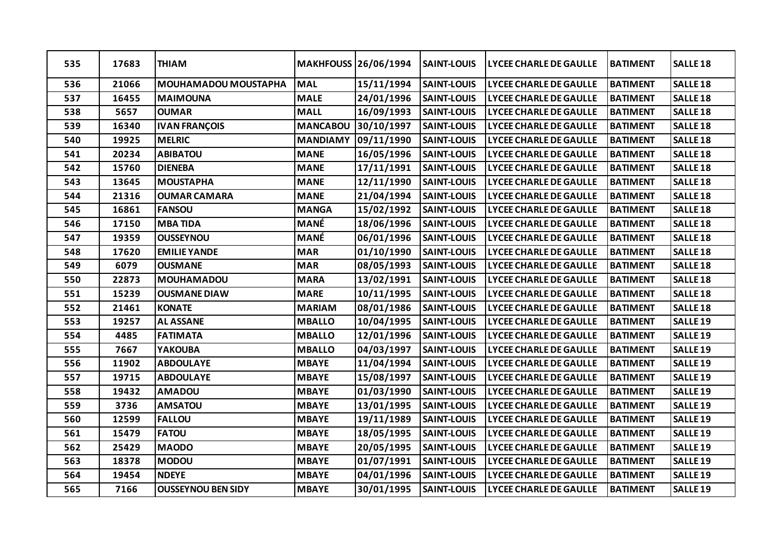| 535 | 17683 | <b>THIAM</b>                |                 | <b>MAKHFOUSS 26/06/1994</b> | <b>SAINT-LOUIS</b> | <b>LYCEE CHARLE DE GAULLE</b> | <b>BATIMENT</b> | <b>SALLE 18</b>     |
|-----|-------|-----------------------------|-----------------|-----------------------------|--------------------|-------------------------------|-----------------|---------------------|
| 536 | 21066 | <b>MOUHAMADOU MOUSTAPHA</b> | <b>MAL</b>      | 15/11/1994                  | <b>SAINT-LOUIS</b> | <b>LYCEE CHARLE DE GAULLE</b> | <b>BATIMENT</b> | SALLE <sub>18</sub> |
| 537 | 16455 | <b>MAIMOUNA</b>             | <b>MALE</b>     | 24/01/1996                  | <b>SAINT-LOUIS</b> | <b>LYCEE CHARLE DE GAULLE</b> | <b>BATIMENT</b> | SALLE <sub>18</sub> |
| 538 | 5657  | <b>OUMAR</b>                | <b>MALL</b>     | 16/09/1993                  | <b>SAINT-LOUIS</b> | LYCEE CHARLE DE GAULLE        | <b>BATIMENT</b> | <b>SALLE 18</b>     |
| 539 | 16340 | <b>IVAN FRANÇOIS</b>        | <b>MANCABOU</b> | 30/10/1997                  | <b>SAINT-LOUIS</b> | <b>LYCEE CHARLE DE GAULLE</b> | <b>BATIMENT</b> | <b>SALLE 18</b>     |
| 540 | 19925 | <b>MELRIC</b>               | <b>MANDIAMY</b> | 09/11/1990                  | <b>SAINT-LOUIS</b> | LYCEE CHARLE DE GAULLE        | <b>BATIMENT</b> | SALLE <sub>18</sub> |
| 541 | 20234 | <b>ABIBATOU</b>             | <b>MANE</b>     | 16/05/1996                  | <b>SAINT-LOUIS</b> | <b>LYCEE CHARLE DE GAULLE</b> | <b>BATIMENT</b> | SALLE <sub>18</sub> |
| 542 | 15760 | <b>DIENEBA</b>              | <b>MANE</b>     | 17/11/1991                  | <b>SAINT-LOUIS</b> | <b>LYCEE CHARLE DE GAULLE</b> | <b>BATIMENT</b> | <b>SALLE 18</b>     |
| 543 | 13645 | <b>MOUSTAPHA</b>            | <b>MANE</b>     | 12/11/1990                  | <b>SAINT-LOUIS</b> | <b>LYCEE CHARLE DE GAULLE</b> | <b>BATIMENT</b> | SALLE <sub>18</sub> |
| 544 | 21316 | <b>OUMAR CAMARA</b>         | <b>MANE</b>     | 21/04/1994                  | <b>SAINT-LOUIS</b> | <b>LYCEE CHARLE DE GAULLE</b> | <b>BATIMENT</b> | SALLE <sub>18</sub> |
| 545 | 16861 | <b>FANSOU</b>               | <b>MANGA</b>    | 15/02/1992                  | <b>SAINT-LOUIS</b> | <b>LYCEE CHARLE DE GAULLE</b> | <b>BATIMENT</b> | SALLE <sub>18</sub> |
| 546 | 17150 | <b>MBATIDA</b>              | MANÉ            | 18/06/1996                  | <b>SAINT-LOUIS</b> | <b>LYCEE CHARLE DE GAULLE</b> | <b>BATIMENT</b> | SALLE <sub>18</sub> |
| 547 | 19359 | <b>OUSSEYNOU</b>            | <b>MANÉ</b>     | 06/01/1996                  | <b>SAINT-LOUIS</b> | LYCEE CHARLE DE GAULLE        | <b>BATIMENT</b> | SALLE <sub>18</sub> |
| 548 | 17620 | <b>EMILIE YANDE</b>         | <b>MAR</b>      | 01/10/1990                  | <b>SAINT-LOUIS</b> | <b>LYCEE CHARLE DE GAULLE</b> | <b>BATIMENT</b> | SALLE <sub>18</sub> |
| 549 | 6079  | <b>OUSMANE</b>              | <b>MAR</b>      | 08/05/1993                  | <b>SAINT-LOUIS</b> | LYCEE CHARLE DE GAULLE        | <b>BATIMENT</b> | SALLE <sub>18</sub> |
| 550 | 22873 | <b>MOUHAMADOU</b>           | <b>MARA</b>     | 13/02/1991                  | <b>SAINT-LOUIS</b> | <b>LYCEE CHARLE DE GAULLE</b> | <b>BATIMENT</b> | <b>SALLE 18</b>     |
| 551 | 15239 | <b>OUSMANE DIAW</b>         | <b>MARE</b>     | 10/11/1995                  | <b>SAINT-LOUIS</b> | <b>LYCEE CHARLE DE GAULLE</b> | <b>BATIMENT</b> | SALLE <sub>18</sub> |
| 552 | 21461 | <b>KONATE</b>               | <b>MARIAM</b>   | 08/01/1986                  | <b>SAINT-LOUIS</b> | <b>LYCEE CHARLE DE GAULLE</b> | <b>BATIMENT</b> | SALLE <sub>18</sub> |
| 553 | 19257 | <b>AL ASSANE</b>            | <b>MBALLO</b>   | 10/04/1995                  | <b>SAINT-LOUIS</b> | <b>LYCEE CHARLE DE GAULLE</b> | <b>BATIMENT</b> | SALLE <sub>19</sub> |
| 554 | 4485  | <b>FATIMATA</b>             | <b>MBALLO</b>   | 12/01/1996                  | <b>SAINT-LOUIS</b> | <b>LYCEE CHARLE DE GAULLE</b> | <b>BATIMENT</b> | SALLE <sub>19</sub> |
| 555 | 7667  | YAKOUBA                     | <b>MBALLO</b>   | 04/03/1997                  | <b>SAINT-LOUIS</b> | <b>LYCEE CHARLE DE GAULLE</b> | <b>BATIMENT</b> | <b>SALLE 19</b>     |
| 556 | 11902 | <b>ABDOULAYE</b>            | <b>MBAYE</b>    | 11/04/1994                  | <b>SAINT-LOUIS</b> | <b>LYCEE CHARLE DE GAULLE</b> | <b>BATIMENT</b> | SALLE <sub>19</sub> |
| 557 | 19715 | <b>ABDOULAYE</b>            | <b>MBAYE</b>    | 15/08/1997                  | <b>SAINT-LOUIS</b> | <b>LYCEE CHARLE DE GAULLE</b> | <b>BATIMENT</b> | SALLE <sub>19</sub> |
| 558 | 19432 | <b>AMADOU</b>               | <b>MBAYE</b>    | 01/03/1990                  | <b>SAINT-LOUIS</b> | <b>LYCEE CHARLE DE GAULLE</b> | <b>BATIMENT</b> | SALLE <sub>19</sub> |
| 559 | 3736  | <b>AMSATOU</b>              | <b>MBAYE</b>    | 13/01/1995                  | <b>SAINT-LOUIS</b> | <b>LYCEE CHARLE DE GAULLE</b> | <b>BATIMENT</b> | <b>SALLE 19</b>     |
| 560 | 12599 | <b>FALLOU</b>               | <b>MBAYE</b>    | 19/11/1989                  | <b>SAINT-LOUIS</b> | <b>LYCEE CHARLE DE GAULLE</b> | <b>BATIMENT</b> | SALLE <sub>19</sub> |
| 561 | 15479 | <b>FATOU</b>                | <b>MBAYE</b>    | 18/05/1995                  | <b>SAINT-LOUIS</b> | <b>LYCEE CHARLE DE GAULLE</b> | <b>BATIMENT</b> | <b>SALLE 19</b>     |
| 562 | 25429 | <b>MAODO</b>                | <b>MBAYE</b>    | 20/05/1995                  | <b>SAINT-LOUIS</b> | <b>LYCEE CHARLE DE GAULLE</b> | <b>BATIMENT</b> | SALLE <sub>19</sub> |
| 563 | 18378 | <b>MODOU</b>                | <b>MBAYE</b>    | 01/07/1991                  | <b>SAINT-LOUIS</b> | <b>LYCEE CHARLE DE GAULLE</b> | <b>BATIMENT</b> | SALLE <sub>19</sub> |
| 564 | 19454 | <b>NDEYE</b>                | <b>MBAYE</b>    | 04/01/1996                  | <b>SAINT-LOUIS</b> | <b>LYCEE CHARLE DE GAULLE</b> | <b>BATIMENT</b> | SALLE <sub>19</sub> |
| 565 | 7166  | <b>OUSSEYNOU BEN SIDY</b>   | <b>MBAYE</b>    | 30/01/1995                  | <b>SAINT-LOUIS</b> | <b>LYCEE CHARLE DE GAULLE</b> | <b>BATIMENT</b> | <b>SALLE 19</b>     |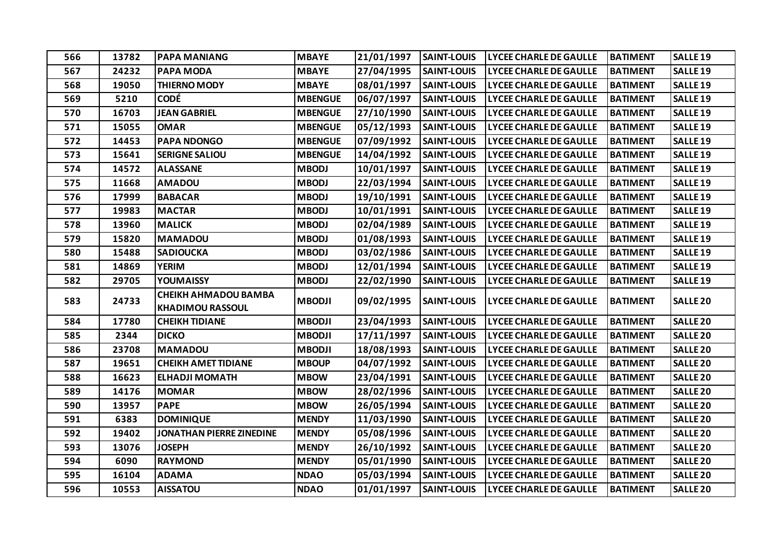| 566 | 13782 | <b>PAPA MANIANG</b>                                    | <b>MBAYE</b>   | 21/01/1997 | <b>SAINT-LOUIS</b> | <b>LYCEE CHARLE DE GAULLE</b> | <b>BATIMENT</b> | <b>SALLE 19</b>     |
|-----|-------|--------------------------------------------------------|----------------|------------|--------------------|-------------------------------|-----------------|---------------------|
| 567 | 24232 | <b>PAPA MODA</b>                                       | <b>MBAYE</b>   | 27/04/1995 | <b>SAINT-LOUIS</b> | <b>LYCEE CHARLE DE GAULLE</b> | <b>BATIMENT</b> | <b>SALLE 19</b>     |
| 568 | 19050 | <b>THIERNO MODY</b>                                    | <b>MBAYE</b>   | 08/01/1997 | <b>SAINT-LOUIS</b> | <b>LYCEE CHARLE DE GAULLE</b> | <b>BATIMENT</b> | <b>SALLE 19</b>     |
| 569 | 5210  | <b>CODÉ</b>                                            | <b>MBENGUE</b> | 06/07/1997 | <b>SAINT-LOUIS</b> | <b>LYCEE CHARLE DE GAULLE</b> | <b>BATIMENT</b> | <b>SALLE 19</b>     |
| 570 | 16703 | <b>JEAN GABRIEL</b>                                    | <b>MBENGUE</b> | 27/10/1990 | <b>SAINT-LOUIS</b> | LYCEE CHARLE DE GAULLE        | <b>BATIMENT</b> | <b>SALLE 19</b>     |
| 571 | 15055 | <b>OMAR</b>                                            | <b>MBENGUE</b> | 05/12/1993 | <b>SAINT-LOUIS</b> | <b>LYCEE CHARLE DE GAULLE</b> | <b>BATIMENT</b> | <b>SALLE 19</b>     |
| 572 | 14453 | PAPA NDONGO                                            | <b>MBENGUE</b> | 07/09/1992 | <b>SAINT-LOUIS</b> | <b>LYCEE CHARLE DE GAULLE</b> | <b>BATIMENT</b> | SALLE <sub>19</sub> |
| 573 | 15641 | <b>SERIGNE SALIOU</b>                                  | <b>MBENGUE</b> | 14/04/1992 | <b>SAINT-LOUIS</b> | <b>LYCEE CHARLE DE GAULLE</b> | <b>BATIMENT</b> | <b>SALLE 19</b>     |
| 574 | 14572 | <b>ALASSANE</b>                                        | <b>MBODJ</b>   | 10/01/1997 | <b>SAINT-LOUIS</b> | <b>LYCEE CHARLE DE GAULLE</b> | <b>BATIMENT</b> | <b>SALLE 19</b>     |
| 575 | 11668 | <b>AMADOU</b>                                          | <b>MBODJ</b>   | 22/03/1994 | <b>SAINT-LOUIS</b> | <b>LYCEE CHARLE DE GAULLE</b> | <b>BATIMENT</b> | SALLE <sub>19</sub> |
| 576 | 17999 | <b>BABACAR</b>                                         | <b>MBODJ</b>   | 19/10/1991 | <b>SAINT-LOUIS</b> | <b>LYCEE CHARLE DE GAULLE</b> | <b>BATIMENT</b> | <b>SALLE 19</b>     |
| 577 | 19983 | <b>MACTAR</b>                                          | <b>MBODJ</b>   | 10/01/1991 | <b>SAINT-LOUIS</b> | <b>LYCEE CHARLE DE GAULLE</b> | <b>BATIMENT</b> | <b>SALLE 19</b>     |
| 578 | 13960 | <b>MALICK</b>                                          | <b>MBODJ</b>   | 02/04/1989 | <b>SAINT-LOUIS</b> | <b>LYCEE CHARLE DE GAULLE</b> | <b>BATIMENT</b> | SALLE <sub>19</sub> |
| 579 | 15820 | <b>MAMADOU</b>                                         | <b>MBODJ</b>   | 01/08/1993 | <b>SAINT-LOUIS</b> | <b>LYCEE CHARLE DE GAULLE</b> | <b>BATIMENT</b> | <b>SALLE 19</b>     |
| 580 | 15488 | <b>SADIOUCKA</b>                                       | <b>MBODJ</b>   | 03/02/1986 | <b>SAINT-LOUIS</b> | <b>LYCEE CHARLE DE GAULLE</b> | <b>BATIMENT</b> | <b>SALLE 19</b>     |
| 581 | 14869 | <b>YERIM</b>                                           | <b>MBODJ</b>   | 12/01/1994 | <b>SAINT-LOUIS</b> | <b>LYCEE CHARLE DE GAULLE</b> | <b>BATIMENT</b> | <b>SALLE 19</b>     |
| 582 | 29705 | YOUMAISSY                                              | <b>MBODJ</b>   | 22/02/1990 | <b>SAINT-LOUIS</b> | <b>LYCEE CHARLE DE GAULLE</b> | <b>BATIMENT</b> | SALLE <sub>19</sub> |
| 583 | 24733 | <b>CHEIKH AHMADOU BAMBA</b><br><b>KHADIMOU RASSOUL</b> | <b>MBODJI</b>  | 09/02/1995 | <b>SAINT-LOUIS</b> | <b>LYCEE CHARLE DE GAULLE</b> | <b>BATIMENT</b> | <b>SALLE 20</b>     |
| 584 | 17780 | <b>CHEIKH TIDIANE</b>                                  | <b>MBODJI</b>  | 23/04/1993 | <b>SAINT-LOUIS</b> | <b>LYCEE CHARLE DE GAULLE</b> | <b>BATIMENT</b> | <b>SALLE 20</b>     |
| 585 | 2344  | <b>DICKO</b>                                           | <b>MBODJI</b>  | 17/11/1997 | <b>SAINT-LOUIS</b> | <b>LYCEE CHARLE DE GAULLE</b> | <b>BATIMENT</b> | <b>SALLE 20</b>     |
| 586 | 23708 | <b>MAMADOU</b>                                         | <b>MBODJI</b>  | 18/08/1993 | <b>SAINT-LOUIS</b> | <b>LYCEE CHARLE DE GAULLE</b> | <b>BATIMENT</b> | <b>SALLE 20</b>     |
| 587 | 19651 | <b>CHEIKH AMET TIDIANE</b>                             | <b>MBOUP</b>   | 04/07/1992 | <b>SAINT-LOUIS</b> | <b>LYCEE CHARLE DE GAULLE</b> | <b>BATIMENT</b> | <b>SALLE 20</b>     |
| 588 | 16623 | <b>ELHADJI MOMATH</b>                                  | <b>MBOW</b>    | 23/04/1991 | <b>SAINT-LOUIS</b> | <b>LYCEE CHARLE DE GAULLE</b> | <b>BATIMENT</b> | <b>SALLE 20</b>     |
| 589 | 14176 | <b>MOMAR</b>                                           | <b>MBOW</b>    | 28/02/1996 | <b>SAINT-LOUIS</b> | <b>LYCEE CHARLE DE GAULLE</b> | <b>BATIMENT</b> | <b>SALLE 20</b>     |
| 590 | 13957 | <b>PAPE</b>                                            | <b>MBOW</b>    | 26/05/1994 | <b>SAINT-LOUIS</b> | <b>LYCEE CHARLE DE GAULLE</b> | <b>BATIMENT</b> | <b>SALLE 20</b>     |
| 591 | 6383  | <b>DOMINIQUE</b>                                       | <b>MENDY</b>   | 11/03/1990 | <b>SAINT-LOUIS</b> | <b>LYCEE CHARLE DE GAULLE</b> | <b>BATIMENT</b> | <b>SALLE 20</b>     |
| 592 | 19402 | <b>JONATHAN PIERRE ZINEDINE</b>                        | <b>MENDY</b>   | 05/08/1996 | <b>SAINT-LOUIS</b> | <b>LYCEE CHARLE DE GAULLE</b> | <b>BATIMENT</b> | <b>SALLE 20</b>     |
| 593 | 13076 | <b>JOSEPH</b>                                          | <b>MENDY</b>   | 26/10/1992 | <b>SAINT-LOUIS</b> | <b>LYCEE CHARLE DE GAULLE</b> | <b>BATIMENT</b> | <b>SALLE 20</b>     |
| 594 | 6090  | <b>RAYMOND</b>                                         | <b>MENDY</b>   | 05/01/1990 | <b>SAINT-LOUIS</b> | <b>LYCEE CHARLE DE GAULLE</b> | <b>BATIMENT</b> | <b>SALLE 20</b>     |
| 595 | 16104 | <b>ADAMA</b>                                           | <b>NDAO</b>    | 05/03/1994 | <b>SAINT-LOUIS</b> | <b>LYCEE CHARLE DE GAULLE</b> | <b>BATIMENT</b> | <b>SALLE 20</b>     |
| 596 | 10553 | <b>AISSATOU</b>                                        | <b>NDAO</b>    | 01/01/1997 | <b>SAINT-LOUIS</b> | <b>LYCEE CHARLE DE GAULLE</b> | <b>BATIMENT</b> | <b>SALLE 20</b>     |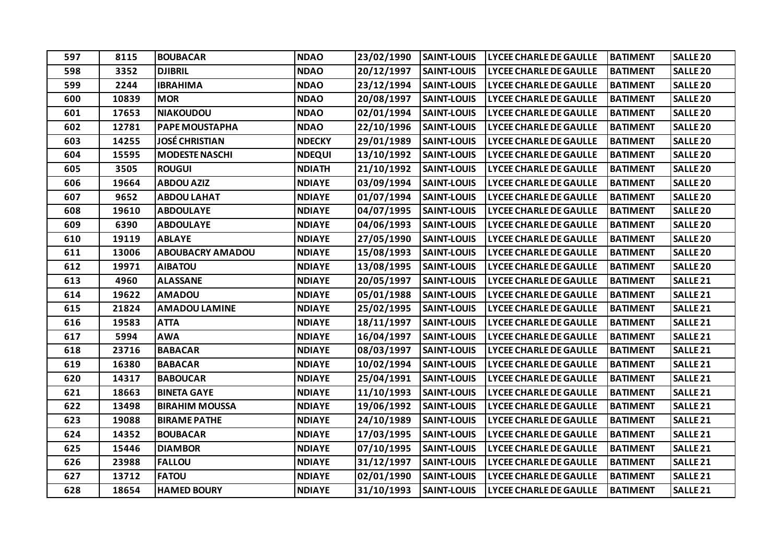| 597 | 8115  | <b>BOUBACAR</b>         | <b>NDAO</b>   | 23/02/1990 | <b>SAINT-LOUIS</b> | <b>LYCEE CHARLE DE GAULLE</b> | <b>BATIMENT</b> | <b>SALLE 20</b>     |
|-----|-------|-------------------------|---------------|------------|--------------------|-------------------------------|-----------------|---------------------|
| 598 | 3352  | <b>DJIBRIL</b>          | <b>NDAO</b>   | 20/12/1997 | <b>SAINT-LOUIS</b> | <b>LYCEE CHARLE DE GAULLE</b> | <b>BATIMENT</b> | <b>SALLE 20</b>     |
| 599 | 2244  | <b>IBRAHIMA</b>         | <b>NDAO</b>   | 23/12/1994 | <b>SAINT-LOUIS</b> | <b>LYCEE CHARLE DE GAULLE</b> | <b>BATIMENT</b> | <b>SALLE 20</b>     |
| 600 | 10839 | <b>MOR</b>              | <b>NDAO</b>   | 20/08/1997 | <b>SAINT-LOUIS</b> | <b>LYCEE CHARLE DE GAULLE</b> | <b>BATIMENT</b> | <b>SALLE 20</b>     |
| 601 | 17653 | <b>NIAKOUDOU</b>        | <b>NDAO</b>   | 02/01/1994 | <b>SAINT-LOUIS</b> | <b>LYCEE CHARLE DE GAULLE</b> | <b>BATIMENT</b> | <b>SALLE 20</b>     |
| 602 | 12781 | PAPE MOUSTAPHA          | <b>NDAO</b>   | 22/10/1996 | <b>SAINT-LOUIS</b> | <b>LYCEE CHARLE DE GAULLE</b> | <b>BATIMENT</b> | <b>SALLE 20</b>     |
| 603 | 14255 | JOSÉ CHRISTIAN          | <b>NDECKY</b> | 29/01/1989 | <b>SAINT-LOUIS</b> | <b>LYCEE CHARLE DE GAULLE</b> | <b>BATIMENT</b> | <b>SALLE 20</b>     |
| 604 | 15595 | <b>MODESTE NASCHI</b>   | <b>NDEQUI</b> | 13/10/1992 | <b>SAINT-LOUIS</b> | <b>LYCEE CHARLE DE GAULLE</b> | <b>BATIMENT</b> | <b>SALLE 20</b>     |
| 605 | 3505  | <b>ROUGUI</b>           | <b>NDIATH</b> | 21/10/1992 | <b>SAINT-LOUIS</b> | <b>LYCEE CHARLE DE GAULLE</b> | <b>BATIMENT</b> | <b>SALLE 20</b>     |
| 606 | 19664 | <b>ABDOU AZIZ</b>       | <b>NDIAYE</b> | 03/09/1994 | <b>SAINT-LOUIS</b> | <b>LYCEE CHARLE DE GAULLE</b> | <b>BATIMENT</b> | <b>SALLE 20</b>     |
| 607 | 9652  | <b>ABDOU LAHAT</b>      | <b>NDIAYE</b> | 01/07/1994 | <b>SAINT-LOUIS</b> | <b>LYCEE CHARLE DE GAULLE</b> | <b>BATIMENT</b> | <b>SALLE 20</b>     |
| 608 | 19610 | <b>ABDOULAYE</b>        | <b>NDIAYE</b> | 04/07/1995 | <b>SAINT-LOUIS</b> | LYCEE CHARLE DE GAULLE        | <b>BATIMENT</b> | <b>SALLE 20</b>     |
| 609 | 6390  | <b>ABDOULAYE</b>        | <b>NDIAYE</b> | 04/06/1993 | <b>SAINT-LOUIS</b> | <b>LYCEE CHARLE DE GAULLE</b> | <b>BATIMENT</b> | <b>SALLE 20</b>     |
| 610 | 19119 | <b>ABLAYE</b>           | <b>NDIAYE</b> | 27/05/1990 | <b>SAINT-LOUIS</b> | <b>LYCEE CHARLE DE GAULLE</b> | <b>BATIMENT</b> | <b>SALLE 20</b>     |
| 611 | 13006 | <b>ABOUBACRY AMADOU</b> | <b>NDIAYE</b> | 15/08/1993 | <b>SAINT-LOUIS</b> | <b>LYCEE CHARLE DE GAULLE</b> | <b>BATIMENT</b> | <b>SALLE 20</b>     |
| 612 | 19971 | <b>AIBATOU</b>          | <b>NDIAYE</b> | 13/08/1995 | <b>SAINT-LOUIS</b> | <b>LYCEE CHARLE DE GAULLE</b> | <b>BATIMENT</b> | <b>SALLE 20</b>     |
| 613 | 4960  | <b>ALASSANE</b>         | <b>NDIAYE</b> | 20/05/1997 | <b>SAINT-LOUIS</b> | <b>LYCEE CHARLE DE GAULLE</b> | <b>BATIMENT</b> | <b>SALLE 21</b>     |
| 614 | 19622 | <b>AMADOU</b>           | <b>NDIAYE</b> | 05/01/1988 | <b>SAINT-LOUIS</b> | <b>LYCEE CHARLE DE GAULLE</b> | <b>BATIMENT</b> | SALLE <sub>21</sub> |
| 615 | 21824 | <b>AMADOU LAMINE</b>    | <b>NDIAYE</b> | 25/02/1995 | <b>SAINT-LOUIS</b> | <b>LYCEE CHARLE DE GAULLE</b> | <b>BATIMENT</b> | SALLE <sub>21</sub> |
| 616 | 19583 | <b>ATTA</b>             | <b>NDIAYE</b> | 18/11/1997 | <b>SAINT-LOUIS</b> | <b>LYCEE CHARLE DE GAULLE</b> | <b>BATIMENT</b> | SALLE <sub>21</sub> |
| 617 | 5994  | <b>AWA</b>              | <b>NDIAYE</b> | 16/04/1997 | <b>SAINT-LOUIS</b> | <b>LYCEE CHARLE DE GAULLE</b> | <b>BATIMENT</b> | <b>SALLE 21</b>     |
| 618 | 23716 | <b>BABACAR</b>          | <b>NDIAYE</b> | 08/03/1997 | <b>SAINT-LOUIS</b> | <b>LYCEE CHARLE DE GAULLE</b> | <b>BATIMENT</b> | SALLE <sub>21</sub> |
| 619 | 16380 | <b>BABACAR</b>          | <b>NDIAYE</b> | 10/02/1994 | <b>SAINT-LOUIS</b> | <b>LYCEE CHARLE DE GAULLE</b> | <b>BATIMENT</b> | SALLE <sub>21</sub> |
| 620 | 14317 | <b>BABOUCAR</b>         | <b>NDIAYE</b> | 25/04/1991 | <b>SAINT-LOUIS</b> | <b>LYCEE CHARLE DE GAULLE</b> | <b>BATIMENT</b> | SALLE <sub>21</sub> |
| 621 | 18663 | <b>BINETA GAYE</b>      | <b>NDIAYE</b> | 11/10/1993 | <b>SAINT-LOUIS</b> | <b>LYCEE CHARLE DE GAULLE</b> | <b>BATIMENT</b> | SALLE <sub>21</sub> |
| 622 | 13498 | <b>BIRAHIM MOUSSA</b>   | <b>NDIAYE</b> | 19/06/1992 | <b>SAINT-LOUIS</b> | <b>LYCEE CHARLE DE GAULLE</b> | <b>BATIMENT</b> | SALLE <sub>21</sub> |
| 623 | 19088 | <b>BIRAME PATHE</b>     | <b>NDIAYE</b> | 24/10/1989 | <b>SAINT-LOUIS</b> | <b>LYCEE CHARLE DE GAULLE</b> | <b>BATIMENT</b> | SALLE <sub>21</sub> |
| 624 | 14352 | <b>BOUBACAR</b>         | <b>NDIAYE</b> | 17/03/1995 | <b>SAINT-LOUIS</b> | <b>LYCEE CHARLE DE GAULLE</b> | <b>BATIMENT</b> | <b>SALLE 21</b>     |
| 625 | 15446 | <b>DIAMBOR</b>          | <b>NDIAYE</b> | 07/10/1995 | <b>SAINT-LOUIS</b> | <b>LYCEE CHARLE DE GAULLE</b> | <b>BATIMENT</b> | <b>SALLE 21</b>     |
| 626 | 23988 | <b>FALLOU</b>           | <b>NDIAYE</b> | 31/12/1997 | <b>SAINT-LOUIS</b> | <b>LYCEE CHARLE DE GAULLE</b> | <b>BATIMENT</b> | SALLE <sub>21</sub> |
| 627 | 13712 | <b>FATOU</b>            | <b>NDIAYE</b> | 02/01/1990 | <b>SAINT-LOUIS</b> | <b>LYCEE CHARLE DE GAULLE</b> | <b>BATIMENT</b> | SALLE <sub>21</sub> |
| 628 | 18654 | <b>HAMED BOURY</b>      | <b>NDIAYE</b> | 31/10/1993 | <b>SAINT-LOUIS</b> | <b>LYCEE CHARLE DE GAULLE</b> | <b>BATIMENT</b> | SALLE <sub>21</sub> |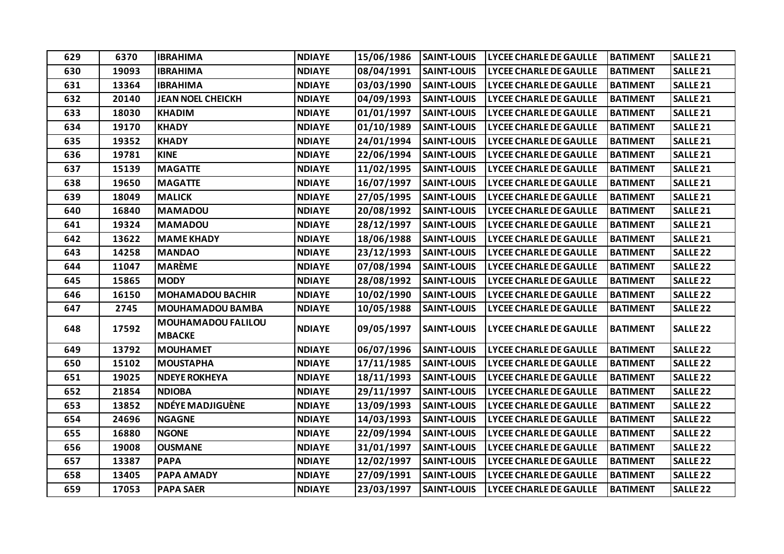| 629 | 6370  | <b>IBRAHIMA</b>                            | <b>NDIAYE</b> | 15/06/1986 | <b>SAINT-LOUIS</b> | <b>LYCEE CHARLE DE GAULLE</b> | <b>BATIMENT</b> | SALLE <sub>21</sub> |
|-----|-------|--------------------------------------------|---------------|------------|--------------------|-------------------------------|-----------------|---------------------|
| 630 | 19093 | <b>IBRAHIMA</b>                            | <b>NDIAYE</b> | 08/04/1991 | <b>SAINT-LOUIS</b> | <b>LYCEE CHARLE DE GAULLE</b> | <b>BATIMENT</b> | SALLE <sub>21</sub> |
| 631 | 13364 | <b>IBRAHIMA</b>                            | <b>NDIAYE</b> | 03/03/1990 | <b>SAINT-LOUIS</b> | <b>LYCEE CHARLE DE GAULLE</b> | <b>BATIMENT</b> | SALLE <sub>21</sub> |
| 632 | 20140 | <b>JEAN NOEL CHEICKH</b>                   | <b>NDIAYE</b> | 04/09/1993 | <b>SAINT-LOUIS</b> | <b>LYCEE CHARLE DE GAULLE</b> | <b>BATIMENT</b> | SALLE <sub>21</sub> |
| 633 | 18030 | <b>KHADIM</b>                              | <b>NDIAYE</b> | 01/01/1997 | <b>SAINT-LOUIS</b> | LYCEE CHARLE DE GAULLE        | <b>BATIMENT</b> | SALLE <sub>21</sub> |
| 634 | 19170 | <b>KHADY</b>                               | <b>NDIAYE</b> | 01/10/1989 | <b>SAINT-LOUIS</b> | <b>LYCEE CHARLE DE GAULLE</b> | <b>BATIMENT</b> | <b>SALLE 21</b>     |
| 635 | 19352 | <b>KHADY</b>                               | <b>NDIAYE</b> | 24/01/1994 | <b>SAINT-LOUIS</b> | <b>LYCEE CHARLE DE GAULLE</b> | <b>BATIMENT</b> | SALLE <sub>21</sub> |
| 636 | 19781 | <b>KINE</b>                                | <b>NDIAYE</b> | 22/06/1994 | <b>SAINT-LOUIS</b> | <b>LYCEE CHARLE DE GAULLE</b> | <b>BATIMENT</b> | SALLE <sub>21</sub> |
| 637 | 15139 | <b>MAGATTE</b>                             | <b>NDIAYE</b> | 11/02/1995 | <b>SAINT-LOUIS</b> | <b>LYCEE CHARLE DE GAULLE</b> | <b>BATIMENT</b> | SALLE <sub>21</sub> |
| 638 | 19650 | <b>MAGATTE</b>                             | <b>NDIAYE</b> | 16/07/1997 | <b>SAINT-LOUIS</b> | <b>LYCEE CHARLE DE GAULLE</b> | <b>BATIMENT</b> | <b>SALLE 21</b>     |
| 639 | 18049 | <b>MALICK</b>                              | <b>NDIAYE</b> | 27/05/1995 | <b>SAINT-LOUIS</b> | <b>LYCEE CHARLE DE GAULLE</b> | <b>BATIMENT</b> | SALLE <sub>21</sub> |
| 640 | 16840 | <b>MAMADOU</b>                             | <b>NDIAYE</b> | 20/08/1992 | <b>SAINT-LOUIS</b> | LYCEE CHARLE DE GAULLE        | <b>BATIMENT</b> | <b>SALLE 21</b>     |
| 641 | 19324 | <b>MAMADOU</b>                             | <b>NDIAYE</b> | 28/12/1997 | <b>SAINT-LOUIS</b> | <b>LYCEE CHARLE DE GAULLE</b> | <b>BATIMENT</b> | SALLE <sub>21</sub> |
| 642 | 13622 | <b>MAME KHADY</b>                          | <b>NDIAYE</b> | 18/06/1988 | <b>SAINT-LOUIS</b> | <b>LYCEE CHARLE DE GAULLE</b> | <b>BATIMENT</b> | SALLE <sub>21</sub> |
| 643 | 14258 | <b>MANDAO</b>                              | <b>NDIAYE</b> | 23/12/1993 | <b>SAINT-LOUIS</b> | <b>LYCEE CHARLE DE GAULLE</b> | <b>BATIMENT</b> | <b>SALLE 22</b>     |
| 644 | 11047 | <b>MARÈME</b>                              | <b>NDIAYE</b> | 07/08/1994 | <b>SAINT-LOUIS</b> | <b>LYCEE CHARLE DE GAULLE</b> | <b>BATIMENT</b> | <b>SALLE 22</b>     |
| 645 | 15865 | <b>MODY</b>                                | <b>NDIAYE</b> | 28/08/1992 | <b>SAINT-LOUIS</b> | <b>LYCEE CHARLE DE GAULLE</b> | <b>BATIMENT</b> | <b>SALLE 22</b>     |
| 646 | 16150 | <b>MOHAMADOU BACHIR</b>                    | <b>NDIAYE</b> | 10/02/1990 | <b>SAINT-LOUIS</b> | <b>LYCEE CHARLE DE GAULLE</b> | <b>BATIMENT</b> | <b>SALLE 22</b>     |
| 647 | 2745  | <b>MOUHAMADOU BAMBA</b>                    | <b>NDIAYE</b> | 10/05/1988 | <b>SAINT-LOUIS</b> | <b>LYCEE CHARLE DE GAULLE</b> | <b>BATIMENT</b> | <b>SALLE 22</b>     |
| 648 | 17592 | <b>MOUHAMADOU FALILOU</b><br><b>MBACKE</b> | <b>NDIAYE</b> | 09/05/1997 | <b>SAINT-LOUIS</b> | <b>LYCEE CHARLE DE GAULLE</b> | <b>BATIMENT</b> | <b>SALLE 22</b>     |
| 649 | 13792 | <b>MOUHAMET</b>                            | <b>NDIAYE</b> | 06/07/1996 | <b>SAINT-LOUIS</b> | <b>LYCEE CHARLE DE GAULLE</b> | <b>BATIMENT</b> | <b>SALLE 22</b>     |
| 650 | 15102 | <b>MOUSTAPHA</b>                           | <b>NDIAYE</b> | 17/11/1985 | <b>SAINT-LOUIS</b> | <b>LYCEE CHARLE DE GAULLE</b> | <b>BATIMENT</b> | <b>SALLE 22</b>     |
| 651 | 19025 | <b>NDEYE ROKHEYA</b>                       | <b>NDIAYE</b> | 18/11/1993 | <b>SAINT-LOUIS</b> | <b>LYCEE CHARLE DE GAULLE</b> | <b>BATIMENT</b> | <b>SALLE 22</b>     |
| 652 | 21854 | <b>NDIOBA</b>                              | <b>NDIAYE</b> | 29/11/1997 | <b>SAINT-LOUIS</b> | <b>LYCEE CHARLE DE GAULLE</b> | <b>BATIMENT</b> | <b>SALLE 22</b>     |
| 653 | 13852 | NDÉYE MADJIGUÈNE                           | <b>NDIAYE</b> | 13/09/1993 | <b>SAINT-LOUIS</b> | <b>LYCEE CHARLE DE GAULLE</b> | <b>BATIMENT</b> | <b>SALLE 22</b>     |
| 654 | 24696 | <b>NGAGNE</b>                              | <b>NDIAYE</b> | 14/03/1993 | <b>SAINT-LOUIS</b> | <b>LYCEE CHARLE DE GAULLE</b> | <b>BATIMENT</b> | SALLE <sub>22</sub> |
| 655 | 16880 | <b>NGONE</b>                               | <b>NDIAYE</b> | 22/09/1994 | <b>SAINT-LOUIS</b> | <b>LYCEE CHARLE DE GAULLE</b> | <b>BATIMENT</b> | <b>SALLE 22</b>     |
| 656 | 19008 | <b>OUSMANE</b>                             | <b>NDIAYE</b> | 31/01/1997 | <b>SAINT-LOUIS</b> | <b>LYCEE CHARLE DE GAULLE</b> | <b>BATIMENT</b> | <b>SALLE 22</b>     |
| 657 | 13387 | <b>PAPA</b>                                | <b>NDIAYE</b> | 12/02/1997 | <b>SAINT-LOUIS</b> | <b>LYCEE CHARLE DE GAULLE</b> | <b>BATIMENT</b> | <b>SALLE 22</b>     |
| 658 | 13405 | PAPA AMADY                                 | <b>NDIAYE</b> | 27/09/1991 | <b>SAINT-LOUIS</b> | <b>LYCEE CHARLE DE GAULLE</b> | <b>BATIMENT</b> | <b>SALLE 22</b>     |
| 659 | 17053 | <b>PAPA SAER</b>                           | <b>NDIAYE</b> | 23/03/1997 | <b>SAINT-LOUIS</b> | <b>LYCEE CHARLE DE GAULLE</b> | <b>BATIMENT</b> | <b>SALLE 22</b>     |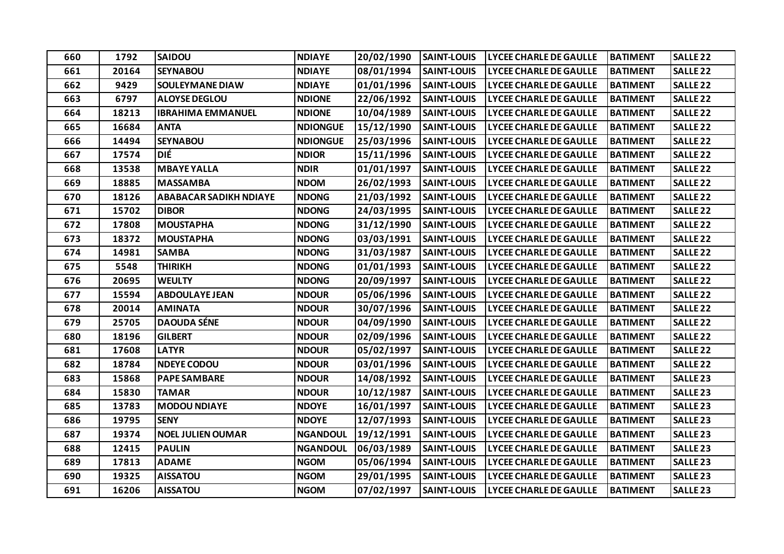| 660 | 1792  | <b>SAIDOU</b>                 | <b>NDIAYE</b>   | 20/02/1990 | <b>SAINT-LOUIS</b> | <b>LYCEE CHARLE DE GAULLE</b> | <b>BATIMENT</b> | <b>SALLE 22</b>     |
|-----|-------|-------------------------------|-----------------|------------|--------------------|-------------------------------|-----------------|---------------------|
| 661 | 20164 | <b>SEYNABOU</b>               | <b>NDIAYE</b>   | 08/01/1994 | <b>SAINT-LOUIS</b> | LYCEE CHARLE DE GAULLE        | <b>BATIMENT</b> | <b>SALLE 22</b>     |
| 662 | 9429  | <b>SOULEYMANE DIAW</b>        | <b>NDIAYE</b>   | 01/01/1996 | <b>SAINT-LOUIS</b> | <b>LYCEE CHARLE DE GAULLE</b> | <b>BATIMENT</b> | <b>SALLE 22</b>     |
| 663 | 6797  | <b>ALOYSE DEGLOU</b>          | <b>NDIONE</b>   | 22/06/1992 | <b>SAINT-LOUIS</b> | <b>LYCEE CHARLE DE GAULLE</b> | <b>BATIMENT</b> | <b>SALLE 22</b>     |
| 664 | 18213 | <b>IBRAHIMA EMMANUEL</b>      | <b>NDIONE</b>   | 10/04/1989 | <b>SAINT-LOUIS</b> | <b>LYCEE CHARLE DE GAULLE</b> | <b>BATIMENT</b> | <b>SALLE 22</b>     |
| 665 | 16684 | <b>ANTA</b>                   | <b>NDIONGUE</b> | 15/12/1990 | <b>SAINT-LOUIS</b> | LYCEE CHARLE DE GAULLE        | <b>BATIMENT</b> | <b>SALLE 22</b>     |
| 666 | 14494 | <b>SEYNABOU</b>               | <b>NDIONGUE</b> | 25/03/1996 | <b>SAINT-LOUIS</b> | <b>LYCEE CHARLE DE GAULLE</b> | <b>BATIMENT</b> | <b>SALLE 22</b>     |
| 667 | 17574 | DIÉ                           | <b>NDIOR</b>    | 15/11/1996 | <b>SAINT-LOUIS</b> | <b>LYCEE CHARLE DE GAULLE</b> | <b>BATIMENT</b> | <b>SALLE 22</b>     |
| 668 | 13538 | <b>MBAYE YALLA</b>            | <b>NDIR</b>     | 01/01/1997 | <b>SAINT-LOUIS</b> | <b>LYCEE CHARLE DE GAULLE</b> | <b>BATIMENT</b> | <b>SALLE 22</b>     |
| 669 | 18885 | <b>MASSAMBA</b>               | <b>NDOM</b>     | 26/02/1993 | <b>SAINT-LOUIS</b> | <b>LYCEE CHARLE DE GAULLE</b> | <b>BATIMENT</b> | <b>SALLE 22</b>     |
| 670 | 18126 | <b>ABABACAR SADIKH NDIAYE</b> | <b>NDONG</b>    | 21/03/1992 | <b>SAINT-LOUIS</b> | <b>LYCEE CHARLE DE GAULLE</b> | <b>BATIMENT</b> | <b>SALLE 22</b>     |
| 671 | 15702 | <b>DIBOR</b>                  | <b>NDONG</b>    | 24/03/1995 | <b>SAINT-LOUIS</b> | <b>LYCEE CHARLE DE GAULLE</b> | <b>BATIMENT</b> | <b>SALLE 22</b>     |
| 672 | 17808 | <b>MOUSTAPHA</b>              | <b>NDONG</b>    | 31/12/1990 | <b>SAINT-LOUIS</b> | <b>LYCEE CHARLE DE GAULLE</b> | <b>BATIMENT</b> | <b>SALLE 22</b>     |
| 673 | 18372 | <b>MOUSTAPHA</b>              | <b>NDONG</b>    | 03/03/1991 | <b>SAINT-LOUIS</b> | <b>LYCEE CHARLE DE GAULLE</b> | <b>BATIMENT</b> | <b>SALLE 22</b>     |
| 674 | 14981 | <b>SAMBA</b>                  | <b>NDONG</b>    | 31/03/1987 | <b>SAINT-LOUIS</b> | <b>LYCEE CHARLE DE GAULLE</b> | <b>BATIMENT</b> | <b>SALLE 22</b>     |
| 675 | 5548  | <b>THIRIKH</b>                | <b>NDONG</b>    | 01/01/1993 | <b>SAINT-LOUIS</b> | <b>LYCEE CHARLE DE GAULLE</b> | <b>BATIMENT</b> | <b>SALLE 22</b>     |
| 676 | 20695 | <b>WEULTY</b>                 | <b>NDONG</b>    | 20/09/1997 | <b>SAINT-LOUIS</b> | <b>LYCEE CHARLE DE GAULLE</b> | <b>BATIMENT</b> | <b>SALLE 22</b>     |
| 677 | 15594 | <b>ABDOULAYE JEAN</b>         | <b>NDOUR</b>    | 05/06/1996 | <b>SAINT-LOUIS</b> | <b>LYCEE CHARLE DE GAULLE</b> | <b>BATIMENT</b> | <b>SALLE 22</b>     |
| 678 | 20014 | <b>AMINATA</b>                | <b>NDOUR</b>    | 30/07/1996 | <b>SAINT-LOUIS</b> | <b>LYCEE CHARLE DE GAULLE</b> | <b>BATIMENT</b> | <b>SALLE 22</b>     |
| 679 | 25705 | <b>DAOUDA SÉNE</b>            | <b>NDOUR</b>    | 04/09/1990 | <b>SAINT-LOUIS</b> | <b>LYCEE CHARLE DE GAULLE</b> | <b>BATIMENT</b> | <b>SALLE 22</b>     |
| 680 | 18196 | <b>GILBERT</b>                | <b>NDOUR</b>    | 02/09/1996 | <b>SAINT-LOUIS</b> | <b>LYCEE CHARLE DE GAULLE</b> | <b>BATIMENT</b> | SALLE <sub>22</sub> |
| 681 | 17608 | <b>LATYR</b>                  | <b>NDOUR</b>    | 05/02/1997 | <b>SAINT-LOUIS</b> | <b>LYCEE CHARLE DE GAULLE</b> | <b>BATIMENT</b> | <b>SALLE 22</b>     |
| 682 | 18784 | <b>NDEYE CODOU</b>            | <b>NDOUR</b>    | 03/01/1996 | <b>SAINT-LOUIS</b> | <b>LYCEE CHARLE DE GAULLE</b> | <b>BATIMENT</b> | <b>SALLE 22</b>     |
| 683 | 15868 | <b>PAPE SAMBARE</b>           | <b>NDOUR</b>    | 14/08/1992 | <b>SAINT-LOUIS</b> | <b>LYCEE CHARLE DE GAULLE</b> | <b>BATIMENT</b> | <b>SALLE 23</b>     |
| 684 | 15830 | <b>TAMAR</b>                  | <b>NDOUR</b>    | 10/12/1987 | <b>SAINT-LOUIS</b> | <b>LYCEE CHARLE DE GAULLE</b> | <b>BATIMENT</b> | <b>SALLE 23</b>     |
| 685 | 13783 | <b>MODOU NDIAYE</b>           | <b>NDOYE</b>    | 16/01/1997 | <b>SAINT-LOUIS</b> | <b>LYCEE CHARLE DE GAULLE</b> | <b>BATIMENT</b> | <b>SALLE 23</b>     |
| 686 | 19795 | <b>SENY</b>                   | <b>NDOYE</b>    | 12/07/1993 | <b>SAINT-LOUIS</b> | <b>LYCEE CHARLE DE GAULLE</b> | <b>BATIMENT</b> | <b>SALLE 23</b>     |
| 687 | 19374 | <b>NOEL JULIEN OUMAR</b>      | <b>NGANDOUL</b> | 19/12/1991 | <b>SAINT-LOUIS</b> | <b>LYCEE CHARLE DE GAULLE</b> | <b>BATIMENT</b> | <b>SALLE 23</b>     |
| 688 | 12415 | <b>PAULIN</b>                 | <b>NGANDOUL</b> | 06/03/1989 | <b>SAINT-LOUIS</b> | <b>LYCEE CHARLE DE GAULLE</b> | <b>BATIMENT</b> | <b>SALLE 23</b>     |
| 689 | 17813 | <b>ADAME</b>                  | <b>NGOM</b>     | 05/06/1994 | <b>SAINT-LOUIS</b> | <b>LYCEE CHARLE DE GAULLE</b> | <b>BATIMENT</b> | <b>SALLE 23</b>     |
| 690 | 19325 | <b>AISSATOU</b>               | <b>NGOM</b>     | 29/01/1995 | <b>SAINT-LOUIS</b> | <b>LYCEE CHARLE DE GAULLE</b> | <b>BATIMENT</b> | SALLE <sub>23</sub> |
| 691 | 16206 | <b>AISSATOU</b>               | <b>NGOM</b>     | 07/02/1997 | <b>SAINT-LOUIS</b> | <b>LYCEE CHARLE DE GAULLE</b> | <b>BATIMENT</b> | <b>SALLE 23</b>     |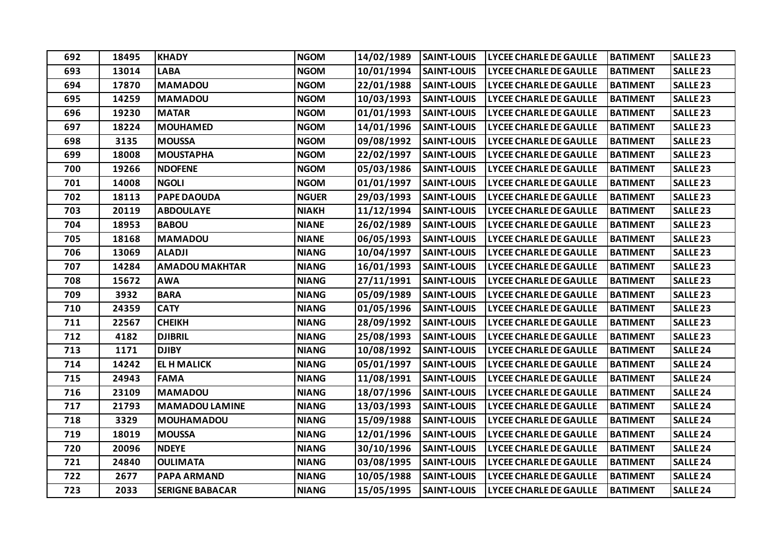| 692 | 18495 | <b>KHADY</b>           | <b>NGOM</b>  | 14/02/1989 | <b>SAINT-LOUIS</b> | <b>LYCEE CHARLE DE GAULLE</b> | <b>BATIMENT</b> | <b>SALLE 23</b>     |
|-----|-------|------------------------|--------------|------------|--------------------|-------------------------------|-----------------|---------------------|
| 693 | 13014 | <b>LABA</b>            | <b>NGOM</b>  | 10/01/1994 | <b>SAINT-LOUIS</b> | LYCEE CHARLE DE GAULLE        | <b>BATIMENT</b> | <b>SALLE 23</b>     |
| 694 | 17870 | <b>MAMADOU</b>         | <b>NGOM</b>  | 22/01/1988 | <b>SAINT-LOUIS</b> | <b>LYCEE CHARLE DE GAULLE</b> | <b>BATIMENT</b> | <b>SALLE 23</b>     |
| 695 | 14259 | <b>MAMADOU</b>         | <b>NGOM</b>  | 10/03/1993 | <b>SAINT-LOUIS</b> | <b>LYCEE CHARLE DE GAULLE</b> | <b>BATIMENT</b> | <b>SALLE 23</b>     |
| 696 | 19230 | <b>MATAR</b>           | <b>NGOM</b>  | 01/01/1993 | <b>SAINT-LOUIS</b> | <b>LYCEE CHARLE DE GAULLE</b> | <b>BATIMENT</b> | <b>SALLE 23</b>     |
| 697 | 18224 | <b>MOUHAMED</b>        | <b>NGOM</b>  | 14/01/1996 | <b>SAINT-LOUIS</b> | LYCEE CHARLE DE GAULLE        | <b>BATIMENT</b> | <b>SALLE 23</b>     |
| 698 | 3135  | <b>MOUSSA</b>          | <b>NGOM</b>  | 09/08/1992 | <b>SAINT-LOUIS</b> | <b>LYCEE CHARLE DE GAULLE</b> | <b>BATIMENT</b> | SALLE <sub>23</sub> |
| 699 | 18008 | <b>MOUSTAPHA</b>       | <b>NGOM</b>  | 22/02/1997 | <b>SAINT-LOUIS</b> | <b>LYCEE CHARLE DE GAULLE</b> | <b>BATIMENT</b> | <b>SALLE 23</b>     |
| 700 | 19266 | <b>NDOFENE</b>         | <b>NGOM</b>  | 05/03/1986 | <b>SAINT-LOUIS</b> | <b>LYCEE CHARLE DE GAULLE</b> | <b>BATIMENT</b> | <b>SALLE 23</b>     |
| 701 | 14008 | <b>NGOLI</b>           | <b>NGOM</b>  | 01/01/1997 | <b>SAINT-LOUIS</b> | <b>LYCEE CHARLE DE GAULLE</b> | <b>BATIMENT</b> | <b>SALLE 23</b>     |
| 702 | 18113 | <b>PAPE DAOUDA</b>     | <b>NGUER</b> | 29/03/1993 | <b>SAINT-LOUIS</b> | <b>LYCEE CHARLE DE GAULLE</b> | <b>BATIMENT</b> | <b>SALLE 23</b>     |
| 703 | 20119 | <b>ABDOULAYE</b>       | <b>NIAKH</b> | 11/12/1994 | <b>SAINT-LOUIS</b> | <b>LYCEE CHARLE DE GAULLE</b> | <b>BATIMENT</b> | <b>SALLE 23</b>     |
| 704 | 18953 | <b>BABOU</b>           | <b>NIANE</b> | 26/02/1989 | <b>SAINT-LOUIS</b> | <b>LYCEE CHARLE DE GAULLE</b> | <b>BATIMENT</b> | <b>SALLE 23</b>     |
| 705 | 18168 | <b>MAMADOU</b>         | <b>NIANE</b> | 06/05/1993 | <b>SAINT-LOUIS</b> | <b>LYCEE CHARLE DE GAULLE</b> | <b>BATIMENT</b> | <b>SALLE 23</b>     |
| 706 | 13069 | <b>ALADJI</b>          | <b>NIANG</b> | 10/04/1997 | <b>SAINT-LOUIS</b> | <b>LYCEE CHARLE DE GAULLE</b> | <b>BATIMENT</b> | <b>SALLE 23</b>     |
| 707 | 14284 | <b>AMADOU MAKHTAR</b>  | <b>NIANG</b> | 16/01/1993 | <b>SAINT-LOUIS</b> | <b>LYCEE CHARLE DE GAULLE</b> | <b>BATIMENT</b> | SALLE <sub>23</sub> |
| 708 | 15672 | <b>AWA</b>             | <b>NIANG</b> | 27/11/1991 | <b>SAINT-LOUIS</b> | <b>LYCEE CHARLE DE GAULLE</b> | <b>BATIMENT</b> | <b>SALLE 23</b>     |
| 709 | 3932  | <b>BARA</b>            | <b>NIANG</b> | 05/09/1989 | <b>SAINT-LOUIS</b> | LYCEE CHARLE DE GAULLE        | <b>BATIMENT</b> | <b>SALLE 23</b>     |
| 710 | 24359 | <b>CATY</b>            | <b>NIANG</b> | 01/05/1996 | <b>SAINT-LOUIS</b> | <b>LYCEE CHARLE DE GAULLE</b> | <b>BATIMENT</b> | <b>SALLE 23</b>     |
| 711 | 22567 | <b>CHEIKH</b>          | <b>NIANG</b> | 28/09/1992 | <b>SAINT-LOUIS</b> | <b>LYCEE CHARLE DE GAULLE</b> | <b>BATIMENT</b> | <b>SALLE 23</b>     |
| 712 | 4182  | <b>DJIBRIL</b>         | <b>NIANG</b> | 25/08/1993 | <b>SAINT-LOUIS</b> | <b>LYCEE CHARLE DE GAULLE</b> | <b>BATIMENT</b> | SALLE <sub>23</sub> |
| 713 | 1171  | <b>DJIBY</b>           | <b>NIANG</b> | 10/08/1992 | <b>SAINT-LOUIS</b> | <b>LYCEE CHARLE DE GAULLE</b> | <b>BATIMENT</b> | <b>SALLE 24</b>     |
| 714 | 14242 | <b>EL H MALICK</b>     | <b>NIANG</b> | 05/01/1997 | <b>SAINT-LOUIS</b> | <b>LYCEE CHARLE DE GAULLE</b> | <b>BATIMENT</b> | <b>SALLE 24</b>     |
| 715 | 24943 | <b>FAMA</b>            | <b>NIANG</b> | 11/08/1991 | <b>SAINT-LOUIS</b> | <b>LYCEE CHARLE DE GAULLE</b> | <b>BATIMENT</b> | <b>SALLE 24</b>     |
| 716 | 23109 | <b>MAMADOU</b>         | <b>NIANG</b> | 18/07/1996 | <b>SAINT-LOUIS</b> | <b>LYCEE CHARLE DE GAULLE</b> | <b>BATIMENT</b> | <b>SALLE 24</b>     |
| 717 | 21793 | <b>MAMADOU LAMINE</b>  | <b>NIANG</b> | 13/03/1993 | <b>SAINT-LOUIS</b> | <b>LYCEE CHARLE DE GAULLE</b> | <b>BATIMENT</b> | <b>SALLE 24</b>     |
| 718 | 3329  | <b>MOUHAMADOU</b>      | <b>NIANG</b> | 15/09/1988 | <b>SAINT-LOUIS</b> | <b>LYCEE CHARLE DE GAULLE</b> | <b>BATIMENT</b> | <b>SALLE 24</b>     |
| 719 | 18019 | <b>MOUSSA</b>          | <b>NIANG</b> | 12/01/1996 | <b>SAINT-LOUIS</b> | <b>LYCEE CHARLE DE GAULLE</b> | <b>BATIMENT</b> | SALLE <sub>24</sub> |
| 720 | 20096 | <b>NDEYE</b>           | <b>NIANG</b> | 30/10/1996 | <b>SAINT-LOUIS</b> | <b>LYCEE CHARLE DE GAULLE</b> | <b>BATIMENT</b> | <b>SALLE 24</b>     |
| 721 | 24840 | <b>OULIMATA</b>        | <b>NIANG</b> | 03/08/1995 | <b>SAINT-LOUIS</b> | <b>LYCEE CHARLE DE GAULLE</b> | <b>BATIMENT</b> | <b>SALLE 24</b>     |
| 722 | 2677  | <b>PAPA ARMAND</b>     | <b>NIANG</b> | 10/05/1988 | <b>SAINT-LOUIS</b> | <b>LYCEE CHARLE DE GAULLE</b> | <b>BATIMENT</b> | <b>SALLE 24</b>     |
| 723 | 2033  | <b>SERIGNE BABACAR</b> | <b>NIANG</b> | 15/05/1995 | <b>SAINT-LOUIS</b> | <b>LYCEE CHARLE DE GAULLE</b> | <b>BATIMENT</b> | <b>SALLE 24</b>     |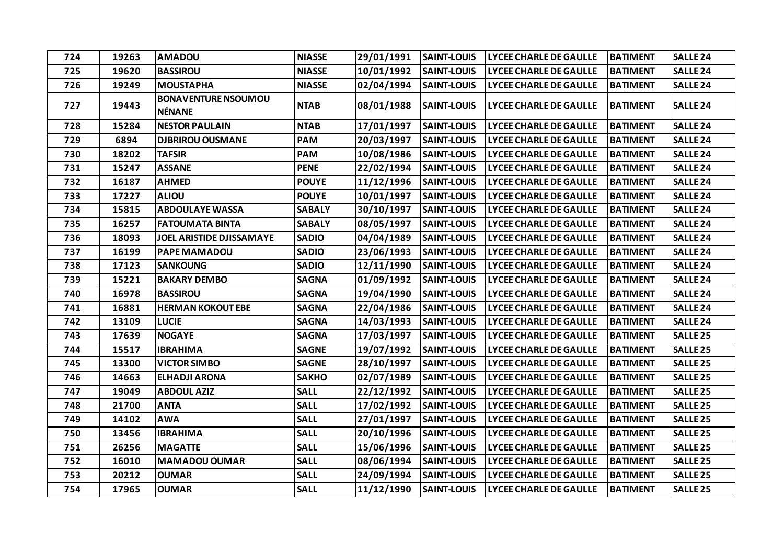| 724 | 19263 | <b>AMADOU</b>                               | <b>NIASSE</b> | 29/01/1991 | <b>SAINT-LOUIS</b> | <b>LYCEE CHARLE DE GAULLE</b> | <b>BATIMENT</b> | <b>SALLE 24</b>     |
|-----|-------|---------------------------------------------|---------------|------------|--------------------|-------------------------------|-----------------|---------------------|
| 725 | 19620 | <b>BASSIROU</b>                             | <b>NIASSE</b> | 10/01/1992 | <b>SAINT-LOUIS</b> | <b>LYCEE CHARLE DE GAULLE</b> | <b>BATIMENT</b> | <b>SALLE 24</b>     |
| 726 | 19249 | <b>MOUSTAPHA</b>                            | <b>NIASSE</b> | 02/04/1994 | <b>SAINT-LOUIS</b> | LYCEE CHARLE DE GAULLE        | <b>BATIMENT</b> | <b>SALLE 24</b>     |
| 727 | 19443 | <b>BONAVENTURE NSOUMOU</b><br><b>NÉNANE</b> | <b>NTAB</b>   | 08/01/1988 | <b>SAINT-LOUIS</b> | <b>LYCEE CHARLE DE GAULLE</b> | <b>BATIMENT</b> | SALLE <sub>24</sub> |
| 728 | 15284 | <b>NESTOR PAULAIN</b>                       | <b>NTAB</b>   | 17/01/1997 | <b>SAINT-LOUIS</b> | LYCEE CHARLE DE GAULLE        | <b>BATIMENT</b> | <b>SALLE 24</b>     |
| 729 | 6894  | <b>DJBRIROU OUSMANE</b>                     | <b>PAM</b>    | 20/03/1997 | <b>SAINT-LOUIS</b> | <b>LYCEE CHARLE DE GAULLE</b> | <b>BATIMENT</b> | <b>SALLE 24</b>     |
| 730 | 18202 | <b>TAFSIR</b>                               | <b>PAM</b>    | 10/08/1986 | <b>SAINT-LOUIS</b> | LYCEE CHARLE DE GAULLE        | <b>BATIMENT</b> | <b>SALLE 24</b>     |
| 731 | 15247 | <b>ASSANE</b>                               | <b>PENE</b>   | 22/02/1994 | <b>SAINT-LOUIS</b> | <b>LYCEE CHARLE DE GAULLE</b> | <b>BATIMENT</b> | <b>SALLE 24</b>     |
| 732 | 16187 | <b>AHMED</b>                                | <b>POUYE</b>  | 11/12/1996 | <b>SAINT-LOUIS</b> | LYCEE CHARLE DE GAULLE        | <b>BATIMENT</b> | <b>SALLE 24</b>     |
| 733 | 17227 | <b>ALIOU</b>                                | <b>POUYE</b>  | 10/01/1997 | <b>SAINT-LOUIS</b> | <b>LYCEE CHARLE DE GAULLE</b> | <b>BATIMENT</b> | <b>SALLE 24</b>     |
| 734 | 15815 | <b>ABDOULAYE WASSA</b>                      | <b>SABALY</b> | 30/10/1997 | <b>SAINT-LOUIS</b> | <b>LYCEE CHARLE DE GAULLE</b> | <b>BATIMENT</b> | <b>SALLE 24</b>     |
| 735 | 16257 | <b>FATOUMATA BINTA</b>                      | <b>SABALY</b> | 08/05/1997 | <b>SAINT-LOUIS</b> | <b>LYCEE CHARLE DE GAULLE</b> | <b>BATIMENT</b> | <b>SALLE 24</b>     |
| 736 | 18093 | JOEL ARISTIDE DJISSAMAYE                    | <b>SADIO</b>  | 04/04/1989 | <b>SAINT-LOUIS</b> | <b>LYCEE CHARLE DE GAULLE</b> | <b>BATIMENT</b> | <b>SALLE 24</b>     |
| 737 | 16199 | <b>PAPE MAMADOU</b>                         | <b>SADIO</b>  | 23/06/1993 | <b>SAINT-LOUIS</b> | <b>LYCEE CHARLE DE GAULLE</b> | <b>BATIMENT</b> | SALLE <sub>24</sub> |
| 738 | 17123 | <b>SANKOUNG</b>                             | <b>SADIO</b>  | 12/11/1990 | <b>SAINT-LOUIS</b> | LYCEE CHARLE DE GAULLE        | <b>BATIMENT</b> | <b>SALLE 24</b>     |
| 739 | 15221 | <b>BAKARY DEMBO</b>                         | <b>SAGNA</b>  | 01/09/1992 | <b>SAINT-LOUIS</b> | LYCEE CHARLE DE GAULLE        | <b>BATIMENT</b> | <b>SALLE 24</b>     |
| 740 | 16978 | <b>BASSIROU</b>                             | <b>SAGNA</b>  | 19/04/1990 | <b>SAINT-LOUIS</b> | <b>LYCEE CHARLE DE GAULLE</b> | <b>BATIMENT</b> | <b>SALLE 24</b>     |
| 741 | 16881 | <b>HERMAN KOKOUT EBE</b>                    | <b>SAGNA</b>  | 22/04/1986 | <b>SAINT-LOUIS</b> | LYCEE CHARLE DE GAULLE        | <b>BATIMENT</b> | <b>SALLE 24</b>     |
| 742 | 13109 | <b>LUCIE</b>                                | <b>SAGNA</b>  | 14/03/1993 | <b>SAINT-LOUIS</b> | <b>LYCEE CHARLE DE GAULLE</b> | <b>BATIMENT</b> | <b>SALLE 24</b>     |
| 743 | 17639 | <b>NOGAYE</b>                               | <b>SAGNA</b>  | 17/03/1997 | <b>SAINT-LOUIS</b> | LYCEE CHARLE DE GAULLE        | <b>BATIMENT</b> | <b>SALLE 25</b>     |
| 744 | 15517 | <b>IBRAHIMA</b>                             | <b>SAGNE</b>  | 19/07/1992 | <b>SAINT-LOUIS</b> | LYCEE CHARLE DE GAULLE        | <b>BATIMENT</b> | <b>SALLE 25</b>     |
| 745 | 13300 | <b>VICTOR SIMBO</b>                         | <b>SAGNE</b>  | 28/10/1997 | <b>SAINT-LOUIS</b> | <b>LYCEE CHARLE DE GAULLE</b> | <b>BATIMENT</b> | <b>SALLE 25</b>     |
| 746 | 14663 | <b>ELHADJI ARONA</b>                        | <b>SAKHO</b>  | 02/07/1989 | <b>SAINT-LOUIS</b> | <b>LYCEE CHARLE DE GAULLE</b> | <b>BATIMENT</b> | <b>SALLE 25</b>     |
| 747 | 19049 | <b>ABDOUL AZIZ</b>                          | <b>SALL</b>   | 22/12/1992 | <b>SAINT-LOUIS</b> | <b>LYCEE CHARLE DE GAULLE</b> | <b>BATIMENT</b> | <b>SALLE 25</b>     |
| 748 | 21700 | <b>ANTA</b>                                 | <b>SALL</b>   | 17/02/1992 | <b>SAINT-LOUIS</b> | LYCEE CHARLE DE GAULLE        | <b>BATIMENT</b> | <b>SALLE 25</b>     |
| 749 | 14102 | <b>AWA</b>                                  | <b>SALL</b>   | 27/01/1997 | <b>SAINT-LOUIS</b> | LYCEE CHARLE DE GAULLE        | <b>BATIMENT</b> | <b>SALLE 25</b>     |
| 750 | 13456 | <b>IBRAHIMA</b>                             | <b>SALL</b>   | 20/10/1996 | <b>SAINT-LOUIS</b> | LYCEE CHARLE DE GAULLE        | <b>BATIMENT</b> | <b>SALLE 25</b>     |
| 751 | 26256 | <b>MAGATTE</b>                              | <b>SALL</b>   | 15/06/1996 | <b>SAINT-LOUIS</b> | LYCEE CHARLE DE GAULLE        | <b>BATIMENT</b> | <b>SALLE 25</b>     |
| 752 | 16010 | <b>MAMADOU OUMAR</b>                        | <b>SALL</b>   | 08/06/1994 | <b>SAINT-LOUIS</b> | <b>LYCEE CHARLE DE GAULLE</b> | <b>BATIMENT</b> | <b>SALLE 25</b>     |
| 753 | 20212 | <b>OUMAR</b>                                | <b>SALL</b>   | 24/09/1994 | <b>SAINT-LOUIS</b> | LYCEE CHARLE DE GAULLE        | <b>BATIMENT</b> | <b>SALLE 25</b>     |
| 754 | 17965 | <b>OUMAR</b>                                | <b>SALL</b>   | 11/12/1990 | <b>SAINT-LOUIS</b> | <b>LYCEE CHARLE DE GAULLE</b> | <b>BATIMENT</b> | SALLE <sub>25</sub> |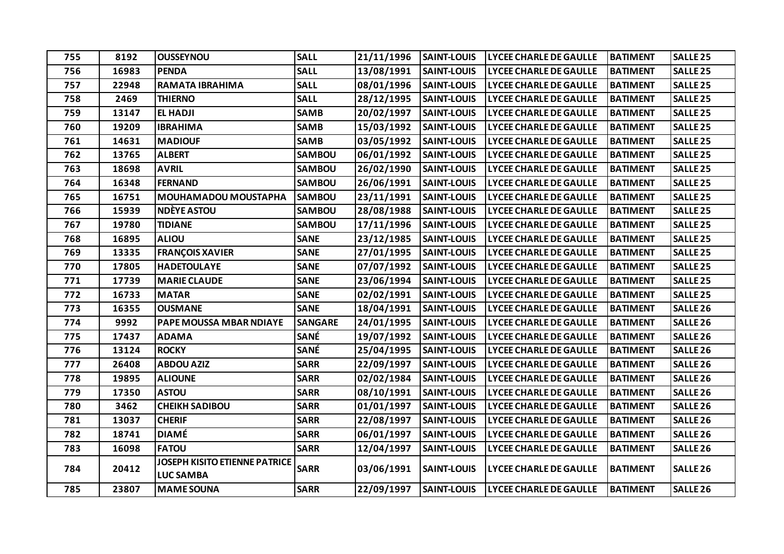| 755 | 8192  | <b>OUSSEYNOU</b>                                         | <b>SALL</b>    | 21/11/1996 | <b>SAINT-LOUIS</b> | <b>LYCEE CHARLE DE GAULLE</b> | <b>BATIMENT</b> | <b>SALLE 25</b>     |
|-----|-------|----------------------------------------------------------|----------------|------------|--------------------|-------------------------------|-----------------|---------------------|
| 756 | 16983 | <b>PENDA</b>                                             | <b>SALL</b>    | 13/08/1991 | <b>SAINT-LOUIS</b> | <b>LYCEE CHARLE DE GAULLE</b> | <b>BATIMENT</b> | <b>SALLE 25</b>     |
| 757 | 22948 | RAMATA IBRAHIMA                                          | <b>SALL</b>    | 08/01/1996 | <b>SAINT-LOUIS</b> | <b>LYCEE CHARLE DE GAULLE</b> | <b>BATIMENT</b> | <b>SALLE 25</b>     |
| 758 | 2469  | <b>THIERNO</b>                                           | <b>SALL</b>    | 28/12/1995 | <b>SAINT-LOUIS</b> | <b>LYCEE CHARLE DE GAULLE</b> | <b>BATIMENT</b> | <b>SALLE 25</b>     |
| 759 | 13147 | <b>EL HADJI</b>                                          | <b>SAMB</b>    | 20/02/1997 | <b>SAINT-LOUIS</b> | LYCEE CHARLE DE GAULLE        | <b>BATIMENT</b> | <b>SALLE 25</b>     |
| 760 | 19209 | <b>IBRAHIMA</b>                                          | <b>SAMB</b>    | 15/03/1992 | <b>SAINT-LOUIS</b> | <b>LYCEE CHARLE DE GAULLE</b> | <b>BATIMENT</b> | <b>SALLE 25</b>     |
| 761 | 14631 | <b>MADIOUF</b>                                           | <b>SAMB</b>    | 03/05/1992 | <b>SAINT-LOUIS</b> | <b>LYCEE CHARLE DE GAULLE</b> | <b>BATIMENT</b> | <b>SALLE 25</b>     |
| 762 | 13765 | <b>ALBERT</b>                                            | SAMBOU         | 06/01/1992 | <b>SAINT-LOUIS</b> | <b>LYCEE CHARLE DE GAULLE</b> | <b>BATIMENT</b> | <b>SALLE 25</b>     |
| 763 | 18698 | <b>AVRIL</b>                                             | <b>SAMBOU</b>  | 26/02/1990 | <b>SAINT-LOUIS</b> | <b>LYCEE CHARLE DE GAULLE</b> | <b>BATIMENT</b> | <b>SALLE 25</b>     |
| 764 | 16348 | <b>FERNAND</b>                                           | <b>SAMBOU</b>  | 26/06/1991 | <b>SAINT-LOUIS</b> | <b>LYCEE CHARLE DE GAULLE</b> | <b>BATIMENT</b> | <b>SALLE 25</b>     |
| 765 | 16751 | <b>MOUHAMADOU MOUSTAPHA</b>                              | <b>SAMBOU</b>  | 23/11/1991 | <b>SAINT-LOUIS</b> | <b>LYCEE CHARLE DE GAULLE</b> | <b>BATIMENT</b> | <b>SALLE 25</b>     |
| 766 | 15939 | <b>NDÈYE ASTOU</b>                                       | SAMBOU         | 28/08/1988 | <b>SAINT-LOUIS</b> | <b>LYCEE CHARLE DE GAULLE</b> | <b>BATIMENT</b> | <b>SALLE 25</b>     |
| 767 | 19780 | <b>TIDIANE</b>                                           | <b>SAMBOU</b>  | 17/11/1996 | <b>SAINT-LOUIS</b> | <b>LYCEE CHARLE DE GAULLE</b> | <b>BATIMENT</b> | SALLE <sub>25</sub> |
| 768 | 16895 | <b>ALIOU</b>                                             | <b>SANE</b>    | 23/12/1985 | <b>SAINT-LOUIS</b> | <b>LYCEE CHARLE DE GAULLE</b> | <b>BATIMENT</b> | <b>SALLE 25</b>     |
| 769 | 13335 | <b>FRANÇOIS XAVIER</b>                                   | <b>SANE</b>    | 27/01/1995 | <b>SAINT-LOUIS</b> | <b>LYCEE CHARLE DE GAULLE</b> | <b>BATIMENT</b> | <b>SALLE 25</b>     |
| 770 | 17805 | <b>HADETOULAYE</b>                                       | <b>SANE</b>    | 07/07/1992 | <b>SAINT-LOUIS</b> | <b>LYCEE CHARLE DE GAULLE</b> | <b>BATIMENT</b> | <b>SALLE 25</b>     |
| 771 | 17739 | <b>MARIE CLAUDE</b>                                      | <b>SANE</b>    | 23/06/1994 | <b>SAINT-LOUIS</b> | <b>LYCEE CHARLE DE GAULLE</b> | <b>BATIMENT</b> | <b>SALLE 25</b>     |
| 772 | 16733 | <b>MATAR</b>                                             | <b>SANE</b>    | 02/02/1991 | <b>SAINT-LOUIS</b> | <b>LYCEE CHARLE DE GAULLE</b> | <b>BATIMENT</b> | <b>SALLE 25</b>     |
| 773 | 16355 | <b>OUSMANE</b>                                           | <b>SANE</b>    | 18/04/1991 | <b>SAINT-LOUIS</b> | <b>LYCEE CHARLE DE GAULLE</b> | <b>BATIMENT</b> | SALLE <sub>26</sub> |
| 774 | 9992  | PAPE MOUSSA MBAR NDIAYE                                  | <b>SANGARE</b> | 24/01/1995 | <b>SAINT-LOUIS</b> | <b>LYCEE CHARLE DE GAULLE</b> | <b>BATIMENT</b> | SALLE <sub>26</sub> |
| 775 | 17437 | <b>ADAMA</b>                                             | SANÉ           | 19/07/1992 | <b>SAINT-LOUIS</b> | <b>LYCEE CHARLE DE GAULLE</b> | <b>BATIMENT</b> | SALLE <sub>26</sub> |
| 776 | 13124 | <b>ROCKY</b>                                             | <b>SANÉ</b>    | 25/04/1995 | <b>SAINT-LOUIS</b> | <b>LYCEE CHARLE DE GAULLE</b> | <b>BATIMENT</b> | SALLE <sub>26</sub> |
| 777 | 26408 | <b>ABDOU AZIZ</b>                                        | <b>SARR</b>    | 22/09/1997 | <b>SAINT-LOUIS</b> | <b>LYCEE CHARLE DE GAULLE</b> | <b>BATIMENT</b> | SALLE <sub>26</sub> |
| 778 | 19895 | <b>ALIOUNE</b>                                           | <b>SARR</b>    | 02/02/1984 | <b>SAINT-LOUIS</b> | <b>LYCEE CHARLE DE GAULLE</b> | <b>BATIMENT</b> | SALLE <sub>26</sub> |
| 779 | 17350 | <b>ASTOU</b>                                             | <b>SARR</b>    | 08/10/1991 | <b>SAINT-LOUIS</b> | LYCEE CHARLE DE GAULLE        | <b>BATIMENT</b> | SALLE <sub>26</sub> |
| 780 | 3462  | <b>CHEIKH SADIBOU</b>                                    | <b>SARR</b>    | 01/01/1997 | <b>SAINT-LOUIS</b> | <b>LYCEE CHARLE DE GAULLE</b> | <b>BATIMENT</b> | SALLE <sub>26</sub> |
| 781 | 13037 | <b>CHERIF</b>                                            | <b>SARR</b>    | 22/08/1997 | <b>SAINT-LOUIS</b> | <b>LYCEE CHARLE DE GAULLE</b> | <b>BATIMENT</b> | SALLE <sub>26</sub> |
| 782 | 18741 | <b>DIAMÉ</b>                                             | <b>SARR</b>    | 06/01/1997 | <b>SAINT-LOUIS</b> | <b>LYCEE CHARLE DE GAULLE</b> | <b>BATIMENT</b> | SALLE <sub>26</sub> |
| 783 | 16098 | <b>FATOU</b>                                             | <b>SARR</b>    | 12/04/1997 | <b>SAINT-LOUIS</b> | <b>LYCEE CHARLE DE GAULLE</b> | <b>BATIMENT</b> | SALLE <sub>26</sub> |
| 784 | 20412 | <b>JOSEPH KISITO ETIENNE PATRICE</b><br><b>LUC SAMBA</b> | <b>SARR</b>    | 03/06/1991 | <b>SAINT-LOUIS</b> | <b>LYCEE CHARLE DE GAULLE</b> | <b>BATIMENT</b> | SALLE <sub>26</sub> |
| 785 | 23807 | <b>MAME SOUNA</b>                                        | <b>SARR</b>    | 22/09/1997 | <b>SAINT-LOUIS</b> | <b>LYCEE CHARLE DE GAULLE</b> | <b>BATIMENT</b> | <b>SALLE 26</b>     |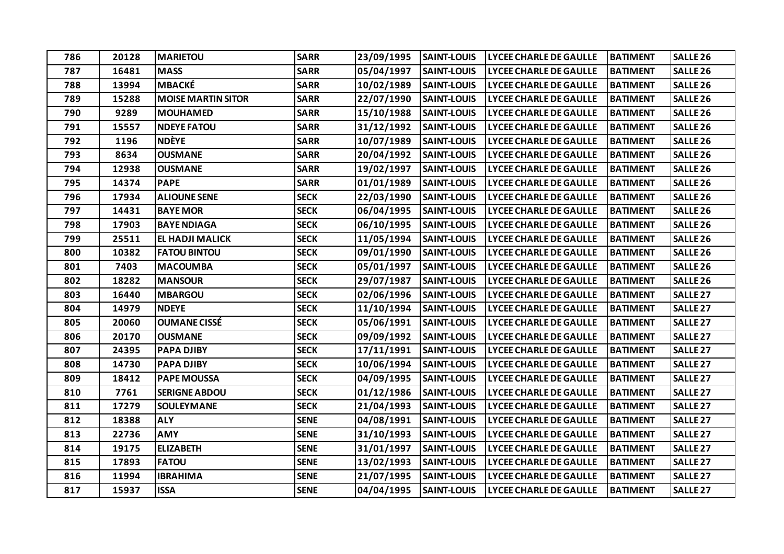| 786 | 20128 | <b>MARIETOU</b>           | <b>SARR</b> | 23/09/1995 | <b>SAINT-LOUIS</b> | <b>LYCEE CHARLE DE GAULLE</b> | <b>BATIMENT</b> | SALLE <sub>26</sub> |
|-----|-------|---------------------------|-------------|------------|--------------------|-------------------------------|-----------------|---------------------|
| 787 | 16481 | <b>MASS</b>               | <b>SARR</b> | 05/04/1997 | <b>SAINT-LOUIS</b> | <b>LYCEE CHARLE DE GAULLE</b> | <b>BATIMENT</b> | SALLE <sub>26</sub> |
| 788 | 13994 | <b>MBACKÉ</b>             | <b>SARR</b> | 10/02/1989 | <b>SAINT-LOUIS</b> | <b>LYCEE CHARLE DE GAULLE</b> | <b>BATIMENT</b> | SALLE <sub>26</sub> |
| 789 | 15288 | <b>MOISE MARTIN SITOR</b> | <b>SARR</b> | 22/07/1990 | <b>SAINT-LOUIS</b> | <b>LYCEE CHARLE DE GAULLE</b> | <b>BATIMENT</b> | <b>SALLE 26</b>     |
| 790 | 9289  | <b>MOUHAMED</b>           | <b>SARR</b> | 15/10/1988 | <b>SAINT-LOUIS</b> | <b>LYCEE CHARLE DE GAULLE</b> | <b>BATIMENT</b> | SALLE <sub>26</sub> |
| 791 | 15557 | <b>NDEYE FATOU</b>        | <b>SARR</b> | 31/12/1992 | <b>SAINT-LOUIS</b> | <b>LYCEE CHARLE DE GAULLE</b> | <b>BATIMENT</b> | <b>SALLE 26</b>     |
| 792 | 1196  | <b>NDÈYE</b>              | <b>SARR</b> | 10/07/1989 | <b>SAINT-LOUIS</b> | <b>LYCEE CHARLE DE GAULLE</b> | <b>BATIMENT</b> | <b>SALLE 26</b>     |
| 793 | 8634  | <b>OUSMANE</b>            | <b>SARR</b> | 20/04/1992 | <b>SAINT-LOUIS</b> | <b>LYCEE CHARLE DE GAULLE</b> | <b>BATIMENT</b> | SALLE <sub>26</sub> |
| 794 | 12938 | <b>OUSMANE</b>            | <b>SARR</b> | 19/02/1997 | <b>SAINT-LOUIS</b> | <b>LYCEE CHARLE DE GAULLE</b> | <b>BATIMENT</b> | <b>SALLE 26</b>     |
| 795 | 14374 | <b>PAPE</b>               | <b>SARR</b> | 01/01/1989 | <b>SAINT-LOUIS</b> | <b>LYCEE CHARLE DE GAULLE</b> | <b>BATIMENT</b> | SALLE <sub>26</sub> |
| 796 | 17934 | <b>ALIOUNE SENE</b>       | <b>SECK</b> | 22/03/1990 | <b>SAINT-LOUIS</b> | <b>LYCEE CHARLE DE GAULLE</b> | <b>BATIMENT</b> | <b>SALLE 26</b>     |
| 797 | 14431 | <b>BAYE MOR</b>           | <b>SECK</b> | 06/04/1995 | <b>SAINT-LOUIS</b> | <b>LYCEE CHARLE DE GAULLE</b> | <b>BATIMENT</b> | SALLE <sub>26</sub> |
| 798 | 17903 | <b>BAYE NDIAGA</b>        | <b>SECK</b> | 06/10/1995 | <b>SAINT-LOUIS</b> | <b>LYCEE CHARLE DE GAULLE</b> | <b>BATIMENT</b> | SALLE <sub>26</sub> |
| 799 | 25511 | <b>EL HADJI MALICK</b>    | <b>SECK</b> | 11/05/1994 | <b>SAINT-LOUIS</b> | <b>LYCEE CHARLE DE GAULLE</b> | <b>BATIMENT</b> | SALLE <sub>26</sub> |
| 800 | 10382 | <b>FATOU BINTOU</b>       | <b>SECK</b> | 09/01/1990 | <b>SAINT-LOUIS</b> | <b>LYCEE CHARLE DE GAULLE</b> | <b>BATIMENT</b> | <b>SALLE 26</b>     |
| 801 | 7403  | <b>MACOUMBA</b>           | <b>SECK</b> | 05/01/1997 | <b>SAINT-LOUIS</b> | <b>LYCEE CHARLE DE GAULLE</b> | <b>BATIMENT</b> | <b>SALLE 26</b>     |
| 802 | 18282 | <b>MANSOUR</b>            | <b>SECK</b> | 29/07/1987 | <b>SAINT-LOUIS</b> | <b>LYCEE CHARLE DE GAULLE</b> | <b>BATIMENT</b> | SALLE <sub>26</sub> |
| 803 | 16440 | <b>MBARGOU</b>            | <b>SECK</b> | 02/06/1996 | <b>SAINT-LOUIS</b> | LYCEE CHARLE DE GAULLE        | <b>BATIMENT</b> | <b>SALLE 27</b>     |
| 804 | 14979 | <b>NDEYE</b>              | <b>SECK</b> | 11/10/1994 | <b>SAINT-LOUIS</b> | <b>LYCEE CHARLE DE GAULLE</b> | <b>BATIMENT</b> | <b>SALLE 27</b>     |
| 805 | 20060 | <b>OUMANE CISSÉ</b>       | <b>SECK</b> | 05/06/1991 | <b>SAINT-LOUIS</b> | <b>LYCEE CHARLE DE GAULLE</b> | <b>BATIMENT</b> | <b>SALLE 27</b>     |
| 806 | 20170 | <b>OUSMANE</b>            | <b>SECK</b> | 09/09/1992 | <b>SAINT-LOUIS</b> | <b>LYCEE CHARLE DE GAULLE</b> | <b>BATIMENT</b> | <b>SALLE 27</b>     |
| 807 | 24395 | <b>PAPA DJIBY</b>         | <b>SECK</b> | 17/11/1991 | <b>SAINT-LOUIS</b> | <b>LYCEE CHARLE DE GAULLE</b> | <b>BATIMENT</b> | <b>SALLE 27</b>     |
| 808 | 14730 | <b>PAPA DJIBY</b>         | <b>SECK</b> | 10/06/1994 | <b>SAINT-LOUIS</b> | <b>LYCEE CHARLE DE GAULLE</b> | <b>BATIMENT</b> | <b>SALLE 27</b>     |
| 809 | 18412 | <b>PAPE MOUSSA</b>        | <b>SECK</b> | 04/09/1995 | <b>SAINT-LOUIS</b> | <b>LYCEE CHARLE DE GAULLE</b> | <b>BATIMENT</b> | SALLE <sub>27</sub> |
| 810 | 7761  | <b>SERIGNE ABDOU</b>      | <b>SECK</b> | 01/12/1986 | <b>SAINT-LOUIS</b> | <b>LYCEE CHARLE DE GAULLE</b> | <b>BATIMENT</b> | <b>SALLE 27</b>     |
| 811 | 17279 | <b>SOULEYMANE</b>         | <b>SECK</b> | 21/04/1993 | <b>SAINT-LOUIS</b> | <b>LYCEE CHARLE DE GAULLE</b> | <b>BATIMENT</b> | <b>SALLE 27</b>     |
| 812 | 18388 | <b>ALY</b>                | <b>SENE</b> | 04/08/1991 | <b>SAINT-LOUIS</b> | <b>LYCEE CHARLE DE GAULLE</b> | <b>BATIMENT</b> | <b>SALLE 27</b>     |
| 813 | 22736 | <b>AMY</b>                | <b>SENE</b> | 31/10/1993 | <b>SAINT-LOUIS</b> | <b>LYCEE CHARLE DE GAULLE</b> | <b>BATIMENT</b> | <b>SALLE 27</b>     |
| 814 | 19175 | <b>ELIZABETH</b>          | <b>SENE</b> | 31/01/1997 | <b>SAINT-LOUIS</b> | LYCEE CHARLE DE GAULLE        | <b>BATIMENT</b> | <b>SALLE 27</b>     |
| 815 | 17893 | <b>FATOU</b>              | <b>SENE</b> | 13/02/1993 | <b>SAINT-LOUIS</b> | <b>LYCEE CHARLE DE GAULLE</b> | <b>BATIMENT</b> | <b>SALLE 27</b>     |
| 816 | 11994 | <b>IBRAHIMA</b>           | <b>SENE</b> | 21/07/1995 | <b>SAINT-LOUIS</b> | <b>LYCEE CHARLE DE GAULLE</b> | <b>BATIMENT</b> | SALLE <sub>27</sub> |
| 817 | 15937 | <b>ISSA</b>               | <b>SENE</b> | 04/04/1995 | <b>SAINT-LOUIS</b> | <b>LYCEE CHARLE DE GAULLE</b> | <b>BATIMENT</b> | <b>SALLE 27</b>     |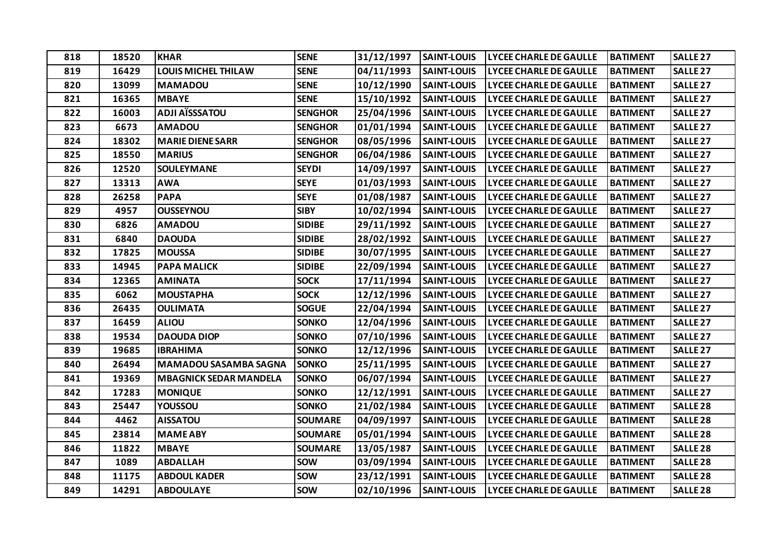| 818 | 18520 | <b>KHAR</b>                   | <b>SENE</b>    | 31/12/1997 | <b>SAINT-LOUIS</b> | <b>LYCEE CHARLE DE GAULLE</b> | <b>BATIMENT</b> | <b>SALLE 27</b>     |
|-----|-------|-------------------------------|----------------|------------|--------------------|-------------------------------|-----------------|---------------------|
| 819 | 16429 | <b>LOUIS MICHEL THILAW</b>    | <b>SENE</b>    | 04/11/1993 | <b>SAINT-LOUIS</b> | <b>LYCEE CHARLE DE GAULLE</b> | <b>BATIMENT</b> | <b>SALLE 27</b>     |
| 820 | 13099 | <b>MAMADOU</b>                | <b>SENE</b>    | 10/12/1990 | <b>SAINT-LOUIS</b> | <b>LYCEE CHARLE DE GAULLE</b> | <b>BATIMENT</b> | <b>SALLE 27</b>     |
| 821 | 16365 | <b>MBAYE</b>                  | <b>SENE</b>    | 15/10/1992 | <b>SAINT-LOUIS</b> | <b>LYCEE CHARLE DE GAULLE</b> | <b>BATIMENT</b> | <b>SALLE 27</b>     |
| 822 | 16003 | <b>ADJI AÏSSSATOU</b>         | <b>SENGHOR</b> | 25/04/1996 | <b>SAINT-LOUIS</b> | <b>LYCEE CHARLE DE GAULLE</b> | <b>BATIMENT</b> | <b>SALLE 27</b>     |
| 823 | 6673  | <b>AMADOU</b>                 | <b>SENGHOR</b> | 01/01/1994 | <b>SAINT-LOUIS</b> | <b>LYCEE CHARLE DE GAULLE</b> | <b>BATIMENT</b> | <b>SALLE 27</b>     |
| 824 | 18302 | <b>MARIE DIENE SARR</b>       | <b>SENGHOR</b> | 08/05/1996 | <b>SAINT-LOUIS</b> | <b>LYCEE CHARLE DE GAULLE</b> | <b>BATIMENT</b> | <b>SALLE 27</b>     |
| 825 | 18550 | <b>MARIUS</b>                 | <b>SENGHOR</b> | 06/04/1986 | <b>SAINT-LOUIS</b> | <b>LYCEE CHARLE DE GAULLE</b> | <b>BATIMENT</b> | SALLE <sub>27</sub> |
| 826 | 12520 | <b>SOULEYMANE</b>             | <b>SEYDI</b>   | 14/09/1997 | <b>SAINT-LOUIS</b> | <b>LYCEE CHARLE DE GAULLE</b> | <b>BATIMENT</b> | <b>SALLE 27</b>     |
| 827 | 13313 | <b>AWA</b>                    | <b>SEYE</b>    | 01/03/1993 | <b>SAINT-LOUIS</b> | <b>LYCEE CHARLE DE GAULLE</b> | <b>BATIMENT</b> | <b>SALLE 27</b>     |
| 828 | 26258 | <b>PAPA</b>                   | <b>SEYE</b>    | 01/08/1987 | <b>SAINT-LOUIS</b> | <b>LYCEE CHARLE DE GAULLE</b> | <b>BATIMENT</b> | <b>SALLE 27</b>     |
| 829 | 4957  | <b>OUSSEYNOU</b>              | <b>SIBY</b>    | 10/02/1994 | <b>SAINT-LOUIS</b> | <b>LYCEE CHARLE DE GAULLE</b> | <b>BATIMENT</b> | <b>SALLE 27</b>     |
| 830 | 6826  | <b>AMADOU</b>                 | <b>SIDIBE</b>  | 29/11/1992 | <b>SAINT-LOUIS</b> | <b>LYCEE CHARLE DE GAULLE</b> | <b>BATIMENT</b> | <b>SALLE 27</b>     |
| 831 | 6840  | <b>DAOUDA</b>                 | <b>SIDIBE</b>  | 28/02/1992 | <b>SAINT-LOUIS</b> | <b>LYCEE CHARLE DE GAULLE</b> | <b>BATIMENT</b> | <b>SALLE 27</b>     |
| 832 | 17825 | <b>MOUSSA</b>                 | <b>SIDIBE</b>  | 30/07/1995 | <b>SAINT-LOUIS</b> | <b>LYCEE CHARLE DE GAULLE</b> | <b>BATIMENT</b> | <b>SALLE 27</b>     |
| 833 | 14945 | <b>PAPA MALICK</b>            | <b>SIDIBE</b>  | 22/09/1994 | <b>SAINT-LOUIS</b> | <b>LYCEE CHARLE DE GAULLE</b> | <b>BATIMENT</b> | <b>SALLE 27</b>     |
| 834 | 12365 | <b>AMINATA</b>                | <b>SOCK</b>    | 17/11/1994 | <b>SAINT-LOUIS</b> | <b>LYCEE CHARLE DE GAULLE</b> | <b>BATIMENT</b> | <b>SALLE 27</b>     |
| 835 | 6062  | <b>MOUSTAPHA</b>              | <b>SOCK</b>    | 12/12/1996 | <b>SAINT-LOUIS</b> | <b>LYCEE CHARLE DE GAULLE</b> | <b>BATIMENT</b> | <b>SALLE 27</b>     |
| 836 | 26435 | <b>OULIMATA</b>               | <b>SOGUE</b>   | 22/04/1994 | <b>SAINT-LOUIS</b> | <b>LYCEE CHARLE DE GAULLE</b> | <b>BATIMENT</b> | <b>SALLE 27</b>     |
| 837 | 16459 | <b>ALIOU</b>                  | <b>SONKO</b>   | 12/04/1996 | <b>SAINT-LOUIS</b> | <b>LYCEE CHARLE DE GAULLE</b> | <b>BATIMENT</b> | <b>SALLE 27</b>     |
| 838 | 19534 | <b>DAOUDA DIOP</b>            | <b>SONKO</b>   | 07/10/1996 | <b>SAINT-LOUIS</b> | <b>LYCEE CHARLE DE GAULLE</b> | <b>BATIMENT</b> | <b>SALLE 27</b>     |
| 839 | 19685 | <b>IBRAHIMA</b>               | <b>SONKO</b>   | 12/12/1996 | <b>SAINT-LOUIS</b> | <b>LYCEE CHARLE DE GAULLE</b> | <b>BATIMENT</b> | <b>SALLE 27</b>     |
| 840 | 26494 | <b>MAMADOU SASAMBA SAGNA</b>  | <b>SONKO</b>   | 25/11/1995 | <b>SAINT-LOUIS</b> | <b>LYCEE CHARLE DE GAULLE</b> | <b>BATIMENT</b> | <b>SALLE 27</b>     |
| 841 | 19369 | <b>MBAGNICK SEDAR MANDELA</b> | <b>SONKO</b>   | 06/07/1994 | <b>SAINT-LOUIS</b> | <b>LYCEE CHARLE DE GAULLE</b> | <b>BATIMENT</b> | <b>SALLE 27</b>     |
| 842 | 17283 | <b>MONIQUE</b>                | <b>SONKO</b>   | 12/12/1991 | <b>SAINT-LOUIS</b> | <b>LYCEE CHARLE DE GAULLE</b> | <b>BATIMENT</b> | <b>SALLE 27</b>     |
| 843 | 25447 | YOUSSOU                       | <b>SONKO</b>   | 21/02/1984 | <b>SAINT-LOUIS</b> | <b>LYCEE CHARLE DE GAULLE</b> | <b>BATIMENT</b> | <b>SALLE 28</b>     |
| 844 | 4462  | <b>AISSATOU</b>               | <b>SOUMARE</b> | 04/09/1997 | <b>SAINT-LOUIS</b> | <b>LYCEE CHARLE DE GAULLE</b> | <b>BATIMENT</b> | <b>SALLE 28</b>     |
| 845 | 23814 | <b>MAME ABY</b>               | <b>SOUMARE</b> | 05/01/1994 | <b>SAINT-LOUIS</b> | <b>LYCEE CHARLE DE GAULLE</b> | <b>BATIMENT</b> | SALLE <sub>28</sub> |
| 846 | 11822 | <b>MBAYE</b>                  | <b>SOUMARE</b> | 13/05/1987 | <b>SAINT-LOUIS</b> | LYCEE CHARLE DE GAULLE        | <b>BATIMENT</b> | <b>SALLE 28</b>     |
| 847 | 1089  | <b>ABDALLAH</b>               | <b>SOW</b>     | 03/09/1994 | <b>SAINT-LOUIS</b> | <b>LYCEE CHARLE DE GAULLE</b> | <b>BATIMENT</b> | <b>SALLE 28</b>     |
| 848 | 11175 | <b>ABDOUL KADER</b>           | <b>SOW</b>     | 23/12/1991 | <b>SAINT-LOUIS</b> | <b>LYCEE CHARLE DE GAULLE</b> | <b>BATIMENT</b> | <b>SALLE 28</b>     |
| 849 | 14291 | <b>ABDOULAYE</b>              | <b>SOW</b>     | 02/10/1996 | <b>SAINT-LOUIS</b> | <b>LYCEE CHARLE DE GAULLE</b> | <b>BATIMENT</b> | <b>SALLE 28</b>     |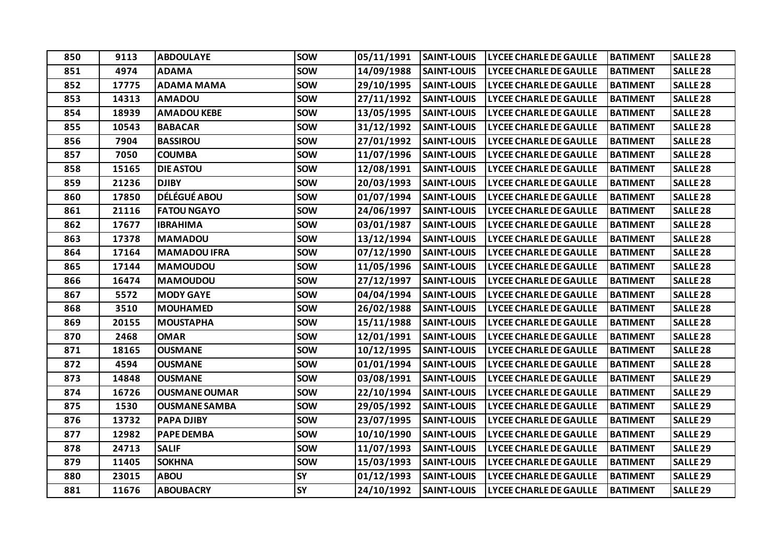| 850 | 9113  | <b>ABDOULAYE</b>     | <b>SOW</b> | 05/11/1991 | <b>SAINT-LOUIS</b> | <b>LYCEE CHARLE DE GAULLE</b> | <b>BATIMENT</b> | <b>SALLE 28</b>     |
|-----|-------|----------------------|------------|------------|--------------------|-------------------------------|-----------------|---------------------|
| 851 | 4974  | <b>ADAMA</b>         | <b>SOW</b> | 14/09/1988 | <b>SAINT-LOUIS</b> | LYCEE CHARLE DE GAULLE        | <b>BATIMENT</b> | <b>SALLE 28</b>     |
| 852 | 17775 | <b>ADAMA MAMA</b>    | <b>SOW</b> | 29/10/1995 | <b>SAINT-LOUIS</b> | <b>LYCEE CHARLE DE GAULLE</b> | <b>BATIMENT</b> | <b>SALLE 28</b>     |
| 853 | 14313 | <b>AMADOU</b>        | <b>SOW</b> | 27/11/1992 | <b>SAINT-LOUIS</b> | <b>LYCEE CHARLE DE GAULLE</b> | <b>BATIMENT</b> | <b>SALLE 28</b>     |
| 854 | 18939 | <b>AMADOU KEBE</b>   | <b>SOW</b> | 13/05/1995 | <b>SAINT-LOUIS</b> | <b>LYCEE CHARLE DE GAULLE</b> | <b>BATIMENT</b> | <b>SALLE 28</b>     |
| 855 | 10543 | <b>BABACAR</b>       | <b>SOW</b> | 31/12/1992 | <b>SAINT-LOUIS</b> | LYCEE CHARLE DE GAULLE        | <b>BATIMENT</b> | <b>SALLE 28</b>     |
| 856 | 7904  | <b>BASSIROU</b>      | <b>SOW</b> | 27/01/1992 | <b>SAINT-LOUIS</b> | <b>LYCEE CHARLE DE GAULLE</b> | <b>BATIMENT</b> | SALLE <sub>28</sub> |
| 857 | 7050  | <b>COUMBA</b>        | <b>SOW</b> | 11/07/1996 | <b>SAINT-LOUIS</b> | <b>LYCEE CHARLE DE GAULLE</b> | <b>BATIMENT</b> | <b>SALLE 28</b>     |
| 858 | 15165 | <b>DIE ASTOU</b>     | <b>SOW</b> | 12/08/1991 | <b>SAINT-LOUIS</b> | <b>LYCEE CHARLE DE GAULLE</b> | <b>BATIMENT</b> | <b>SALLE 28</b>     |
| 859 | 21236 | <b>DJIBY</b>         | <b>SOW</b> | 20/03/1993 | <b>SAINT-LOUIS</b> | <b>LYCEE CHARLE DE GAULLE</b> | <b>BATIMENT</b> | <b>SALLE 28</b>     |
| 860 | 17850 | <b>DÉLÉGUÉ ABOU</b>  | <b>SOW</b> | 01/07/1994 | <b>SAINT-LOUIS</b> | <b>LYCEE CHARLE DE GAULLE</b> | <b>BATIMENT</b> | <b>SALLE 28</b>     |
| 861 | 21116 | <b>FATOU NGAYO</b>   | <b>SOW</b> | 24/06/1997 | <b>SAINT-LOUIS</b> | <b>LYCEE CHARLE DE GAULLE</b> | <b>BATIMENT</b> | <b>SALLE 28</b>     |
| 862 | 17677 | <b>IBRAHIMA</b>      | <b>SOW</b> | 03/01/1987 | <b>SAINT-LOUIS</b> | <b>LYCEE CHARLE DE GAULLE</b> | <b>BATIMENT</b> | <b>SALLE 28</b>     |
| 863 | 17378 | <b>MAMADOU</b>       | <b>SOW</b> | 13/12/1994 | <b>SAINT-LOUIS</b> | <b>LYCEE CHARLE DE GAULLE</b> | <b>BATIMENT</b> | <b>SALLE 28</b>     |
| 864 | 17164 | <b>MAMADOU IFRA</b>  | <b>SOW</b> | 07/12/1990 | <b>SAINT-LOUIS</b> | <b>LYCEE CHARLE DE GAULLE</b> | <b>BATIMENT</b> | SALLE <sub>28</sub> |
| 865 | 17144 | <b>MAMOUDOU</b>      | <b>SOW</b> | 11/05/1996 | <b>SAINT-LOUIS</b> | <b>LYCEE CHARLE DE GAULLE</b> | <b>BATIMENT</b> | SALLE <sub>28</sub> |
| 866 | 16474 | <b>MAMOUDOU</b>      | <b>SOW</b> | 27/12/1997 | <b>SAINT-LOUIS</b> | <b>LYCEE CHARLE DE GAULLE</b> | <b>BATIMENT</b> | <b>SALLE 28</b>     |
| 867 | 5572  | <b>MODY GAYE</b>     | <b>SOW</b> | 04/04/1994 | <b>SAINT-LOUIS</b> | LYCEE CHARLE DE GAULLE        | <b>BATIMENT</b> | <b>SALLE 28</b>     |
| 868 | 3510  | <b>MOUHAMED</b>      | <b>SOW</b> | 26/02/1988 | <b>SAINT-LOUIS</b> | <b>LYCEE CHARLE DE GAULLE</b> | <b>BATIMENT</b> | <b>SALLE 28</b>     |
| 869 | 20155 | <b>MOUSTAPHA</b>     | <b>SOW</b> | 15/11/1988 | <b>SAINT-LOUIS</b> | <b>LYCEE CHARLE DE GAULLE</b> | <b>BATIMENT</b> | <b>SALLE 28</b>     |
| 870 | 2468  | <b>OMAR</b>          | <b>SOW</b> | 12/01/1991 | <b>SAINT-LOUIS</b> | <b>LYCEE CHARLE DE GAULLE</b> | <b>BATIMENT</b> | SALLE <sub>28</sub> |
| 871 | 18165 | <b>OUSMANE</b>       | <b>SOW</b> | 10/12/1995 | <b>SAINT-LOUIS</b> | LYCEE CHARLE DE GAULLE        | <b>BATIMENT</b> | <b>SALLE 28</b>     |
| 872 | 4594  | <b>OUSMANE</b>       | <b>SOW</b> | 01/01/1994 | <b>SAINT-LOUIS</b> | <b>LYCEE CHARLE DE GAULLE</b> | <b>BATIMENT</b> | <b>SALLE 28</b>     |
| 873 | 14848 | <b>OUSMANE</b>       | <b>SOW</b> | 03/08/1991 | <b>SAINT-LOUIS</b> | <b>LYCEE CHARLE DE GAULLE</b> | <b>BATIMENT</b> | SALLE <sub>29</sub> |
| 874 | 16726 | <b>OUSMANE OUMAR</b> | <b>SOW</b> | 22/10/1994 | <b>SAINT-LOUIS</b> | <b>LYCEE CHARLE DE GAULLE</b> | <b>BATIMENT</b> | <b>SALLE 29</b>     |
| 875 | 1530  | <b>OUSMANE SAMBA</b> | <b>SOW</b> | 29/05/1992 | <b>SAINT-LOUIS</b> | <b>LYCEE CHARLE DE GAULLE</b> | <b>BATIMENT</b> | <b>SALLE 29</b>     |
| 876 | 13732 | <b>PAPA DJIBY</b>    | <b>SOW</b> | 23/07/1995 | <b>SAINT-LOUIS</b> | <b>LYCEE CHARLE DE GAULLE</b> | <b>BATIMENT</b> | <b>SALLE 29</b>     |
| 877 | 12982 | <b>PAPE DEMBA</b>    | <b>SOW</b> | 10/10/1990 | <b>SAINT-LOUIS</b> | <b>LYCEE CHARLE DE GAULLE</b> | <b>BATIMENT</b> | SALLE <sub>29</sub> |
| 878 | 24713 | <b>SALIF</b>         | <b>SOW</b> | 11/07/1993 | <b>SAINT-LOUIS</b> | <b>LYCEE CHARLE DE GAULLE</b> | <b>BATIMENT</b> | <b>SALLE 29</b>     |
| 879 | 11405 | <b>SOKHNA</b>        | <b>SOW</b> | 15/03/1993 | <b>SAINT-LOUIS</b> | <b>LYCEE CHARLE DE GAULLE</b> | <b>BATIMENT</b> | SALLE <sub>29</sub> |
| 880 | 23015 | <b>ABOU</b>          | <b>SY</b>  | 01/12/1993 | <b>SAINT-LOUIS</b> | <b>LYCEE CHARLE DE GAULLE</b> | <b>BATIMENT</b> | SALLE <sub>29</sub> |
| 881 | 11676 | <b>ABOUBACRY</b>     | <b>SY</b>  | 24/10/1992 | <b>SAINT-LOUIS</b> | <b>LYCEE CHARLE DE GAULLE</b> | <b>BATIMENT</b> | <b>SALLE 29</b>     |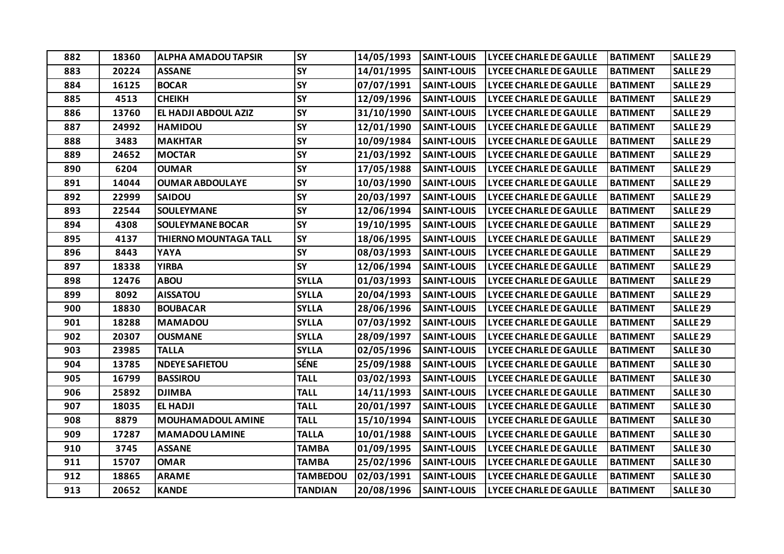| 882 | 18360 | <b>ALPHA AMADOU TAPSIR</b>   | <b>SY</b>       | 14/05/1993 | <b>SAINT-LOUIS</b> | <b>LYCEE CHARLE DE GAULLE</b> | <b>BATIMENT</b> | <b>SALLE 29</b>     |
|-----|-------|------------------------------|-----------------|------------|--------------------|-------------------------------|-----------------|---------------------|
| 883 | 20224 | <b>ASSANE</b>                | SY              | 14/01/1995 | <b>SAINT-LOUIS</b> | <b>LYCEE CHARLE DE GAULLE</b> | <b>BATIMENT</b> | <b>SALLE 29</b>     |
| 884 | 16125 | <b>BOCAR</b>                 | SY              | 07/07/1991 | <b>SAINT-LOUIS</b> | <b>LYCEE CHARLE DE GAULLE</b> | <b>BATIMENT</b> | <b>SALLE 29</b>     |
| 885 | 4513  | <b>CHEIKH</b>                | <b>SY</b>       | 12/09/1996 | <b>SAINT-LOUIS</b> | <b>LYCEE CHARLE DE GAULLE</b> | <b>BATIMENT</b> | SALLE <sub>29</sub> |
| 886 | 13760 | EL HADJI ABDOUL AZIZ         | <b>SY</b>       | 31/10/1990 | <b>SAINT-LOUIS</b> | <b>LYCEE CHARLE DE GAULLE</b> | <b>BATIMENT</b> | <b>SALLE 29</b>     |
| 887 | 24992 | <b>HAMIDOU</b>               | SY              | 12/01/1990 | <b>SAINT-LOUIS</b> | <b>LYCEE CHARLE DE GAULLE</b> | <b>BATIMENT</b> | <b>SALLE 29</b>     |
| 888 | 3483  | <b>MAKHTAR</b>               | SY              | 10/09/1984 | <b>SAINT-LOUIS</b> | <b>LYCEE CHARLE DE GAULLE</b> | <b>BATIMENT</b> | SALLE <sub>29</sub> |
| 889 | 24652 | <b>MOCTAR</b>                | SY              | 21/03/1992 | <b>SAINT-LOUIS</b> | <b>LYCEE CHARLE DE GAULLE</b> | <b>BATIMENT</b> | <b>SALLE 29</b>     |
| 890 | 6204  | <b>OUMAR</b>                 | SY              | 17/05/1988 | <b>SAINT-LOUIS</b> | <b>LYCEE CHARLE DE GAULLE</b> | <b>BATIMENT</b> | <b>SALLE 29</b>     |
| 891 | 14044 | <b>OUMAR ABDOULAYE</b>       | SY              | 10/03/1990 | <b>SAINT-LOUIS</b> | <b>LYCEE CHARLE DE GAULLE</b> | <b>BATIMENT</b> | <b>SALLE 29</b>     |
| 892 | 22999 | <b>SAIDOU</b>                | SY              | 20/03/1997 | <b>SAINT-LOUIS</b> | <b>LYCEE CHARLE DE GAULLE</b> | <b>BATIMENT</b> | <b>SALLE 29</b>     |
| 893 | 22544 | <b>SOULEYMANE</b>            | SY              | 12/06/1994 | <b>SAINT-LOUIS</b> | <b>LYCEE CHARLE DE GAULLE</b> | <b>BATIMENT</b> | <b>SALLE 29</b>     |
| 894 | 4308  | <b>SOULEYMANE BOCAR</b>      | SY              | 19/10/1995 | <b>SAINT-LOUIS</b> | <b>LYCEE CHARLE DE GAULLE</b> | <b>BATIMENT</b> | SALLE <sub>29</sub> |
| 895 | 4137  | <b>THIERNO MOUNTAGA TALL</b> | <b>SY</b>       | 18/06/1995 | <b>SAINT-LOUIS</b> | <b>LYCEE CHARLE DE GAULLE</b> | <b>BATIMENT</b> | <b>SALLE 29</b>     |
| 896 | 8443  | YAYA                         | SY              | 08/03/1993 | <b>SAINT-LOUIS</b> | <b>LYCEE CHARLE DE GAULLE</b> | <b>BATIMENT</b> | <b>SALLE 29</b>     |
| 897 | 18338 | <b>YIRBA</b>                 | <b>SY</b>       | 12/06/1994 | <b>SAINT-LOUIS</b> | <b>LYCEE CHARLE DE GAULLE</b> | <b>BATIMENT</b> | SALLE <sub>29</sub> |
| 898 | 12476 | <b>ABOU</b>                  | <b>SYLLA</b>    | 01/03/1993 | <b>SAINT-LOUIS</b> | <b>LYCEE CHARLE DE GAULLE</b> | <b>BATIMENT</b> | <b>SALLE 29</b>     |
| 899 | 8092  | <b>AISSATOU</b>              | <b>SYLLA</b>    | 20/04/1993 | <b>SAINT-LOUIS</b> | <b>LYCEE CHARLE DE GAULLE</b> | <b>BATIMENT</b> | <b>SALLE 29</b>     |
| 900 | 18830 | <b>BOUBACAR</b>              | <b>SYLLA</b>    | 28/06/1996 | <b>SAINT-LOUIS</b> | <b>LYCEE CHARLE DE GAULLE</b> | <b>BATIMENT</b> | <b>SALLE 29</b>     |
| 901 | 18288 | <b>MAMADOU</b>               | <b>SYLLA</b>    | 07/03/1992 | <b>SAINT-LOUIS</b> | <b>LYCEE CHARLE DE GAULLE</b> | <b>BATIMENT</b> | <b>SALLE 29</b>     |
| 902 | 20307 | <b>OUSMANE</b>               | <b>SYLLA</b>    | 28/09/1997 | <b>SAINT-LOUIS</b> | <b>LYCEE CHARLE DE GAULLE</b> | <b>BATIMENT</b> | <b>SALLE 29</b>     |
| 903 | 23985 | <b>TALLA</b>                 | <b>SYLLA</b>    | 02/05/1996 | <b>SAINT-LOUIS</b> | <b>LYCEE CHARLE DE GAULLE</b> | <b>BATIMENT</b> | <b>SALLE 30</b>     |
| 904 | 13785 | <b>NDEYE SAFIETOU</b>        | <b>SÉNE</b>     | 25/09/1988 | <b>SAINT-LOUIS</b> | <b>LYCEE CHARLE DE GAULLE</b> | <b>BATIMENT</b> | <b>SALLE 30</b>     |
| 905 | 16799 | <b>BASSIROU</b>              | <b>TALL</b>     | 03/02/1993 | <b>SAINT-LOUIS</b> | <b>LYCEE CHARLE DE GAULLE</b> | <b>BATIMENT</b> | <b>SALLE 30</b>     |
| 906 | 25892 | <b>DJIMBA</b>                | <b>TALL</b>     | 14/11/1993 | <b>SAINT-LOUIS</b> | <b>LYCEE CHARLE DE GAULLE</b> | <b>BATIMENT</b> | <b>SALLE 30</b>     |
| 907 | 18035 | EL HADJI                     | <b>TALL</b>     | 20/01/1997 | <b>SAINT-LOUIS</b> | <b>LYCEE CHARLE DE GAULLE</b> | <b>BATIMENT</b> | <b>SALLE 30</b>     |
| 908 | 8879  | <b>MOUHAMADOUL AMINE</b>     | <b>TALL</b>     | 15/10/1994 | <b>SAINT-LOUIS</b> | <b>LYCEE CHARLE DE GAULLE</b> | <b>BATIMENT</b> | <b>SALLE 30</b>     |
| 909 | 17287 | <b>MAMADOU LAMINE</b>        | <b>TALLA</b>    | 10/01/1988 | <b>SAINT-LOUIS</b> | <b>LYCEE CHARLE DE GAULLE</b> | <b>BATIMENT</b> | <b>SALLE 30</b>     |
| 910 | 3745  | <b>ASSANE</b>                | <b>TAMBA</b>    | 01/09/1995 | <b>SAINT-LOUIS</b> | <b>LYCEE CHARLE DE GAULLE</b> | <b>BATIMENT</b> | <b>SALLE 30</b>     |
| 911 | 15707 | <b>OMAR</b>                  | <b>TAMBA</b>    | 25/02/1996 | <b>SAINT-LOUIS</b> | <b>LYCEE CHARLE DE GAULLE</b> | <b>BATIMENT</b> | <b>SALLE 30</b>     |
| 912 | 18865 | <b>ARAME</b>                 | <b>TAMBEDOU</b> | 02/03/1991 | <b>SAINT-LOUIS</b> | <b>LYCEE CHARLE DE GAULLE</b> | <b>BATIMENT</b> | <b>SALLE 30</b>     |
| 913 | 20652 | <b>KANDE</b>                 | <b>TANDIAN</b>  | 20/08/1996 | <b>SAINT-LOUIS</b> | <b>LYCEE CHARLE DE GAULLE</b> | <b>BATIMENT</b> | <b>SALLE 30</b>     |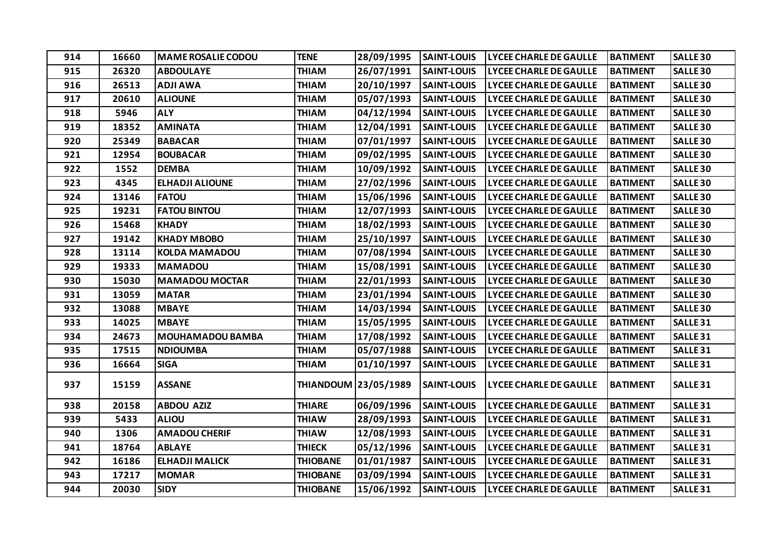| 914 | 16660 | <b>MAME ROSALIE CODOU</b> | <b>TENE</b>     | 28/09/1995           | <b>SAINT-LOUIS</b> | <b>LYCEE CHARLE DE GAULLE</b> | <b>BATIMENT</b> | <b>SALLE 30</b>     |
|-----|-------|---------------------------|-----------------|----------------------|--------------------|-------------------------------|-----------------|---------------------|
| 915 | 26320 | <b>ABDOULAYE</b>          | <b>THIAM</b>    | 26/07/1991           | <b>SAINT-LOUIS</b> | <b>LYCEE CHARLE DE GAULLE</b> | <b>BATIMENT</b> | <b>SALLE 30</b>     |
| 916 | 26513 | <b>ADJI AWA</b>           | <b>THIAM</b>    | 20/10/1997           | <b>SAINT-LOUIS</b> | <b>LYCEE CHARLE DE GAULLE</b> | <b>BATIMENT</b> | <b>SALLE 30</b>     |
| 917 | 20610 | <b>ALIOUNE</b>            | <b>THIAM</b>    | 05/07/1993           | <b>SAINT-LOUIS</b> | <b>LYCEE CHARLE DE GAULLE</b> | <b>BATIMENT</b> | <b>SALLE 30</b>     |
| 918 | 5946  | <b>ALY</b>                | <b>THIAM</b>    | 04/12/1994           | <b>SAINT-LOUIS</b> | LYCEE CHARLE DE GAULLE        | <b>BATIMENT</b> | <b>SALLE 30</b>     |
| 919 | 18352 | <b>AMINATA</b>            | <b>THIAM</b>    | 12/04/1991           | <b>SAINT-LOUIS</b> | <b>LYCEE CHARLE DE GAULLE</b> | <b>BATIMENT</b> | <b>SALLE 30</b>     |
| 920 | 25349 | <b>BABACAR</b>            | <b>THIAM</b>    | 07/01/1997           | <b>SAINT-LOUIS</b> | <b>LYCEE CHARLE DE GAULLE</b> | <b>BATIMENT</b> | <b>SALLE 30</b>     |
| 921 | 12954 | <b>BOUBACAR</b>           | <b>THIAM</b>    | 09/02/1995           | <b>SAINT-LOUIS</b> | LYCEE CHARLE DE GAULLE        | <b>BATIMENT</b> | <b>SALLE 30</b>     |
| 922 | 1552  | <b>DEMBA</b>              | <b>THIAM</b>    | 10/09/1992           | <b>SAINT-LOUIS</b> | <b>LYCEE CHARLE DE GAULLE</b> | <b>BATIMENT</b> | <b>SALLE 30</b>     |
| 923 | 4345  | <b>ELHADJI ALIOUNE</b>    | <b>THIAM</b>    | 27/02/1996           | <b>SAINT-LOUIS</b> | <b>LYCEE CHARLE DE GAULLE</b> | <b>BATIMENT</b> | <b>SALLE 30</b>     |
| 924 | 13146 | <b>FATOU</b>              | <b>THIAM</b>    | 15/06/1996           | <b>SAINT-LOUIS</b> | <b>LYCEE CHARLE DE GAULLE</b> | <b>BATIMENT</b> | <b>SALLE 30</b>     |
| 925 | 19231 | <b>FATOU BINTOU</b>       | <b>THIAM</b>    | 12/07/1993           | <b>SAINT-LOUIS</b> | <b>LYCEE CHARLE DE GAULLE</b> | <b>BATIMENT</b> | <b>SALLE 30</b>     |
| 926 | 15468 | <b>KHADY</b>              | <b>THIAM</b>    | 18/02/1993           | <b>SAINT-LOUIS</b> | <b>LYCEE CHARLE DE GAULLE</b> | <b>BATIMENT</b> | <b>SALLE 30</b>     |
| 927 | 19142 | <b>KHADY MBOBO</b>        | <b>THIAM</b>    | 25/10/1997           | <b>SAINT-LOUIS</b> | <b>LYCEE CHARLE DE GAULLE</b> | <b>BATIMENT</b> | <b>SALLE 30</b>     |
| 928 | 13114 | <b>KOLDA MAMADOU</b>      | <b>THIAM</b>    | 07/08/1994           | <b>SAINT-LOUIS</b> | <b>LYCEE CHARLE DE GAULLE</b> | <b>BATIMENT</b> | <b>SALLE 30</b>     |
| 929 | 19333 | <b>MAMADOU</b>            | <b>THIAM</b>    | 15/08/1991           | <b>SAINT-LOUIS</b> | <b>LYCEE CHARLE DE GAULLE</b> | <b>BATIMENT</b> | <b>SALLE 30</b>     |
| 930 | 15030 | <b>MAMADOU MOCTAR</b>     | <b>THIAM</b>    | 22/01/1993           | <b>SAINT-LOUIS</b> | <b>LYCEE CHARLE DE GAULLE</b> | <b>BATIMENT</b> | <b>SALLE 30</b>     |
| 931 | 13059 | <b>MATAR</b>              | <b>THIAM</b>    | 23/01/1994           | <b>SAINT-LOUIS</b> | <b>LYCEE CHARLE DE GAULLE</b> | <b>BATIMENT</b> | <b>SALLE 30</b>     |
| 932 | 13088 | <b>MBAYE</b>              | <b>THIAM</b>    | 14/03/1994           | <b>SAINT-LOUIS</b> | <b>LYCEE CHARLE DE GAULLE</b> | <b>BATIMENT</b> | <b>SALLE 30</b>     |
| 933 | 14025 | <b>MBAYE</b>              | <b>THIAM</b>    | 15/05/1995           | <b>SAINT-LOUIS</b> | <b>LYCEE CHARLE DE GAULLE</b> | <b>BATIMENT</b> | SALLE <sub>31</sub> |
| 934 | 24673 | <b>MOUHAMADOU BAMBA</b>   | <b>THIAM</b>    | 17/08/1992           | <b>SAINT-LOUIS</b> | <b>LYCEE CHARLE DE GAULLE</b> | <b>BATIMENT</b> | SALLE <sub>31</sub> |
| 935 | 17515 | <b>NDIOUMBA</b>           | <b>THIAM</b>    | 05/07/1988           | <b>SAINT-LOUIS</b> | <b>LYCEE CHARLE DE GAULLE</b> | <b>BATIMENT</b> | SALLE <sub>31</sub> |
| 936 | 16664 | <b>SIGA</b>               | <b>THIAM</b>    | 01/10/1997           | <b>SAINT-LOUIS</b> | <b>LYCEE CHARLE DE GAULLE</b> | <b>BATIMENT</b> | SALLE <sub>31</sub> |
| 937 | 15159 | <b>ASSANE</b>             |                 | THIANDOUM 23/05/1989 | <b>SAINT-LOUIS</b> | <b>LYCEE CHARLE DE GAULLE</b> | <b>BATIMENT</b> | SALLE <sub>31</sub> |
| 938 | 20158 | <b>ABDOU AZIZ</b>         | <b>THIARE</b>   | 06/09/1996           | <b>SAINT-LOUIS</b> | <b>LYCEE CHARLE DE GAULLE</b> | <b>BATIMENT</b> | SALLE <sub>31</sub> |
| 939 | 5433  | <b>ALIOU</b>              | <b>THIAW</b>    | 28/09/1993           | <b>SAINT-LOUIS</b> | <b>LYCEE CHARLE DE GAULLE</b> | <b>BATIMENT</b> | SALLE <sub>31</sub> |
| 940 | 1306  | <b>AMADOU CHERIF</b>      | <b>THIAW</b>    | 12/08/1993           | <b>SAINT-LOUIS</b> | <b>LYCEE CHARLE DE GAULLE</b> | <b>BATIMENT</b> | <b>SALLE 31</b>     |
| 941 | 18764 | <b>ABLAYE</b>             | <b>THIECK</b>   | 05/12/1996           | <b>SAINT-LOUIS</b> | <b>LYCEE CHARLE DE GAULLE</b> | <b>BATIMENT</b> | SALLE <sub>31</sub> |
| 942 | 16186 | <b>ELHADJI MALICK</b>     | <b>THIOBANE</b> | 01/01/1987           | <b>SAINT-LOUIS</b> | <b>LYCEE CHARLE DE GAULLE</b> | <b>BATIMENT</b> | SALLE <sub>31</sub> |
| 943 | 17217 | <b>MOMAR</b>              | <b>THIOBANE</b> | 03/09/1994           | <b>SAINT-LOUIS</b> | <b>LYCEE CHARLE DE GAULLE</b> | <b>BATIMENT</b> | SALLE <sub>31</sub> |
| 944 | 20030 | <b>SIDY</b>               | <b>THIOBANE</b> | 15/06/1992           | <b>SAINT-LOUIS</b> | <b>LYCEE CHARLE DE GAULLE</b> | <b>BATIMENT</b> | <b>SALLE 31</b>     |